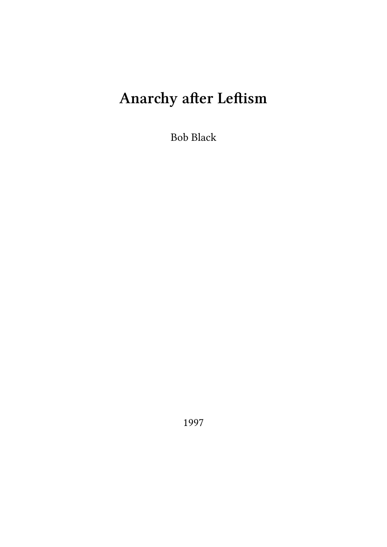# **Anarchy after Leftism**

Bob Black

1997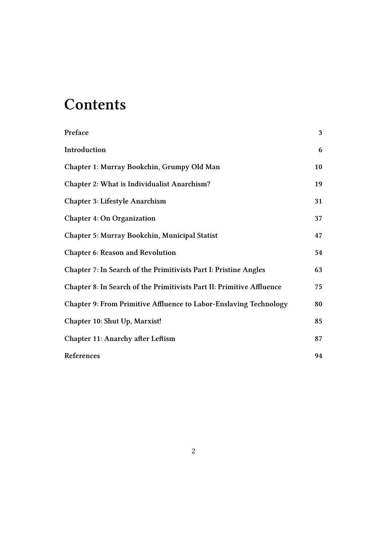## **Contents**

| Preface                                                                  | 3  |
|--------------------------------------------------------------------------|----|
| Introduction                                                             | 6  |
| Chapter 1: Murray Bookchin, Grumpy Old Man                               | 10 |
| <b>Chapter 2: What is Individualist Anarchism?</b>                       | 19 |
| <b>Chapter 3: Lifestyle Anarchism</b>                                    | 31 |
| <b>Chapter 4: On Organization</b>                                        | 37 |
| Chapter 5: Murray Bookchin, Municipal Statist                            | 47 |
| <b>Chapter 6: Reason and Revolution</b>                                  | 54 |
| Chapter 7: In Search of the Primitivists Part I: Pristine Angles         | 63 |
| Chapter 8: In Search of the Primitivists Part II: Primitive Affluence    | 75 |
| <b>Chapter 9: From Primitive Affluence to Labor-Enslaving Technology</b> | 80 |
| Chapter 10: Shut Up, Marxist!                                            | 85 |
| <b>Chapter 11: Anarchy after Leftism</b>                                 | 87 |
| References                                                               | 94 |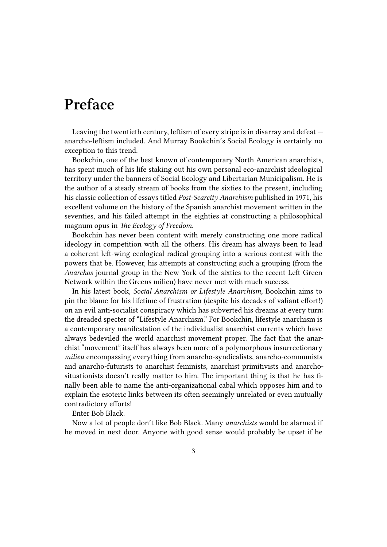## <span id="page-2-0"></span>**Preface**

Leaving the twentieth century, leftism of every stripe is in disarray and defeat anarcho-leftism included. And Murray Bookchin's Social Ecology is certainly no exception to this trend.

Bookchin, one of the best known of contemporary North American anarchists, has spent much of his life staking out his own personal eco-anarchist ideological territory under the banners of Social Ecology and Libertarian Municipalism. He is the author of a steady stream of books from the sixties to the present, including his classic collection of essays titled *Post-Scarcity Anarchism* published in 1971, his excellent volume on the history of the Spanish anarchist movement written in the seventies, and his failed attempt in the eighties at constructing a philosophical magnum opus in *The Ecology of Freedom.*

Bookchin has never been content with merely constructing one more radical ideology in competition with all the others. His dream has always been to lead a coherent left-wing ecological radical grouping into a serious contest with the powers that be. However, his attempts at constructing such a grouping (from the *Anarchos* journal group in the New York of the sixties to the recent Left Green Network within the Greens milieu) have never met with much success.

In his latest book, *Social Anarchism or Lifestyle Anarchism,* Bookchin aims to pin the blame for his lifetime of frustration (despite his decades of valiant effort!) on an evil anti-socialist conspiracy which has subverted his dreams at every turn: the dreaded specter of "Lifestyle Anarchism." For Bookchin, lifestyle anarchism is a contemporary manifestation of the individualist anarchist currents which have always bedeviled the world anarchist movement proper. The fact that the anarchist "movement" itself has always been more of a polymorphous insurrectionary *milieu* encompassing everything from anarcho-syndicalists, anarcho-communists and anarcho-futurists to anarchist feminists, anarchist primitivists and anarchosituationists doesn't really matter to him. The important thing is that he has finally been able to name the anti-organizational cabal which opposes him and to explain the esoteric links between its often seemingly unrelated or even mutually contradictory efforts!

Enter Bob Black.

Now a lot of people don't like Bob Black. Many *anarchists* would be alarmed if he moved in next door. Anyone with good sense would probably be upset if he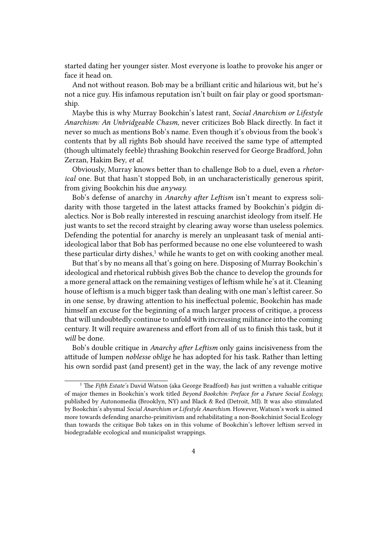started dating her younger sister. Most everyone is loathe to provoke his anger or face it head on.

And not without reason. Bob may be a brilliant critic and hilarious wit, but he's not a nice guy. His infamous reputation isn't built on fair play or good sportsmanship.

Maybe this is why Murray Bookchin's latest rant, *Social Anarchism or Lifestyle Anarchism: An Unbridgeable Chasm,* never criticizes Bob Black directly. In fact it never so much as mentions Bob's name. Even though it's obvious from the book's contents that by all rights Bob should have received the same type of attempted (though ultimately feeble) thrashing Bookchin reserved for George Bradford, John Zerzan, Hakim Bey, *et al.*

Obviously, Murray knows better than to challenge Bob to a duel, even a *rhetorical* one. But that hasn't stopped Bob, in an uncharacteristically generous spirit, from giving Bookchin his due *anyway.*

Bob's defense of anarchy in *Anarchy after Leftism* isn't meant to express solidarity with those targeted in the latest attacks framed by Bookchin's pidgin dialectics. Nor is Bob really interested in rescuing anarchist ideology from itself. He just wants to set the record straight by clearing away worse than useless polemics. Defending the potential for anarchy is merely an unpleasant task of menial antiideological labor that Bob has performed because no one else volunteered to wash these particular dirty dishes, $1$  while he wants to get on with cooking another meal.

But that's by no means all that's going on here. Disposing of Murray Bookchin's ideological and rhetorical rubbish gives Bob the chance to develop the grounds for a more general attack on the remaining vestiges of leftism while he's at it. Cleaning house of leftism is a much bigger task than dealing with one man's leftist career. So in one sense, by drawing attention to his ineffectual polemic, Bookchin has made himself an excuse for the beginning of a much larger process of critique, a process that will undoubtedly continue to unfold with increasing militance into the coming century. It will require awareness and effort from all of us to finish this task, but it *will* be done.

Bob's double critique in *Anarchy after Leftism* only gains incisiveness from the attitude of lumpen *noblesse oblige* he has adopted for his task. Rather than letting his own sordid past (and present) get in the way, the lack of any revenge motive

<sup>1</sup> The *Fifth Estate's* David Watson (aka George Bradford) *has* just written a valuable critique of major themes in Bookchin's work titled *Beyond Bookchin: Preface for a Future Social Ecology,* published by Autonomedia (Brooklyn, NY) and Black & Red (Detroit, MI). It was also stimulated by Bookchin's abysmal *Social Anarchism or Lifestyle Anarchism.* However, Watson's work is aimed more towards defending anarcho-primitivism and rehabilitating a non-Bookchinist Social Ecology than towards the critique Bob takes on in this volume of Bookchin's leftover leftism served in biodegradable ecological and municipalist wrappings.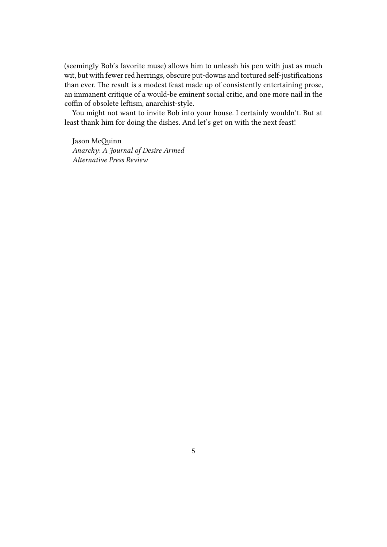(seemingly Bob's favorite muse) allows him to unleash his pen with just as much wit, but with fewer red herrings, obscure put-downs and tortured self-justifications than ever. The result is a modest feast made up of consistently entertaining prose, an immanent critique of a would-be eminent social critic, and one more nail in the coffin of obsolete leftism, anarchist-style.

You might not want to invite Bob into your house. I certainly wouldn't. But at least thank him for doing the dishes. And let's get on with the next feast!

Jason McQuinn *Anarchy: A Journal of Desire Armed Alternative Press Review*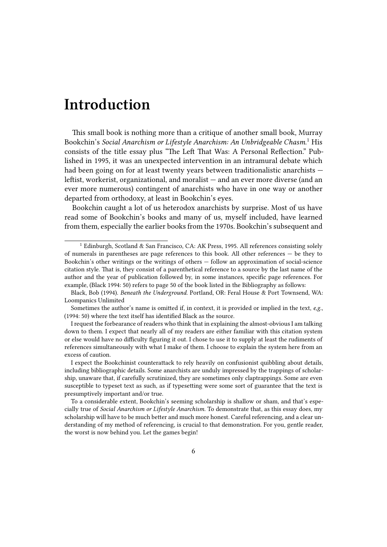#### <span id="page-5-0"></span>**Introduction**

This small book is nothing more than a critique of another small book, Murray Bookchin's *Social Anarchism or Lifestyle Anarchism: An Unbridgeable Chasm*. <sup>1</sup> His consists of the title essay plus "The Left That Was: A Personal Reflection." Published in 1995, it was an unexpected intervention in an intramural debate which had been going on for at least twenty years between traditionalistic anarchists – leftist, workerist, organizational, and moralist — and an ever more diverse (and an ever more numerous) contingent of anarchists who have in one way or another departed from orthodoxy, at least in Bookchin's eyes.

Bookchin caught a lot of us heterodox anarchists by surprise. Most of us have read some of Bookchin's books and many of us, myself included, have learned from them, especially the earlier books from the 1970s. Bookchin's subsequent and

To a considerable extent, Bookchin's seeming scholarship is shallow or sham, and that's especially true of *Social Anarchism or Lifestyle Anarchism.* To demonstrate that, as this essay does, my scholarship will have to be much better and much more honest. Careful referencing, and a clear understanding of my method of referencing, is crucial to that demonstration. For you, gentle reader, the worst is now behind you. Let the games begin!

<sup>&</sup>lt;sup>1</sup> Edinburgh, Scotland & San Francisco, CA: AK Press, 1995. All references consisting solely of numerals in parentheses are page references to this book. All other references — be they to Bookchin's other writings or the writings of others — follow an approximation of social-science citation style. That is, they consist of a parenthetical reference to a source by the last name of the author and the year of publication followed by, in some instances, specific page references. For example, (Black 1994: 50) refers to page 50 of the book listed in the Bibliography as follows:

Black, Bob (1994). *Beneath the Underground.* Portland, OR: Feral House & Port Townsend, WA: Loompanics Unlimited

Sometimes the author's name is omitted if, in context, it is provided or implied in the text, *e,g.*, (1994: 50) where the text itself has identified Black as the source.

I request the forbearance of readers who think that in explaining the almost-obvious I am talking down to them. I expect that nearly all of my readers are either familiar with this citation system or else would have no difficulty figuring it out. I chose to use it to supply at least the rudiments of references simultaneously with what I make of them. I choose to explain the system here from an excess of caution.

I expect the Bookchinist counterattack to rely heavily on confusionist quibbling about details, including bibliographic details. Some anarchists are unduly impressed by the trappings of scholarship, unaware that, if carefully scrutinized, they are sometimes only claptrappings. Some are even susceptible to typeset text as such, as if typesetting were some sort of guarantee that the text is presumptively important and/or true.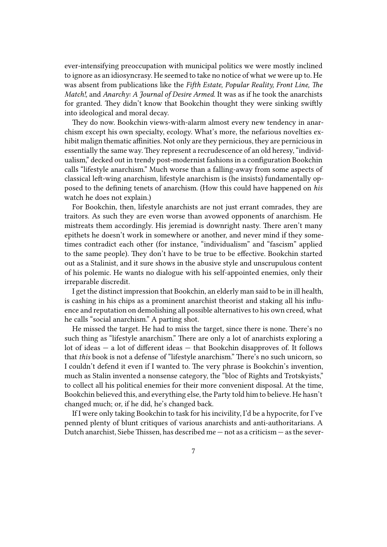ever-intensifying preoccupation with municipal politics we were mostly inclined to ignore as an idiosyncrasy. He seemed to take no notice of what *we* were up to. He was absent from publications like the *Fifth Estate, Popular Reality, Front Line, The Match!,* and *Anarchy: A Journal of Desire Armed*. It was as if he took the anarchists for granted. They didn't know that Bookchin thought they were sinking swiftly into ideological and moral decay.

They do now. Bookchin views-with-alarm almost every new tendency in anarchism except his own specialty, ecology. What's more, the nefarious novelties exhibit malign thematic affinities. Not only are they pernicious, they are pernicious in essentially the same way. They represent a recrudescence of an old heresy, "individualism," decked out in trendy post-modernist fashions in a configuration Bookchin calls "lifestyle anarchism." Much worse than a falling-away from some aspects of classical left-wing anarchism, lifestyle anarchism is (he insists) fundamentally opposed to the defining tenets of anarchism. (How this could have happened on *his* watch he does not explain.)

For Bookchin, then, lifestyle anarchists are not just errant comrades, they are traitors. As such they are even worse than avowed opponents of anarchism. He mistreats them accordingly. His jeremiad is downright nasty. There aren't many epithets he doesn't work in somewhere or another, and never mind if they sometimes contradict each other (for instance, "individualism" and "fascism" applied to the same people). They don't have to be true to be effective. Bookchin started out as a Stalinist, and it sure shows in the abusive style and unscrupulous content of his polemic. He wants no dialogue with his self-appointed enemies, only their irreparable discredit.

I get the distinct impression that Bookchin, an elderly man said to be in ill health, is cashing in his chips as a prominent anarchist theorist and staking all his influence and reputation on demolishing all possible alternatives to his own creed, what he calls "social anarchism." A parting shot.

He missed the target. He had to miss the target, since there is none. There's no such thing as "lifestyle anarchism." There are only a lot of anarchists exploring a lot of ideas — a lot of different ideas — that Bookchin disapproves of. It follows that *this* book is not a defense of "lifestyle anarchism." There's no such unicorn, so I couldn't defend it even if I wanted to. The very phrase is Bookchin's invention, much as Stalin invented a nonsense category, the "bloc of Rights and Trotskyists," to collect all his political enemies for their more convenient disposal. At the time, Bookchin believed this, and everything else, the Party told him to believe. He hasn't changed much; or, if he did, he's changed back.

If I were only taking Bookchin to task for his incivility, I'd be a hypocrite, for I've penned plenty of blunt critiques of various anarchists and anti-authoritarians. A Dutch anarchist, Siebe Thissen, has described me  $-$  not as a criticism  $-$  as the sever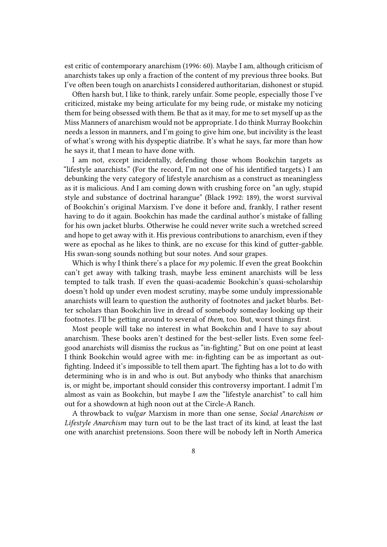est critic of contemporary anarchism (1996: 60). Maybe I am, although criticism of anarchists takes up only a fraction of the content of my previous three books. But I've often been tough on anarchists I considered authoritarian, dishonest or stupid.

Often harsh but, I like to think, rarely unfair. Some people, especially those I've criticized, mistake my being articulate for my being rude, or mistake my noticing them for being obsessed with them. Be that as it may, for me to set myself up as the Miss Manners of anarchism would not be appropriate. I do think Murray Bookchin needs a lesson in manners, and I'm going to give him one, but incivility is the least of what's wrong with his dyspeptic diatribe. It's what he says, far more than how he says it, that I mean to have done with.

I am not, except incidentally, defending those whom Bookchin targets as "lifestyle anarchists." (For the record, I'm not one of his identified targets.) I am debunking the very category of lifestyle anarchism as a construct as meaningless as it is malicious. And I am coming down with crushing force on "an ugly, stupid style and substance of doctrinal harangue" (Black 1992: 189), the worst survival of Bookchin's original Marxism. I've done it before and, frankly, I rather resent having to do it again. Bookchin has made the cardinal author's mistake of falling for his own jacket blurbs. Otherwise he could never write such a wretched screed and hope to get away with it. His previous contributions to anarchism, even if they were as epochal as he likes to think, are no excuse for this kind of gutter-gabble. His swan-song sounds nothing but sour notes. And sour grapes.

Which is why I think there's a place for *my* polemic. If even the great Bookchin can't get away with talking trash, maybe less eminent anarchists will be less tempted to talk trash. If even the quasi-academic Bookchin's quasi-scholarship doesn't hold up under even modest scrutiny, maybe some unduly impressionable anarchists will learn to question the authority of footnotes and jacket blurbs. Better scholars than Bookchin live in dread of somebody someday looking up their footnotes. I'll be getting around to several of *them,* too. But, worst things first.

Most people will take no interest in what Bookchin and I have to say about anarchism. These books aren't destined for the best-seller lists. Even some feelgood anarchists will dismiss the ruckus as "in-fighting." But on one point at least I think Bookchin would agree with me: in-fighting can be as important as outfighting. Indeed it's impossible to tell them apart. The fighting has a lot to do with determining who is in and who is out. But anybody who thinks that anarchism is, or might be, important should consider this controversy important. I admit I'm almost as vain as Bookchin, but maybe I *am* the "lifestyle anarchist" to call him out for a showdown at high noon out at the Circle-A Ranch.

A throwback to *vulgar* Marxism in more than one sense, *Social Anarchism or Lifestyle Anarchism* may turn out to be the last tract of its kind, at least the last one with anarchist pretensions. Soon there will be nobody left in North America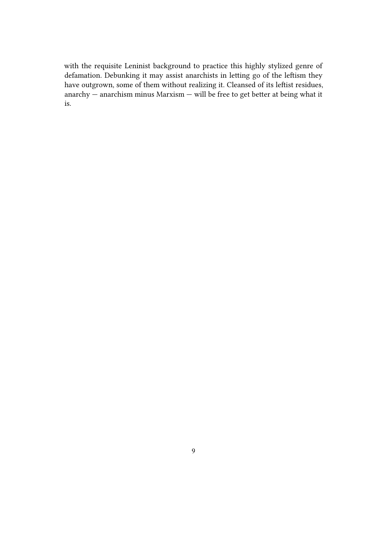with the requisite Leninist background to practice this highly stylized genre of defamation. Debunking it may assist anarchists in letting go of the leftism they have outgrown, some of them without realizing it. Cleansed of its leftist residues, anarchy — anarchism minus Marxism — will be free to get better at being what it is.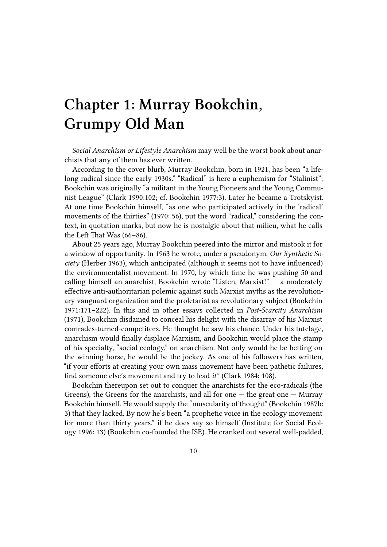# <span id="page-9-0"></span>**Chapter 1: Murray Bookchin, Grumpy Old Man**

*Social Anarchism or Lifestyle Anarchism* may well be the worst book about anarchists that any of them has ever written.

According to the cover blurb, Murray Bookchin, born in 1921, has been "a lifelong radical since the early 1930s." "Radical" is here a euphemism for "Stalinist"; Bookchin was originally "a militant in the Young Pioneers and the Young Communist League" (Clark 1990:102; cf. Bookchin 1977:3). Later he became a Trotskyist. At one time Bookchin himself, "as one who participated actively in the 'radical' movements of the thirties" (1970: 56), put the word "radical," considering the context, in quotation marks, but now he is nostalgic about that milieu, what he calls the Left That Was (66–86).

About 25 years ago, Murray Bookchin peered into the mirror and mistook it for a window of opportunity. In 1963 he wrote, under a pseudonym, *Our Synthetic Society* (Herber 1963), which anticipated (although it seems not to have influenced) the environmentalist movement. In 1970, by which time he was pushing 50 and calling himself an anarchist, Bookchin wrote "Listen, Marxist!" — a moderately effective anti-authoritarian polemic against such Marxist myths as the revolutionary vanguard organization and the proletariat as revolutionary subject (Bookchin 1971:171–222). In this and in other essays collected in *Post-Scarcity Anarchism* (1971), Bookchin disdained to conceal his delight with the disarray of his Marxist comrades-turned-competitors. He thought he saw his chance. Under his tutelage, anarchism would finally displace Marxism, and Bookchin would place the stamp of his specialty, "social ecology," on anarchism. Not only would he be betting on the winning horse, he would be the jockey. As one of his followers has written, "if your efforts at creating your own mass movement have been pathetic failures, find someone else's movement and try to lead *it*" (Clark 1984: 108).

Bookchin thereupon set out to conquer the anarchists for the eco-radicals (the Greens), the Greens for the anarchists, and all for one  $-$  the great one  $-$  Murray Bookchin himself. He would supply the "muscularity of thought" (Bookchin 1987b: 3) that they lacked. By now he's been "a prophetic voice in the ecology movement for more than thirty years," if he does say so himself (Institute for Social Ecology 1996: 13) (Bookchin co-founded the ISE). He cranked out several well-padded,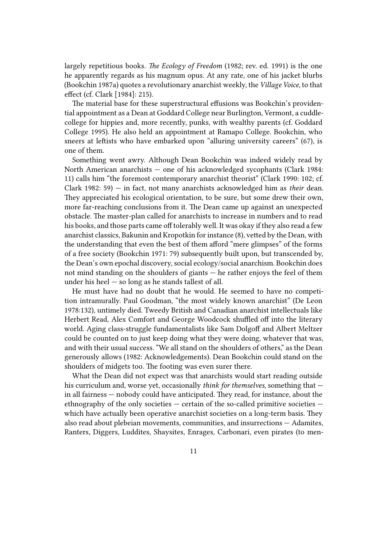largely repetitious books. *The Ecology of Freedom* (1982; rev. ed. 1991) is the one he apparently regards as his magnum opus. At any rate, one of his jacket blurbs (Bookchin 1987a) quotes a revolutionary anarchist weekly, the *Village Voice,* to that effect (cf. Clark [1984]: 215).

The material base for these superstructural effusions was Bookchin's providential appointment as a Dean at Goddard College near Burlington, Vermont, a cuddlecollege for hippies and, more recently, punks, with wealthy parents (cf. Goddard College 1995). He also held an appointment at Ramapo College. Bookchin, who sneers at leftists who have embarked upon "alluring university careers" (67), is one of them.

Something went awry. Although Dean Bookchin was indeed widely read by North American anarchists — one of his acknowledged sycophants (Clark 1984: 11) calls him "the foremost contemporary anarchist theorist" (Clark 1990: 102; cf. Clark 1982: 59) — in fact, not many anarchists acknowledged him as *their* dean. They appreciated his ecological orientation, to be sure, but some drew their own, more far-reaching conclusions from it. The Dean came up against an unexpected obstacle. The master-plan called for anarchists to increase in numbers and to read his books, and those parts came off tolerably well. It was okay if they also read a few anarchist classics, Bakunin and Kropotkin for instance (8), vetted by the Dean, with the understanding that even the best of them afford "mere glimpses" of the forms of a free society (Bookchin 1971: 79) subsequently built upon, but transcended by, the Dean's own epochal discovery, social ecology/social anarchism. Bookchin does not mind standing on the shoulders of giants — he rather enjoys the feel of them under his heel  $-$  so long as he stands tallest of all.

He must have had no doubt that he would. He seemed to have no competition intramurally. Paul Goodman, "the most widely known anarchist" (De Leon 1978:132), untimely died. Tweedy British and Canadian anarchist intellectuals like Herbert Read, Alex Comfort and George Woodcock shuffled off into the literary world. Aging class-struggle fundamentalists like Sam Dolgoff and Albert Meltzer could be counted on to just keep doing what they were doing, whatever that was, and with their usual success. "We all stand on the shoulders of others," as the Dean generously allows (1982: Acknowledgements). Dean Bookchin could stand on the shoulders of midgets too. The footing was even surer there.

What the Dean did not expect was that anarchists would start reading outside his curriculum and, worse yet, occasionally *think for themselves*, something that in all fairness — nobody could have anticipated. They read, for instance, about the ethnography of the only societies — certain of the so-called primitive societies which have actually been operative anarchist societies on a long-term basis. They also read about plebeian movements, communities, and insurrections — Adamites, Ranters, Diggers, Luddites, Shaysites, Enrages, Carbonari, even pirates (to men-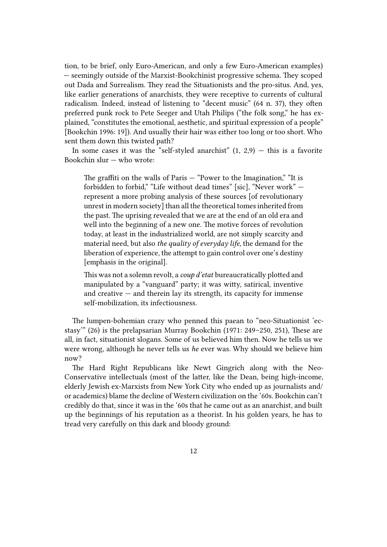tion, to be brief, only Euro-American, and only a few Euro-American examples) — seemingly outside of the Marxist-Bookchinist progressive schema. They scoped out Dada and Surrealism. They read the Situationists and the pro-situs. And, yes, like earlier generations of anarchists, they were receptive to currents of cultural radicalism. Indeed, instead of listening to "decent music" (64 n. 37), they often preferred punk rock to Pete Seeger and Utah Philips ("the folk song," he has explained, "constitutes the emotional, aesthetic, and spiritual expression of a people" [Bookchin 1996: 19]). And usually their hair was either too long or too short. Who sent them down this twisted path?

In some cases it was the "self-styled anarchist"  $(1, 2, 9)$  – this is a favorite Bookchin slur — who wrote:

The graffiti on the walls of Paris  $-$  "Power to the Imagination," "It is forbidden to forbid," "Life without dead times" [sic], "Never work" represent a more probing analysis of these sources [of revolutionary unrest in modern society] than all the theoretical tomes inherited from the past. The uprising revealed that we are at the end of an old era and well into the beginning of a new one. The motive forces of revolution today, at least in the industrialized world, are not simply scarcity and material need, but also *the quality of everyday life,* the demand for the liberation of experience, the attempt to gain control over one's destiny [emphasis in the original].

This was not a solemn revolt, a *coup d'etat* bureaucratically plotted and manipulated by a "vanguard" party; it was witty, satirical, inventive and creative  $-$  and therein lay its strength, its capacity for immense self-mobilization, its infectiousness.

The lumpen-bohemian crazy who penned this paean to "neo-Situationist 'ecstasy'" (26) is the prelapsarian Murray Bookchin (1971: 249–250, 251), These are all, in fact, situationist slogans. Some of us believed him then. Now he tells us we were wrong, although he never tells us *he* ever was. Why should we believe him now?

The Hard Right Republicans like Newt Gingrich along with the Neo-Conservative intellectuals (most of the latter, like the Dean, being high-income, elderly Jewish ex-Marxists from New York City who ended up as journalists and/ or academics) blame the decline of Western civilization on the '60s. Bookchin can't credibly do that, since it was in the '60s that he came out as an anarchist, and built up the beginnings of his reputation as a theorist. In his golden years, he has to tread very carefully on this dark and bloody ground: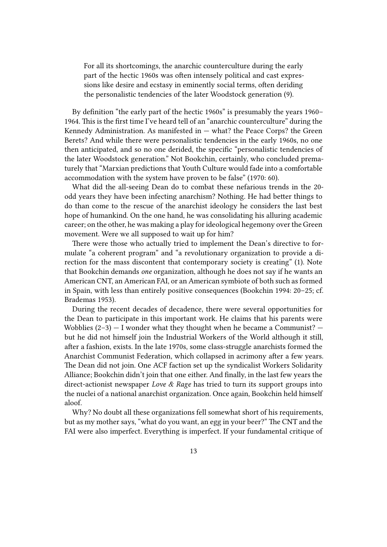For all its shortcomings, the anarchic counterculture during the early part of the hectic 1960s was often intensely political and cast expressions like desire and ecstasy in eminently social terms, often deriding the personalistic tendencies of the later Woodstock generation (9).

By definition "the early part of the hectic 1960s" is presumably the years 1960– 1964. This is the first time I've heard tell of an "anarchic counterculture" during the Kennedy Administration. As manifested in  $-$  what? the Peace Corps? the Green Berets? And while there were personalistic tendencies in the early 1960s, no one then anticipated, and so no one derided, the specific "personalistic tendencies of the later Woodstock generation." Not Bookchin, certainly, who concluded prematurely that "Marxian predictions that Youth Culture would fade into a comfortable accommodation with the system have proven to be false" (1970: 60).

What did the all-seeing Dean do to combat these nefarious trends in the 20 odd years they have been infecting anarchism? Nothing. He had better things to do than come to the rescue of the anarchist ideology he considers the last best hope of humankind. On the one hand, he was consolidating his alluring academic career; on the other, he was making a play for ideological hegemony over the Green movement. Were we all supposed to wait up for him?

There were those who actually tried to implement the Dean's directive to formulate "a coherent program" and "a revolutionary organization to provide a direction for the mass discontent that contemporary society is creating" (1). Note that Bookchin demands *one* organization, although he does not say if he wants an American CNT, an American FAI, or an American symbiote of both such as formed in Spain, with less than entirely positive consequences (Bookchin 1994: 20–25; cf. Brademas 1953).

During the recent decades of decadence, there were several opportunities for the Dean to participate in this important work. He claims that his parents were Wobblies  $(2-3)$  – I wonder what they thought when he became a Communist? – but he did not himself join the Industrial Workers of the World although it still, after a fashion, exists. In the late 1970s, some class-struggle anarchists formed the Anarchist Communist Federation, which collapsed in acrimony after a few years. The Dean did not join. One ACF faction set up the syndicalist Workers Solidarity Alliance; Bookchin didn't join that one either. And finally, in the last few years the direct-actionist newspaper *Love & Rage* has tried to turn its support groups into the nuclei of a national anarchist organization. Once again, Bookchin held himself aloof.

Why? No doubt all these organizations fell somewhat short of his requirements, but as my mother says, "what do you want, an egg in your beer?" The CNT and the FAI were also imperfect. Everything is imperfect. If your fundamental critique of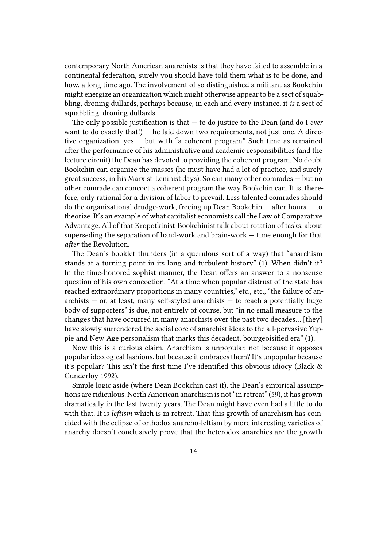contemporary North American anarchists is that they have failed to assemble in a continental federation, surely you should have told them what is to be done, and how, a long time ago. The involvement of so distinguished a militant as Bookchin might energize an organization which might otherwise appear to be a sect of squabbling, droning dullards, perhaps because, in each and every instance, it *is* a sect of squabbling, droning dullards.

The only possible justification is that — to do justice to the Dean (and do I *ever* want to do exactly that!)  $-$  he laid down two requirements, not just one. A directive organization,  $yes - but with "a coherent program." Such time as remained$ after the performance of his administrative and academic responsibilities (and the lecture circuit) the Dean has devoted to providing the coherent program. No doubt Bookchin can organize the masses (he must have had a lot of practice, and surely great success, in his Marxist-Leninist days). So can many other comrades — but no other comrade can concoct a coherent program the way Bookchin can. It is, therefore, only rational for a division of labor to prevail. Less talented comrades should do the organizational drudge-work, freeing up Dean Bookchin — after hours — to theorize. It's an example of what capitalist economists call the Law of Comparative Advantage. All of that Kropotkinist-Bookchinist talk about rotation of tasks, about superseding the separation of hand-work and brain-work — time enough for that *after* the Revolution.

The Dean's booklet thunders (in a querulous sort of a way) that "anarchism stands at a turning point in its long and turbulent history" (1). When didn't it? In the time-honored sophist manner, the Dean offers an answer to a nonsense question of his own concoction. "At a time when popular distrust of the state has reached extraordinary proportions in many countries," etc., etc., "the failure of anarchists  $-$  or, at least, many self-styled anarchists  $-$  to reach a potentially huge body of supporters" is due, not entirely of course, but "in no small measure to the changes that have occurred in many anarchists over the past two decades… [they] have slowly surrendered the social core of anarchist ideas to the all-pervasive Yuppie and New Age personalism that marks this decadent, bourgeoisified era" (1).

Now this is a curious claim. Anarchism is unpopular, not because it opposes popular ideological fashions, but because it embraces them? It's unpopular because it's popular? This isn't the first time I've identified this obvious idiocy (Black & Gunderloy 1992).

Simple logic aside (where Dean Bookchin cast it), the Dean's empirical assumptions are ridiculous. North American anarchism is not "in retreat" (59), it has grown dramatically in the last twenty years. The Dean might have even had a little to do with that. It is *leftism* which is in retreat. That this growth of anarchism has coincided with the eclipse of orthodox anarcho-leftism by more interesting varieties of anarchy doesn't conclusively prove that the heterodox anarchies are the growth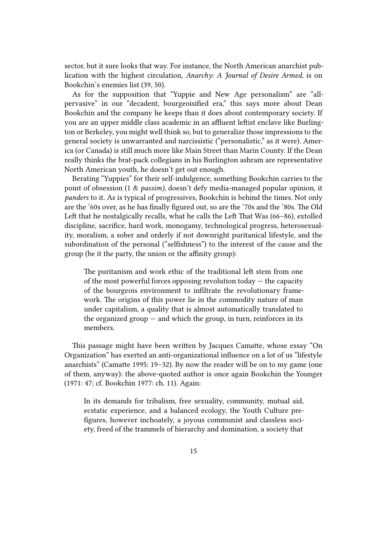sector, but it sure looks that way. For instance, the North American anarchist publication with the highest circulation, *Anarchy: A Journal of Desire Armed,* is on Bookchin's enemies list (39, 50).

As for the supposition that "Yuppie and New Age personalism" are "allpervasive" in our "decadent, bourgeoisified era," this says more about Dean Bookchin and the company he keeps than it does about contemporary society. If you are an upper middle class academic in an affluent leftist enclave like Burlington or Berkeley, you might well think so, but to generalize those impressions to the general society is unwarranted and narcissistic ("personalistic," as it were). America (or Canada) is still much more like Main Street than Marin County. If the Dean really thinks the brat-pack collegians in his Burlington ashram are representative North American youth, he doesn't get out enough.

Berating "Yuppies" for their self-indulgence, something Bookchin carries to the point of obsession (1 & *passim),* doesn't defy media-managed popular opinion, it *panders* to it. As is typical of progressives, Bookchin is behind the times. Not only are the '60s over, as he has finally figured out, so are the '70s and the '80s. The Old Left that he nostalgically recalls, what he calls the Left That Was (66–86), extolled discipline, sacrifice, hard work, monogamy, technological progress, heterosexuality, moralism, a sober and orderly if not downright puritanical lifestyle, and the subordination of the personal ("selfishness") to the interest of the cause and the group (be it the party, the union or the affinity group):

The puritanism and work ethic of the traditional left stem from one of the most powerful forces opposing revolution today  $-$  the capacity of the bourgeois environment to infiltrate the revolutionary framework. The origins of this power lie in the commodity nature of man under capitalism, a quality that is almost automatically translated to the organized group  $-$  and which the group, in turn, reinforces in its members.

This passage might have been written by Jacques Camatte, whose essay "On Organization" has exerted an anti-organizational influence on a lot of us "lifestyle anarchists" (Camatte 1995: 19–32). By now the reader will be on to my game (one of them, anyway): the above-quoted author is once again Bookchin the Younger (1971: 47; cf. Bookchin 1977: ch. 11). Again:

In its demands for tribalism, free sexuality, community, mutual aid, ecstatic experience, and a balanced ecology, the Youth Culture prefigures, however inchoately, a joyous communist and classless society, freed of the trammels of hierarchy and domination, a society that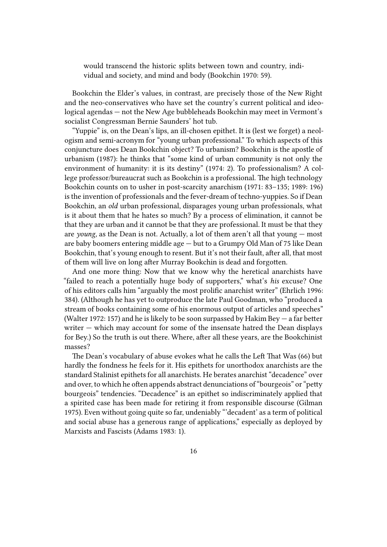would transcend the historic splits between town and country, individual and society, and mind and body (Bookchin 1970: 59).

Bookchin the Elder's values, in contrast, are precisely those of the New Right and the neo-conservatives who have set the country's current political and ideological agendas — not the New Age bubbleheads Bookchin may meet in Vermont's socialist Congressman Bernie Saunders' hot tub.

"Yuppie" is, on the Dean's lips, an ill-chosen epithet. It is (lest we forget) a neologism and semi-acronym for "young urban professional." To which aspects of this conjuncture does Dean Bookchin object? To urbanism? Bookchin is the apostle of urbanism (1987): he thinks that "some kind of urban community is not only the environment of humanity: it is its destiny" (1974: 2). To professionalism? A college professor/bureaucrat such as Bookchin is a professional. The high technology Bookchin counts on to usher in post-scarcity anarchism (1971: 83–135; 1989: 196) is the invention of professionals and the fever-dream of techno-yuppies. So if Dean Bookchin, an *old* urban professional, disparages young urban professionals, what is it about them that he hates so much? By a process of elimination, it cannot be that they are urban and it cannot be that they are professional. It must be that they are *young,* as the Dean is not. Actually, a lot of them aren't all that young — most are baby boomers entering middle age — but to a Grumpy Old Man of 75 like Dean Bookchin, that's young enough to resent. But it's not their fault, after all, that most of them will live on long after Murray Bookchin is dead and forgotten.

And one more thing: Now that we know why the heretical anarchists have "failed to reach a potentially huge body of supporters," what's *his* excuse? One of his editors calls him "arguably the most prolific anarchist writer" (Ehrlich 1996: 384). (Although he has yet to outproduce the late Paul Goodman, who "produced a stream of books containing some of his enormous output of articles and speeches" (Walter 1972: 157) and he is likely to be soon surpassed by Hakim Bey — a far better writer – which may account for some of the insensate hatred the Dean displays for Bey.) So the truth is out there. Where, after all these years, are the Bookchinist masses?

The Dean's vocabulary of abuse evokes what he calls the Left That Was (66) but hardly the fondness he feels for it. His epithets for unorthodox anarchists are the standard Stalinist epithets for all anarchists. He berates anarchist "decadence" over and over, to which he often appends abstract denunciations of "bourgeois" or "petty bourgeois" tendencies. "Decadence" is an epithet so indiscriminately applied that a spirited case has been made for retiring it from responsible discourse (Gilman 1975). Even without going quite so far, undeniably "'decadent' as a term of political and social abuse has a generous range of applications," especially as deployed by Marxists and Fascists (Adams 1983: 1).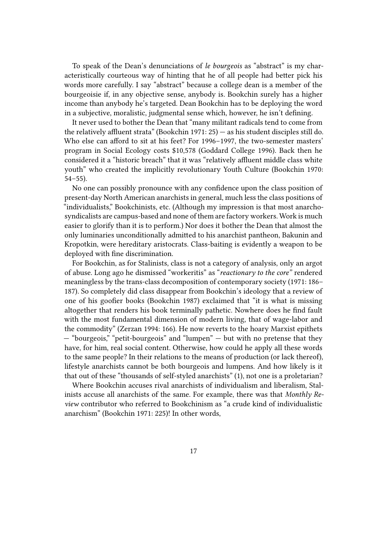To speak of the Dean's denunciations of *le bourgeois* as "abstract" is my characteristically courteous way of hinting that he of all people had better pick his words more carefully. I say "abstract" because a college dean is a member of the bourgeoisie if, in any objective sense, anybody is. Bookchin surely has a higher income than anybody he's targeted. Dean Bookchin has to be deploying the word in a subjective, moralistic, judgmental sense which, however, he isn't defining.

It never used to bother the Dean that "many militant radicals tend to come from the relatively affluent strata" (Bookchin 1971: 25) — as his student disciples still do. Who else can afford to sit at his feet? For 1996–1997, the two-semester masters' program in Social Ecology costs \$10,578 (Goddard College 1996). Back then he considered it a "historic breach" that it was "relatively affluent middle class white youth" who created the implicitly revolutionary Youth Culture (Bookchin 1970: 54–55).

No one can possibly pronounce with any confidence upon the class position of present-day North American anarchists in general, much less the class positions of "individualists," Bookchinists, etc. (Although my impression is that most anarchosyndicalists are campus-based and none of them are factory workers. Work is much easier to glorify than it is to perform.) Nor does it bother the Dean that almost the only luminaries unconditionally admitted to his anarchist pantheon, Bakunin and Kropotkin, were hereditary aristocrats. Class-baiting is evidently a weapon to be deployed with fine discrimination.

For Bookchin, as for Stalinists, class is not a category of analysis, only an argot of abuse. Long ago he dismissed "workeritis" as "*reactionary to the core"* rendered meaningless by the trans-class decomposition of contemporary society (1971: 186– 187). So completely did class disappear from Bookchin's ideology that a review of one of his goofier books (Bookchin 1987) exclaimed that "it is what is missing altogether that renders his book terminally pathetic. Nowhere does he find fault with the most fundamental dimension of modern living, that of wage-labor and the commodity" (Zerzan 1994: 166). He now reverts to the hoary Marxist epithets — "bourgeois," "petit-bourgeois" and "lumpen" — but with no pretense that they have, for him, real social content. Otherwise, how could he apply all these words to the same people? In their relations to the means of production (or lack thereof), lifestyle anarchists cannot be both bourgeois and lumpens. And how likely is it that out of these "thousands of self-styled anarchists" (1), not one is a proletarian?

Where Bookchin accuses rival anarchists of individualism and liberalism, Stalinists accuse all anarchists of the same. For example, there was that *Monthly Review* contributor who referred to Bookchinism as "a crude kind of individualistic anarchism" (Bookchin 1971: 225)! In other words,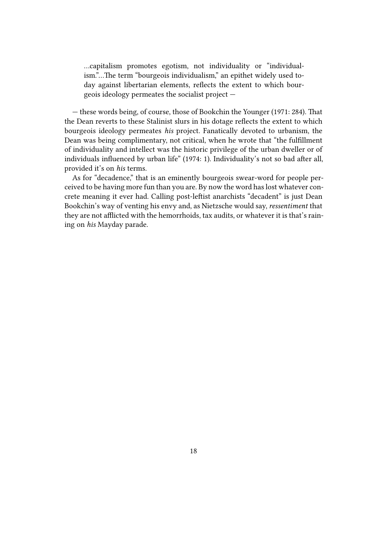…capitalism promotes egotism, not individuality or "individualism."…The term "bourgeois individualism," an epithet widely used today against libertarian elements, reflects the extent to which bourgeois ideology permeates the socialist project —

— these words being, of course, those of Bookchin the Younger (1971: 284). That the Dean reverts to these Stalinist slurs in his dotage reflects the extent to which bourgeois ideology permeates *his* project. Fanatically devoted to urbanism, the Dean was being complimentary, not critical, when he wrote that "the fulfillment of individuality and intellect was the historic privilege of the urban dweller or of individuals influenced by urban life" (1974: 1). Individuality's not so bad after all, provided it's on *his* terms.

As for "decadence," that is an eminently bourgeois swear-word for people perceived to be having more fun than you are. By now the word has lost whatever concrete meaning it ever had. Calling post-leftist anarchists "decadent" is just Dean Bookchin's way of venting his envy and, as Nietzsche would say, *ressentiment* that they are not afflicted with the hemorrhoids, tax audits, or whatever it is that's raining on *his* Mayday parade.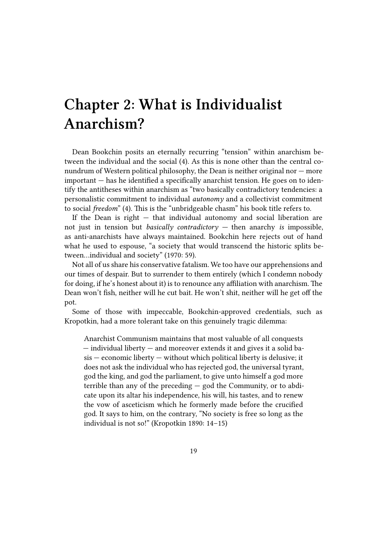# <span id="page-18-0"></span>**Chapter 2: What is Individualist Anarchism?**

Dean Bookchin posits an eternally recurring "tension" within anarchism between the individual and the social (4). As this is none other than the central conundrum of Western political philosophy, the Dean is neither original nor  $-$  more important — has he identified a specifically anarchist tension. He goes on to identify the antitheses within anarchism as "two basically contradictory tendencies: a personalistic commitment to individual *autonomy* and a collectivist commitment to social *freedom*" (4). This is the "unbridgeable chasm" his book title refers to.

If the Dean is right  $-$  that individual autonomy and social liberation are not just in tension but *basically contradictory —* then anarchy *is* impossible, as anti-anarchists have always maintained. Bookchin here rejects out of hand what he used to espouse, "a society that would transcend the historic splits between…individual and society" (1970: 59).

Not all of us share his conservative fatalism. We too have our apprehensions and our times of despair. But to surrender to them entirely (which I condemn nobody for doing, if he's honest about it) is to renounce any affiliation with anarchism. The Dean won't fish, neither will he cut bait. He won't shit, neither will he get off the pot.

Some of those with impeccable, Bookchin-approved credentials, such as Kropotkin, had a more tolerant take on this genuinely tragic dilemma:

Anarchist Communism maintains that most valuable of all conquests  $-$  individual liberty  $-$  and moreover extends it and gives it a solid basis — economic liberty — without which political liberty is delusive; it does not ask the individual who has rejected god, the universal tyrant, god the king, and god the parliament, to give unto himself a god more terrible than any of the preceding — god the Community, or to abdicate upon its altar his independence, his will, his tastes, and to renew the vow of asceticism which he formerly made before the crucified god. It says to him, on the contrary, "No society is free so long as the individual is not so!" (Kropotkin 1890: 14–15)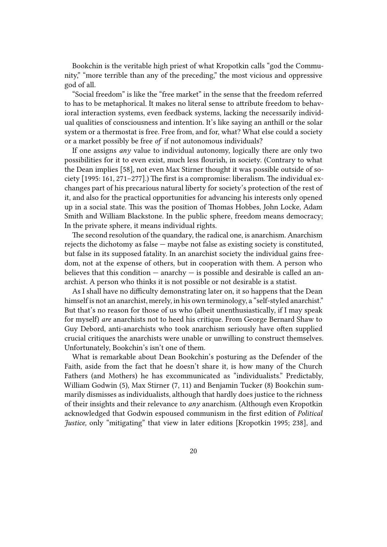Bookchin is the veritable high priest of what Kropotkin calls "god the Community," "more terrible than any of the preceding," the most vicious and oppressive god of all.

"Social freedom" is like the "free market" in the sense that the freedom referred to has to be metaphorical. It makes no literal sense to attribute freedom to behavioral interaction systems, even feedback systems, lacking the necessarily individual qualities of consciousness and intention. It's like saying an anthill or the solar system or a thermostat is free. Free from, and for, what? What else could a society or a market possibly be free *of* if not autonomous individuals?

If one assigns *any* value to individual autonomy, logically there are only two possibilities for it to even exist, much less flourish, in society. (Contrary to what the Dean implies [58], not even Max Stirner thought it was possible outside of society [1995: 161, 271–277].) The first is a compromise: liberalism. The individual exchanges part of his precarious natural liberty for society's protection of the rest of it, and also for the practical opportunities for advancing his interests only opened up in a social state. This was the position of Thomas Hobbes, John Locke, Adam Smith and William Blackstone. In the public sphere, freedom means democracy; In the private sphere, it means individual rights.

The second resolution of the quandary, the radical one, is anarchism. Anarchism rejects the dichotomy as false — maybe not false as existing society is constituted, but false in its supposed fatality. In an anarchist society the individual gains freedom, not at the expense of others, but in cooperation with them. A person who believes that this condition  $-$  anarchy  $-$  is possible and desirable is called an anarchist. A person who thinks it is not possible or not desirable is a statist.

As I shall have no difficulty demonstrating later on, it so happens that the Dean himself is not an anarchist, merely, in his own terminology, a "self-styled anarchist." But that's no reason for those of us who (albeit unenthusiastically, if I may speak for myself) *are* anarchists not to heed his critique. From George Bernard Shaw to Guy Debord, anti-anarchists who took anarchism seriously have often supplied crucial critiques the anarchists were unable or unwilling to construct themselves. Unfortunately, Bookchin's isn't one of them.

What is remarkable about Dean Bookchin's posturing as the Defender of the Faith, aside from the fact that he doesn't share it, is how many of the Church Fathers (and Mothers) he has excommunicated as "individualists." Predictably, William Godwin (5), Max Stirner (7, 11) and Benjamin Tucker (8) Bookchin summarily dismisses as individualists, although that hardly does justice to the richness of their insights and their relevance to *any* anarchism. (Although even Kropotkin acknowledged that Godwin espoused communism in the first edition of *Political Justice,* only "mitigating" that view in later editions [Kropotkin 1995; 238], and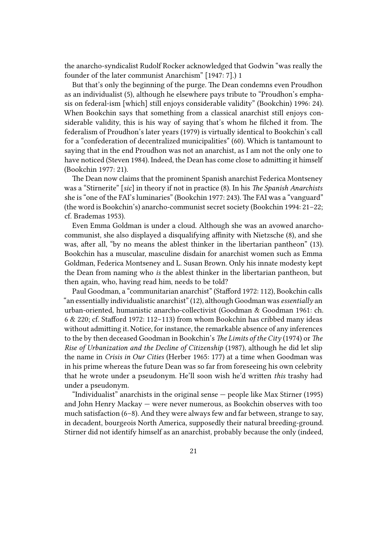the anarcho-syndicalist Rudolf Rocker acknowledged that Godwin "was really the founder of the later communist Anarchism" [1947: 7].) 1

But that's only the beginning of the purge. The Dean condemns even Proudhon as an individualist (5), although he elsewhere pays tribute to "Proudhon's emphasis on federal-ism [which] still enjoys considerable validity" (Bookchin) 1996: 24). When Bookchin says that something from a classical anarchist still enjoys considerable validity, this is his way of saying that's whom he filched it from. The federalism of Proudhon's later years (1979) is virtually identical to Bookchin's call for a "confederation of decentralized municipalities" (60). Which is tantamount to saying that in the end Proudhon was not an anarchist, as I am not the only one to have noticed (Steven 1984). Indeed, the Dean has come close to admitting it himself (Bookchin 1977: 21).

The Dean now claims that the prominent Spanish anarchist Federica Montseney was a "Stirnerite" [*sic*] in theory if not in practice (8). In his *The Spanish Anarchists* she is "one of the FAI's luminaries" (Bookchin 1977: 243). The FAI was a "vanguard" (the word is Bookchin's) anarcho-communist secret society (Bookchin 1994: 21–22; cf. Brademas 1953).

Even Emma Goldman is under a cloud. Although she was an avowed anarchocommunist, she also displayed a disqualifying affinity with Nietzsche (8), and she was, after all, "by no means the ablest thinker in the libertarian pantheon" (13). Bookchin has a muscular, masculine disdain for anarchist women such as Emma Goldman, Federica Montseney and L. Susan Brown. Only his innate modesty kept the Dean from naming who *is* the ablest thinker in the libertarian pantheon, but then again, who, having read him, needs to be told?

Paul Goodman, a "communitarian anarchist" (Stafford 1972: 112), Bookchin calls "an essentially individualistic anarchist" (12), although Goodman was *essentially* an urban-oriented, humanistic anarcho-collectivist (Goodman & Goodman 1961: ch. 6 & 220; cf. Stafford 1972: 112–113) from whom Bookchin has cribbed many ideas without admitting it. Notice, for instance, the remarkable absence of any inferences to the by then deceased Goodman in Bookchin's *The Limits of the City* (1974) or *The Rise of Urbanization and the Decline of Citizenship* (1987), although he did let slip the name in *Crisis in Our Cities* (Herber 1965: 177) at a time when Goodman was in his prime whereas the future Dean was so far from foreseeing his own celebrity that he wrote under a pseudonym. He'll soon wish he'd written *this* trashy had under a pseudonym.

"Individualist" anarchists in the original sense — people like Max Stirner (1995) and John Henry Mackay — were never numerous, as Bookchin observes with too much satisfaction (6–8). And they were always few and far between, strange to say, in decadent, bourgeois North America, supposedly their natural breeding-ground. Stirner did not identify himself as an anarchist, probably because the only (indeed,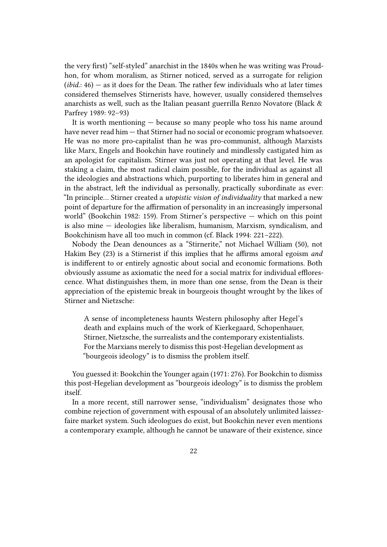the very first) "self-styled" anarchist in the 1840s when he was writing was Proudhon, for whom moralism, as Stirner noticed, served as a surrogate for religion  $(ibid.: 46)$  — as it does for the Dean. The rather few individuals who at later times considered themselves Stirnerists have, however, usually considered themselves anarchists as well, such as the Italian peasant guerrilla Renzo Novatore (Black & Parfrey 1989: 92–93)

It is worth mentioning — because so many people who toss his name around have never read him — that Stirner had no social or economic program whatsoever. He was no more pro-capitalist than he was pro-communist, although Marxists like Marx, Engels and Bookchin have routinely and mindlessly castigated him as an apologist for capitalism. Stirner was just not operating at that level. He was staking a claim, the most radical claim possible, for the individual as against all the ideologies and abstractions which, purporting to liberates him in general and in the abstract, left the individual as personally, practically subordinate as ever: "In principle… Stirner created a *utopistic vision of individuality* that marked a new point of departure for the affirmation of personality in an increasingly impersonal world" (Bookchin 1982: 159). From Stirner's perspective — which on this point is also mine — ideologies like liberalism, humanism, Marxism, syndicalism, and Bookchinism have all too much in common (cf. Black 1994: 221–222).

Nobody the Dean denounces as a "Stirnerite," not Michael William (50), not Hakim Bey (23) is a Stirnerist if this implies that he affirms amoral egoism *and* is indifferent to or entirely agnostic about social and economic formations. Both obviously assume as axiomatic the need for a social matrix for individual efflorescence. What distinguishes them, in more than one sense, from the Dean is their appreciation of the epistemic break in bourgeois thought wrought by the likes of Stirner and Nietzsche:

A sense of incompleteness haunts Western philosophy after Hegel's death and explains much of the work of Kierkegaard, Schopenhauer, Stirner, Nietzsche, the surrealists and the contemporary existentialists. For the Marxians merely to dismiss this post-Hegelian development as "bourgeois ideology" is to dismiss the problem itself.

You guessed it: Bookchin the Younger again (1971: 276). For Bookchin to dismiss this post-Hegelian development as "bourgeois ideology" is to dismiss the problem itself.

In a more recent, still narrower sense, "individualism" designates those who combine rejection of government with espousal of an absolutely unlimited laissezfaire market system. Such ideologues do exist, but Bookchin never even mentions a contemporary example, although he cannot be unaware of their existence, since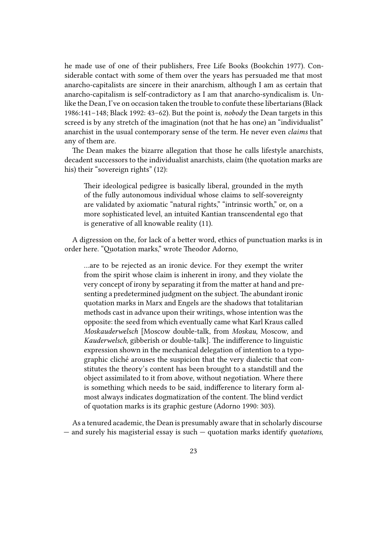he made use of one of their publishers, Free Life Books (Bookchin 1977). Considerable contact with some of them over the years has persuaded me that most anarcho-capitalists are sincere in their anarchism, although I am as certain that anarcho-capitalism is self-contradictory as I am that anarcho-syndicalism is. Unlike the Dean, I've on occasion taken the trouble to confute these libertarians (Black 1986:141–148; Black 1992: 43–62). But the point is, *nobody* the Dean targets in this screed is by any stretch of the imagination (not that he has one) an "individualist" anarchist in the usual contemporary sense of the term. He never even *claims* that any of them are.

The Dean makes the bizarre allegation that those he calls lifestyle anarchists, decadent successors to the individualist anarchists, claim (the quotation marks are his) their "sovereign rights" (12):

Their ideological pedigree is basically liberal, grounded in the myth of the fully autonomous individual whose claims to self-sovereignty are validated by axiomatic "natural rights," "intrinsic worth," or, on a more sophisticated level, an intuited Kantian transcendental ego that is generative of all knowable reality (11).

A digression on the, for lack of a better word, ethics of punctuation marks is in order here. "Quotation marks," wrote Theodor Adorno,

…are to be rejected as an ironic device. For they exempt the writer from the spirit whose claim is inherent in irony, and they violate the very concept of irony by separating it from the matter at hand and presenting a predetermined judgment on the subject. The abundant ironic quotation marks in Marx and Engels are the shadows that totalitarian methods cast in advance upon their writings, whose intention was the opposite: the seed from which eventually came what Karl Kraus called *Moskauderwelsch* [Moscow double-talk, from *Moskau*, Moscow, and *Kauderwelsch*, gibberish or double-talk]. The indifference to linguistic expression shown in the mechanical delegation of intention to a typographic cliché arouses the suspicion that the very dialectic that constitutes the theory's content has been brought to a standstill and the object assimilated to it from above, without negotiation. Where there is something which needs to be said, indifference to literary form almost always indicates dogmatization of the content. The blind verdict of quotation marks is its graphic gesture (Adorno 1990: 303).

As a tenured academic, the Dean is presumably aware that in scholarly discourse — and surely his magisterial essay is such — quotation marks identify *quotations*,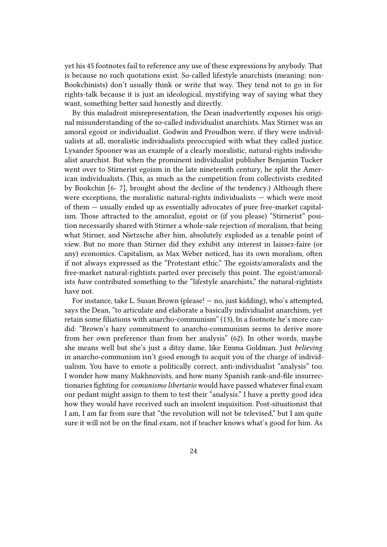yet his 45 footnotes fail to reference any use of these expressions by anybody. That is because no such quotations exist. So-called lifestyle anarchists (meaning: non-Bookchinists) don't usually think or write that way. They tend not to go in for rights-talk because it is just an ideological, mystifying way of saying what they want, something better said honestly and directly.

By this maladroit misrepresentation, the Dean inadvertently exposes his original misunderstanding of the so-called individualist anarchists. Max Stirner was an amoral egoist or individualist. Godwin and Proudhon were, if they were individualists at all, moralistic individualists preoccupied with what they called justice. Lysander Spooner was an example of a clearly moralistic, natural-rights individualist anarchist. But when the prominent individualist publisher Benjamin Tucker went over to Stirnerist egoism in the late nineteenth century, he split the American individualists. (This, as much as the competition from collectivists credited by Bookchin [6- 7], brought about the decline of the tendency.) Although there were exceptions, the moralistic natural-rights individualists  $-$  which were most of them — usually ended up as essentially advocates of pure free-market capitalism. Those attracted to the amoralist, egoist or (if you please) "Stirnerist" position necessarily shared with Stirner a whole-sale rejection of moralism, that being what Stirner, and Nietzsche after him, absolutely exploded as a tenable point of view. But no more than Stirner did they exhibit any interest in laissez-faire (or any) economics. Capitalism, as Max Weber noticed, has its own moralism, often if not always expressed as the "Protestant ethic." The egoists/amoralists and the free-market natural-rightists parted over precisely this point. The egoist/amoralists *have* contributed something to the "lifestyle anarchists," the natural-rightists have not.

For instance, take L. Susan Brown (please! — no, just kidding), who's attempted, says the Dean, "to articulate and elaborate a basically individualist anarchism, yet retain some filiations with anarcho-communism" (13), In a footnote he's more candid: "Brown's hazy commitment to anarcho-communism seems to derive more from her own preference than from her analysis" (62). In other words, maybe she means well but she's just a ditzy dame, like Emma Goldman. Just *believing* in anarcho-communism isn't good enough to acquit you of the charge of individualism. You have to emote a politically correct, anti-individualist "analysis" too. I wonder how many Makhnovists, and how many Spanish rank-and-file insurrectionaries fighting for *comunismo libertario* would have passed whatever final exam our pedant might assign to them to test their "analysis." I have a pretty good idea how they would have received such an insolent inquisition. Post-situationist that I am, I am far from sure that "the revolution will not be televised," but I am quite sure it will not be on the final exam, not if teacher knows what's good for him. As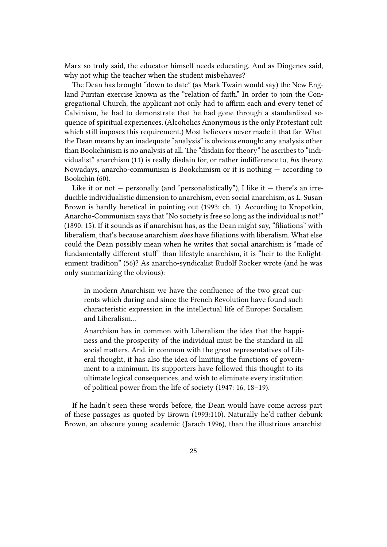Marx so truly said, the educator himself needs educating. And as Diogenes said, why not whip the teacher when the student misbehaves?

The Dean has brought "down to date" (as Mark Twain would say) the New England Puritan exercise known as the "relation of faith." In order to join the Congregational Church, the applicant not only had to affirm each and every tenet of Calvinism, he had to demonstrate that he had gone through a standardized sequence of spiritual experiences. (Alcoholics Anonymous is the only Protestant cult which still imposes this requirement.) Most believers never made it that far. What the Dean means by an inadequate "analysis" is obvious enough: any analysis other than Bookchinism is no analysis at all. The "disdain for theory" he ascribes to "individualist" anarchism (11) is really disdain for, or rather indifference to, *his* theory. Nowadays, anarcho-communism is Bookchinism or it is nothing — according to Bookchin (60).

Like it or not  $-$  personally (and "personalistically"), I like it  $-$  there's an irreducible individualistic dimension to anarchism, even social anarchism, as L. Susan Brown is hardly heretical in pointing out (1993: ch. 1). According to Kropotkin, Anarcho-Communism says that "No society is free so long as the individual is not!" (1890: 15). If it sounds as if anarchism has, as the Dean might say, "filiations" with liberalism, that's because anarchism *does* have filiations with liberalism. What else could the Dean possibly mean when he writes that social anarchism is "made of fundamentally different stuff" than lifestyle anarchism, it is "heir to the Enlightenment tradition" (56)? As anarcho-syndicalist Rudolf Rocker wrote (and he was only summarizing the obvious):

In modern Anarchism we have the confluence of the two great currents which during and since the French Revolution have found such characteristic expression in the intellectual life of Europe: Socialism and Liberalism…

Anarchism has in common with Liberalism the idea that the happiness and the prosperity of the individual must be the standard in all social matters. And, in common with the great representatives of Liberal thought, it has also the idea of limiting the functions of government to a minimum. Its supporters have followed this thought to its ultimate logical consequences, and wish to eliminate every institution of political power from the life of society (1947: 16, 18–19).

If he hadn't seen these words before, the Dean would have come across part of these passages as quoted by Brown (1993:110). Naturally he'd rather debunk Brown, an obscure young academic (Jarach 1996), than the illustrious anarchist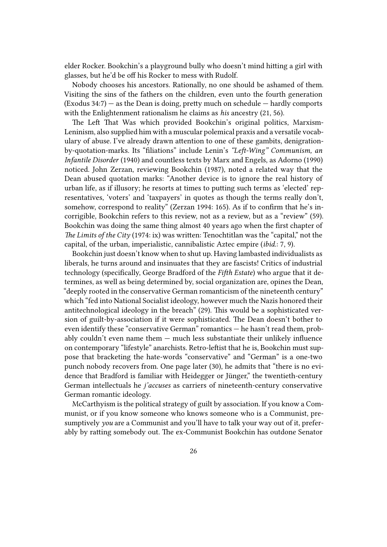elder Rocker. Bookchin's a playground bully who doesn't mind hitting a girl with glasses, but he'd be off his Rocker to mess with Rudolf.

Nobody chooses his ancestors. Rationally, no one should be ashamed of them. Visiting the sins of the fathers on the children, even unto the fourth generation (Exodus 34:7) — as the Dean is doing, pretty much on schedule — hardly comports with the Enlightenment rationalism he claims as *his* ancestry (21, 56).

The Left That Was which provided Bookchin's original politics, Marxism-Leninism, also supplied him with a muscular polemical praxis and a versatile vocabulary of abuse. I've already drawn attention to one of these gambits, denigrationby-quotation-marks. Its "filiations" include Lenin's *"Left-Wing" Communism, an Infantile Disorder* (1940) and countless texts by Marx and Engels, as Adorno (1990) noticed. John Zerzan, reviewing Bookchin (1987), noted a related way that the Dean abused quotation marks: "Another device is to ignore the real history of urban life, as if illusory; he resorts at times to putting such terms as 'elected' representatives, 'voters' and 'taxpayers' in quotes as though the terms really don't, somehow, correspond to reality" (Zerzan 1994: 165). As if to confirm that he's incorrigible, Bookchin refers to this review, not as a review, but as a "review" (59). Bookchin was doing the same thing almost 40 years ago when the first chapter of *The Limits of the City* (1974: ix) was written: Tenochtitlan was the "capital," not the capital, of the urban, imperialistic, cannibalistic Aztec empire (*ibid*.: 7, 9).

Bookchin just doesn't know when to shut up. Having lambasted individualists as liberals, he turns around and insinuates that they are fascists! Critics of industrial technology (specifically, George Bradford of the *Fifth Estate*) who argue that it determines, as well as being determined by, social organization are, opines the Dean, "deeply rooted in the conservative German romanticism of the nineteenth century" which "fed into National Socialist ideology, however much the Nazis honored their antitechnological ideology in the breach" (29). This would be a sophisticated version of guilt-by-association if it were sophisticated. The Dean doesn't bother to even identify these "conservative German" romantics — he hasn't read them, probably couldn't even name them — much less substantiate their unlikely influence on contemporary "lifestyle" anarchists. Retro-leftist that he is, Bookchin must suppose that bracketing the hate-words "conservative" and "German" is a one-two punch nobody recovers from. One page later (30), he admits that "there is no evidence that Bradford is familiar with Heidegger or Jünger," the twentieth-century German intellectuals he *j'accuses* as carriers of nineteenth-century conservative German romantic ideology.

McCarthyism is the political strategy of guilt by association. If you know a Communist, or if you know someone who knows someone who is a Communist, presumptively *you* are a Communist and you'll have to talk your way out of it, preferably by ratting somebody out. The ex-Communist Bookchin has outdone Senator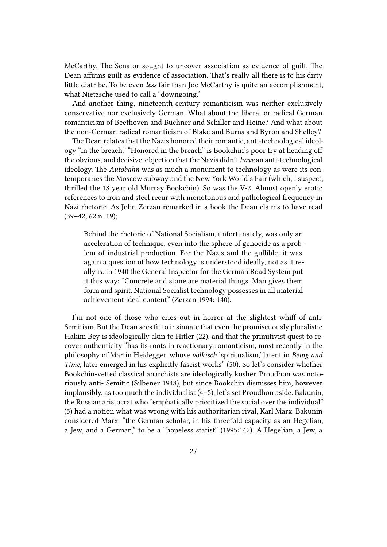McCarthy. The Senator sought to uncover association as evidence of guilt. The Dean affirms guilt as evidence of association. That's really all there is to his dirty little diatribe. To be even *less* fair than Joe McCarthy is quite an accomplishment, what Nietzsche used to call a "downgoing."

And another thing, nineteenth-century romanticism was neither exclusively conservative nor exclusively German. What about the liberal or radical German romanticism of Beethoven and Büchner and Schiller and Heine? And what about the non-German radical romanticism of Blake and Burns and Byron and Shelley?

The Dean relates that the Nazis honored their romantic, anti-technological ideology "in the breach." "Honored in the breach" is Bookchin's poor try at heading off the obvious, and decisive, objection that the Nazis didn't *have* an anti-technological ideology. The *Autobahn* was as much a monument to technology as were its contemporaries the Moscow subway and the New York World's Fair (which, I suspect, thrilled the 18 year old Murray Bookchin). So was the V-2. Almost openly erotic references to iron and steel recur with monotonous and pathological frequency in Nazi rhetoric. As John Zerzan remarked in a book the Dean claims to have read (39–42, 62 n. 19);

Behind the rhetoric of National Socialism, unfortunately, was only an acceleration of technique, even into the sphere of genocide as a problem of industrial production. For the Nazis and the gullible, it was, again a question of how technology is understood ideally, not as it really is. In 1940 the General Inspector for the German Road System put it this way: "Concrete and stone are material things. Man gives them form and spirit. National Socialist technology possesses in all material achievement ideal content" (Zerzan 1994: 140).

I'm not one of those who cries out in horror at the slightest whiff of anti-Semitism. But the Dean sees fit to insinuate that even the promiscuously pluralistic Hakim Bey is ideologically akin to Hitler (22), and that the primitivist quest to recover authenticity "has its roots in reactionary romanticism, most recently in the philosophy of Martin Heidegger, whose *völkisch* 'spiritualism,' latent in *Being and Time,* later emerged in his explicitly fascist works" (50). So let's consider whether Bookchin-vetted classical anarchists are ideologically kosher. Proudhon was notoriously anti- Semitic (Silbener 1948), but since Bookchin dismisses him, however implausibly, as too much the individualist (4–5), let's set Proudhon aside. Bakunin, the Russian aristocrat who "emphatically prioritized the social over the individual" (5) had a notion what was wrong with his authoritarian rival, Karl Marx. Bakunin considered Marx, "the German scholar, in his threefold capacity as an Hegelian, a Jew, and a German," to be a "hopeless statist" (1995:142). A Hegelian, a Jew, a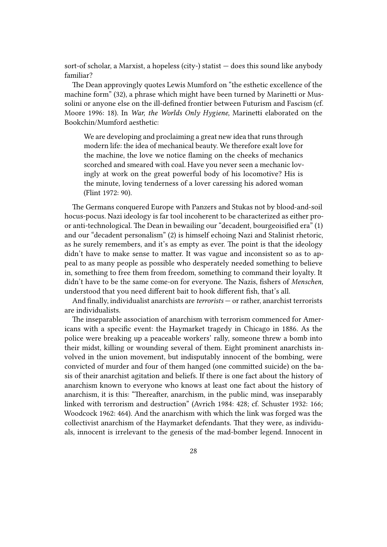sort-of scholar, a Marxist, a hopeless (city-) statist — does this sound like anybody familiar?

The Dean approvingly quotes Lewis Mumford on "the esthetic excellence of the machine form" (32), a phrase which might have been turned by Marinetti or Mussolini or anyone else on the ill-defined frontier between Futurism and Fascism (cf. Moore 1996: 18). In *War, the Worlds Only Hygiene*, Marinetti elaborated on the Bookchin/Mumford aesthetic:

We are developing and proclaiming a great new idea that runs through modern life: the idea of mechanical beauty. We therefore exalt love for the machine, the love we notice flaming on the cheeks of mechanics scorched and smeared with coal. Have you never seen a mechanic lovingly at work on the great powerful body of his locomotive? His is the minute, loving tenderness of a lover caressing his adored woman (Flint 1972: 90).

The Germans conquered Europe with Panzers and Stukas not by blood-and-soil hocus-pocus. Nazi ideology is far tool incoherent to be characterized as either proor anti-technological. The Dean in bewailing our "decadent, bourgeoisified era" (1) and our "decadent personalism" (2) is himself echoing Nazi and Stalinist rhetoric, as he surely remembers, and it's as empty as ever. The point is that the ideology didn't have to make sense to matter. It was vague and inconsistent so as to appeal to as many people as possible who desperately needed something to believe in, something to free them from freedom, something to command their loyalty. It didn't have to be the same come-on for everyone. The Nazis, fishers of *Menschen,* understood that you need different bait to hook different fish, that's all.

And finally, individualist anarchists are *terrorists* — or rather, anarchist terrorists are individualists.

The inseparable association of anarchism with terrorism commenced for Americans with a specific event: the Haymarket tragedy in Chicago in 1886. As the police were breaking up a peaceable workers' rally, someone threw a bomb into their midst, killing or wounding several of them. Eight prominent anarchists involved in the union movement, but indisputably innocent of the bombing, were convicted of murder and four of them hanged (one committed suicide) on the basis of their anarchist agitation and beliefs. If there is one fact about the history of anarchism known to everyone who knows at least one fact about the history of anarchism, it is this: "Thereafter, anarchism, in the public mind, was inseparably linked with terrorism and destruction" (Avrich 1984: 428; cf. Schuster 1932: 166; Woodcock 1962: 464). And the anarchism with which the link was forged was the collectivist anarchism of the Haymarket defendants. That they were, as individuals, innocent is irrelevant to the genesis of the mad-bomber legend. Innocent in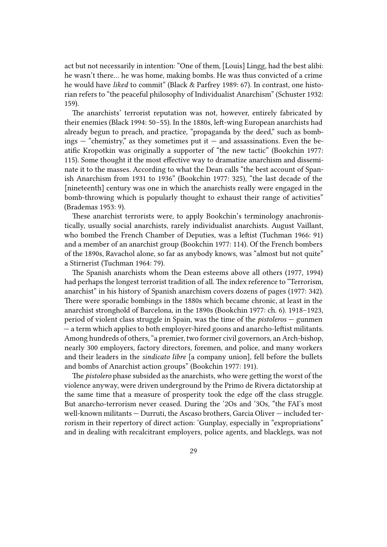act but not necessarily in intention: "One of them, [Louis] Lingg, had the best alibi: he wasn't there… he was home, making bombs. He was thus convicted of a crime he would have *liked* to commit" (Black & Parfrey 1989: 67). In contrast, one historian refers to "the peaceful philosophy of Individualist Anarchism" (Schuster 1932: 159).

The anarchists' terrorist reputation was not, however, entirely fabricated by their enemies (Black 1994: 50–55). In the 1880s, left-wing European anarchists had already begun to preach, and practice, "propaganda by the deed," such as bombings  $-$  "chemistry," as they sometimes put it  $-$  and assassinations. Even the beatific Kropotkin was originally a supporter of "the new tactic" (Bookchin 1977: 115). Some thought it the most effective way to dramatize anarchism and disseminate it to the masses. According to what the Dean calls "the best account of Spanish Anarchism from 1931 to 1936" (Bookchin 1977: 325), "the last decade of the [nineteenth] century was one in which the anarchists really were engaged in the bomb-throwing which is popularly thought to exhaust their range of activities" (Brademas 1953: 9).

These anarchist terrorists were, to apply Bookchin's terminology anachronistically, usually social anarchists, rarely individualist anarchists. August Vaillant, who bombed the French Chamber of Deputies, was a leftist (Tuchman 1966: 91) and a member of an anarchist group (Bookchin 1977: 114). Of the French bombers of the 1890s, Ravachol alone, so far as anybody knows, was "almost but not quite" a Stirnerist (Tuchman 1964: 79).

The Spanish anarchists whom the Dean esteems above all others (1977, 1994) had perhaps the longest terrorist tradition of all. The index reference to "Terrorism, anarchist" in his history of Spanish anarchism covers dozens of pages (1977: 342). There were sporadic bombings in the 1880s which became chronic, at least in the anarchist stronghold of Barcelona, in the 1890s (Bookchin 1977: ch. 6). 1918–1923, period of violent class struggle in Spain, was the time of the *pistoleros* — gunmen — a term which applies to both employer-hired goons and anarcho-leftist militants. Among hundreds of others, "a premier, two former civil governors, an Arch-bishop, nearly 300 employers, factory directors, foremen, and police, and many workers and their leaders in the *sindicato libre* [a company union], fell before the bullets and bombs of Anarchist action groups" (Bookchin 1977: 191).

The *pistolero* phase subsided as the anarchists, who were getting the worst of the violence anyway, were driven underground by the Primo de Rivera dictatorship at the same time that a measure of prosperity took the edge off the class struggle. But anarcho-terrorism never ceased. During the '2Os and '3Os, "the FAI's most well-known militants — Durruti, the Ascaso brothers, Garcia Oliver — included terrorism in their repertory of direct action: 'Gunplay, especially in "expropriations" and in dealing with recalcitrant employers, police agents, and blacklegs, was not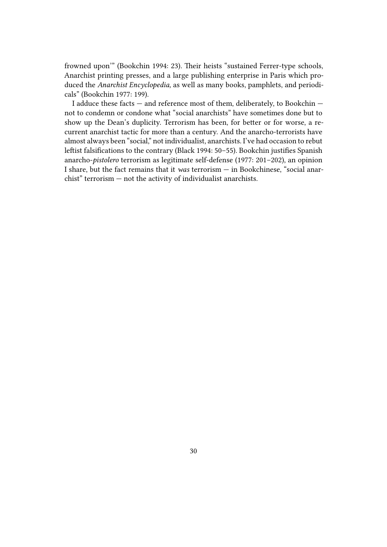frowned upon'" (Bookchin 1994: 23). Their heists "sustained Ferrer-type schools, Anarchist printing presses, and a large publishing enterprise in Paris which produced the *Anarchist Encyclopedia,* as well as many books, pamphlets, and periodicals" (Bookchin 1977: 199).

I adduce these facts — and reference most of them, deliberately, to Bookchin not to condemn or condone what "social anarchists" have sometimes done but to show up the Dean's duplicity. Terrorism has been, for better or for worse, a recurrent anarchist tactic for more than a century. And the anarcho-terrorists have almost always been "social," not individualist, anarchists. I've had occasion to rebut leftist falsifications to the contrary (Black 1994: 50–55). Bookchin justifies Spanish anarcho-*pistolero* terrorism as legitimate self-defense (1977: 201–202), an opinion I share, but the fact remains that it *was* terrorism — in Bookchinese, "social anarchist" terrorism — not the activity of individualist anarchists.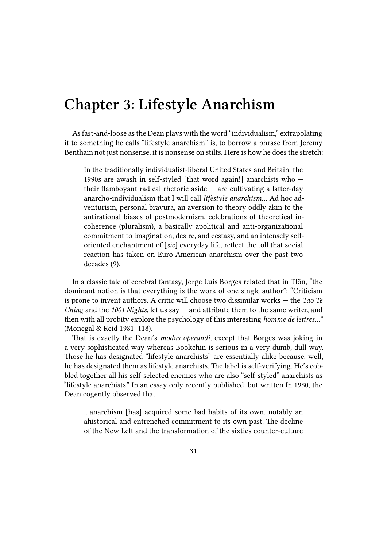#### <span id="page-30-0"></span>**Chapter 3: Lifestyle Anarchism**

As fast-and-loose as the Dean plays with the word "individualism," extrapolating it to something he calls "lifestyle anarchism" is, to borrow a phrase from Jeremy Bentham not just nonsense, it is nonsense on stilts. Here is how he does the stretch:

In the traditionally individualist-liberal United States and Britain, the 1990s are awash in self-styled [that word again!] anarchists who their flamboyant radical rhetoric aside  $-$  are cultivating a latter-day anarcho-individualism that I will call *lifestyle anarchism*… Ad hoc adventurism, personal bravura, an aversion to theory oddly akin to the antirational biases of postmodernism, celebrations of theoretical incoherence (pluralism), a basically apolitical and anti-organizational commitment to imagination, desire, and ecstasy, and an intensely selforiented enchantment of [*sic*] everyday life, reflect the toll that social reaction has taken on Euro-American anarchism over the past two decades (9).

In a classic tale of cerebral fantasy, Jorge Luis Borges related that in Tlön, "the dominant notion is that everything is the work of one single author": "Criticism is prone to invent authors. A critic will choose two dissimilar works — the *Tao Te Ching* and the *1001 Nights*, let us say — and attribute them to the same writer, and then with all probity explore the psychology of this interesting *homme de lettres…*" (Monegal & Reid 1981: 118).

That is exactly the Dean's *modus operandi,* except that Borges was joking in a very sophisticated way whereas Bookchin is serious in a very dumb, dull way. Those he has designated "lifestyle anarchists" are essentially alike because, well, he has designated them as lifestyle anarchists. The label is self-verifying. He's cobbled together all his self-selected enemies who are also "self-styled" anarchists as "lifestyle anarchists." In an essay only recently published, but written In 1980, the Dean cogently observed that

…anarchism [has] acquired some bad habits of its own, notably an ahistorical and entrenched commitment to its own past. The decline of the New Left and the transformation of the sixties counter-culture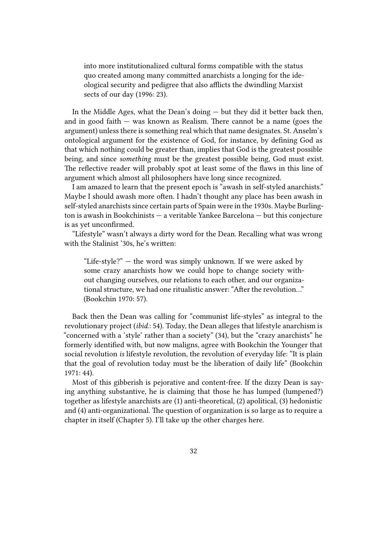into more institutionalized cultural forms compatible with the status quo created among many committed anarchists a longing for the ideological security and pedigree that also afflicts the dwindling Marxist sects of our day (1996: 23).

In the Middle Ages, what the Dean's doing  $-$  but they did it better back then, and in good faith  $-$  was known as Realism. There cannot be a name (goes the argument) unless there is something real which that name designates. St. Anselm's ontological argument for the existence of God, for instance, by defining God as that which nothing could be greater than, implies that God is the greatest possible being, and since *something* must be the greatest possible being, God must exist. The reflective reader will probably spot at least some of the flaws in this line of argument which almost all philosophers have long since recognized.

I am amazed to learn that the present epoch is "awash in self-styled anarchists." Maybe I should awash more often. I hadn't thought any place has been awash in self-styled anarchists since certain parts of Spain were in the 1930s. Maybe Burlington is awash in Bookchinists — a veritable Yankee Barcelona — but this conjecture is as yet unconfirmed.

"Lifestyle" wasn't always a dirty word for the Dean. Recalling what was wrong with the Stalinist '30s, he's written:

"Life-style?" — the word was simply unknown. If we were asked by some crazy anarchists how we could hope to change society without changing ourselves, our relations to each other, and our organizational structure, we had one ritualistic answer: "After the revolution…" (Bookchin 1970: 57).

Back then the Dean was calling for "communist life-styles" as integral to the revolutionary project (*ibid*.: 54). Today, the Dean alleges that lifestyle anarchism is "concerned with a 'style' rather than a society" (34), but the "crazy anarchists" he formerly identified with, but now maligns, agree with Bookchin the Younger that social revolution *is* lifestyle revolution, the revolution of everyday life: "It is plain that the goal of revolution today must be the liberation of daily life" (Bookchin 1971: 44).

Most of this gibberish is pejorative and content-free. If the dizzy Dean is saying anything substantive, he is claiming that those he has lumped (lumpened?) together as lifestyle anarchists are (1) anti-theoretical, (2) apolitical, (3) hedonistic and (4) anti-organizational. The question of organization is so large as to require a chapter in itself (Chapter 5). I'll take up the other charges here.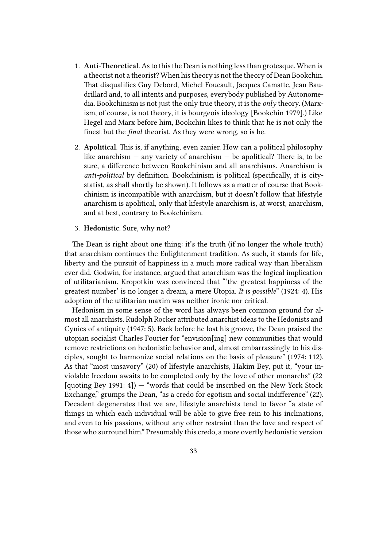- 1. **Anti-Theoretical**. As to this the Dean is nothing less than grotesque. When is a theorist not a theorist? When his theory is not the theory of Dean Bookchin. That disqualifies Guy Debord, Michel Foucault, Jacques Camatte, Jean Baudrillard and, to all intents and purposes, everybody published by Autonomedia. Bookchinism is not just the only true theory, it is the *only* theory. (Marxism, of course, is not theory, it is bourgeois ideology [Bookchin 1979].) Like Hegel and Marx before him, Bookchin likes to think that he is not only the finest but the *final* theorist. As they were wrong, so is he.
- 2. **Apolitical**. This is, if anything, even zanier. How can a political philosophy like anarchism  $-$  any variety of anarchism  $-$  be apolitical? There is, to be sure, a difference between Bookchinism and all anarchisms. Anarchism is *anti-political* by definition. Bookchinism is political (specifically, it is citystatist, as shall shortly be shown). It follows as a matter of course that Bookchinism is incompatible with anarchism, but it doesn't follow that lifestyle anarchism is apolitical, only that lifestyle anarchism is, at worst, anarchism, and at best, contrary to Bookchinism.
- 3. **Hedonistic**. Sure, why not?

The Dean is right about one thing: it's the truth (if no longer the whole truth) that anarchism continues the Enlightenment tradition. As such, it stands for life, liberty and the pursuit of happiness in a much more radical way than liberalism ever did. Godwin, for instance, argued that anarchism was the logical implication of utilitarianism. Kropotkin was convinced that "'the greatest happiness of the greatest number' is no longer a dream, a mere Utopia. *It is possible*" (1924: 4). His adoption of the utilitarian maxim was neither ironic nor critical.

Hedonism in some sense of the word has always been common ground for almost all anarchists. Rudolph Rocker attributed anarchist ideas to the Hedonists and Cynics of antiquity (1947: 5). Back before he lost his groove, the Dean praised the utopian socialist Charles Fourier for "envision[ing] new communities that would remove restrictions on hedonistic behavior and, almost embarrassingly to his disciples, sought to harmonize social relations on the basis of pleasure" (1974: 112). As that "most unsavory" (20) of lifestyle anarchists, Hakim Bey, put it, "your inviolable freedom awaits to be completed only by the love of other monarchs" (22 [quoting Bey 1991: 4]) — "words that could be inscribed on the New York Stock Exchange," grumps the Dean, "as a credo for egotism and social indifference" (22). Decadent degenerates that we are, lifestyle anarchists tend to favor "a state of things in which each individual will be able to give free rein to his inclinations, and even to his passions, without any other restraint than the love and respect of those who surround him." Presumably this credo, a more overtly hedonistic version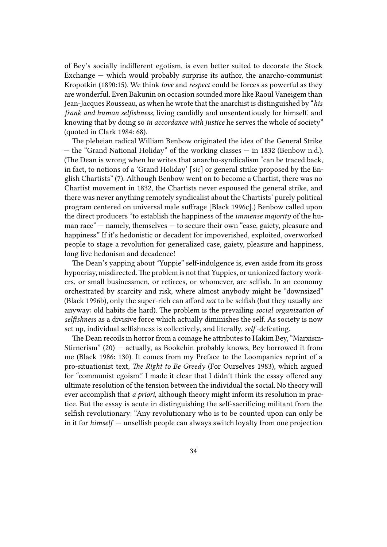of Bey's socially indifferent egotism, is even better suited to decorate the Stock Exchange  $-$  which would probably surprise its author, the anarcho-communist Kropotkin (1890:15). We think *love* and *respect* could be forces as powerful as they are wonderful. Even Bakunin on occasion sounded more like Raoul Vaneigem than Jean-Jacques Rousseau, as when he wrote that the anarchist is distinguished by "*his frank and human selfishness*, living candidly and unsententiously for himself, and knowing that by doing so *in accordance with justice* he serves the whole of society" (quoted in Clark 1984: 68).

The plebeian radical William Benbow originated the idea of the General Strike — the "Grand National Holiday" of the working classes — in 1832 (Benbow n.d.). (The Dean is wrong when he writes that anarcho-syndicalism "can be traced back, in fact, to notions of a 'Grand Holiday' [*sic*] or general strike proposed by the English Chartists" (7). Although Benbow went on to become a Chartist, there was no Chartist movement in 1832, the Chartists never espoused the general strike, and there was never anything remotely syndicalist about the Chartists' purely political program centered on universal male suffrage [Black 1996c].) Benbow called upon the direct producers "to establish the happiness of the *immense majority* of the human race" — namely, themselves — to secure their own "ease, gaiety, pleasure and happiness." If it's hedonistic or decadent for impoverished, exploited, overworked people to stage a revolution for generalized case, gaiety, pleasure and happiness, long live hedonism and decadence!

The Dean's yapping about "Yuppie" self-indulgence is, even aside from its gross hypocrisy, misdirected. The problem is not that Yuppies, or unionized factory workers, or small businessmen, or retirees, or whomever, are selfish. In an economy orchestrated by scarcity and risk, where almost anybody might be "downsized" (Black 1996b), only the super-rich can afford *not* to be selfish (but they usually are anyway: old habits die hard). The problem is the prevailing *social organization of selfishness* as a divisive force which actually diminishes the self. As society is now set up, individual selfishness is collectively, and literally, *self* -defeating.

The Dean recoils in horror from a coinage he attributes to Hakim Bey, "Marxism-Stirnerism" (20) — actually, as Bookchin probably knows, Bey borrowed it from me (Black 1986: 130). It comes from my Preface to the Loompanics reprint of a pro-situationist text, *The Right to Be Greedy* (For Ourselves 1983), which argued for "communist egoism." I made it clear that I didn't think the essay offered any ultimate resolution of the tension between the individual the social. No theory will ever accomplish that *a priori*, although theory might inform its resolution in practice. But the essay is acute in distinguishing the self-sacrificing militant from the selfish revolutionary: "Any revolutionary who is to be counted upon can only be in it for *himself* — unselfish people can always switch loyalty from one projection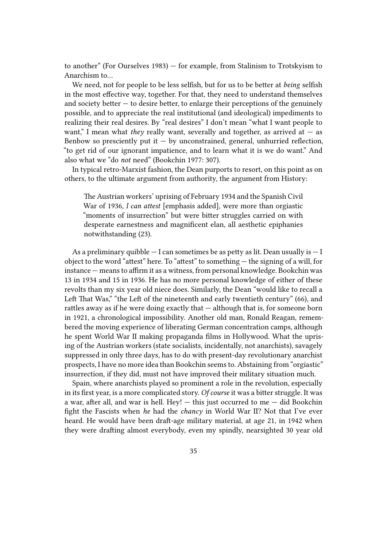to another" (For Ourselves 1983) — for example, from Stalinism to Trotskyism to Anarchism to…

We need, not for people to be less selfish, but for us to be better at *being* selfish in the most effective way, together. For that, they need to understand themselves and society better  $-$  to desire better, to enlarge their perceptions of the genuinely possible, and to appreciate the real institutional (and ideological) impediments to realizing their real desires. By "real desires" I don't mean "what I want people to want," I mean what *they* really want, severally and together, as arrived at  $-$  as Benbow so presciently put it  $-$  by unconstrained, general, unhurried reflection, "to get rid of our ignorant impatience, and to learn what it is we do want." And also what we "do *not* need" (Bookchin 1977: 307).

In typical retro-Marxist fashion, the Dean purports to resort, on this point as on others, to the ultimate argument from authority, the argument from History:

The Austrian workers' uprising of February 1934 and the Spanish Civil War of 1936, *I can attest* [emphasis added], were more than orgiastic "moments of insurrection" but were bitter struggles carried on with desperate earnestness and magnificent elan, all aesthetic epiphanies notwithstanding (23).

As a preliminary quibble  $-$  I can sometimes be as petty as lit. Dean usually is  $-$  I object to the word "attest" here. To "attest" to something — the signing of a will, for instance — means to affirm it as a witness, from personal knowledge. Bookchin was 13 in 1934 and 15 in 1936. He has no more personal knowledge of either of these revolts than my six year old niece does. Similarly, the Dean "would like to recall a Left That Was," "the Left of the nineteenth and early twentieth century" (66), and rattles away as if he were doing exactly that — although that is, for someone born in 1921, a chronological impossibility. Another old man, Ronald Reagan, remembered the moving experience of liberating German concentration camps, although he spent World War II making propaganda films in Hollywood. What the uprising of the Austrian workers (state socialists, incidentally, not anarchists), savagely suppressed in only three days, has to do with present-day revolutionary anarchist prospects, I have no more idea than Bookchin seems to. Abstaining from "orgiastic" insurrection, if they did, must not have improved their military situation much.

Spain, where anarchists played so prominent a role in the revolution, especially in its first year, is a more complicated story. *Of course* it was a bitter struggle. It was a war, after all, and war is hell. Hey!  $-$  this just occurred to me  $-$  did Bookchin fight the Fascists when *he* had the *chancy* in World War II? Not that I've ever heard. He would have been draft-age military material, at age 21, in 1942 when they were drafting almost everybody, even my spindly, nearsighted 30 year old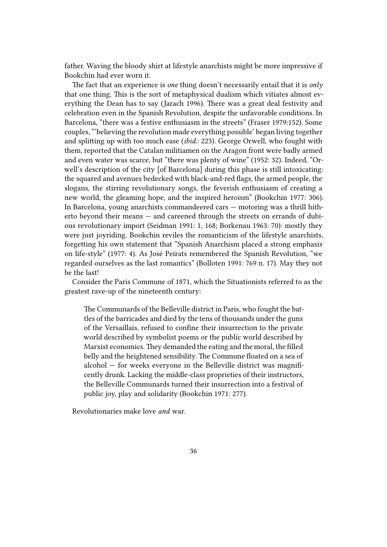father. Waving the bloody shirt at lifestyle anarchists might be more impressive if Bookchin had ever worn it.

The fact that an experience is *one* thing doesn't necessarily entail that it is *only* that one thing. This is the sort of metaphysical dualism which vitiates almost everything the Dean has to say (Jarach 1996). There was a great deal festivity and celebration even in the Spanish Revolution, despite the unfavorable conditions. In Barcelona, "there was a festive enthusiasm in the streets" (Fraser 1979:152). Some couples, "'believing the revolution made everything possible' began living together and splitting up with too much ease (*ibid*.: 223). George Orwell, who fought with them, reported that the Catalan militiamen on the Aragon front were badly armed and even water was scarce, but "there was plenty of wine" (1952: 32). Indeed, "Orwell's description of the city [of Barcelona] during this phase is still intoxicating: the squared and avenues bedecked with black-and-red flags, the armed people, the slogans, the stirring revolutionary songs, the feverish enthusiasm of creating a new world, the gleaming hope, and the inspired heroism" (Bookchin 1977: 306). In Barcelona, young anarchists commandeered cars — motoring was a thrill hitherto beyond their means — and careened through the streets on errands of dubious revolutionary import (Seidman 1991: 1, 168; Borkenau 1963: 70): mostly they were just joyriding. Bookchin reviles the romanticism of the lifestyle anarchists, forgetting his own statement that "Spanish Anarchism placed a strong emphasis on life-style" (1977: 4). As José Peirats remembered the Spanish Revolution, "we regarded ourselves as the last romantics" (Bolloten 1991: 769 n. 17). May they not be the last!

Consider the Paris Commune of 1871, which the Situationists referred to as the greatest rave-up of the nineteenth century:

The Communards of the Belleville district in Paris, who fought the battles of the barricades and died by the tens of thousands under the guns of the Versaillais, refused to confine their insurrection to the private world described by symbolist poems or the public world described by Marxist economics.They demanded the eating and the moral, the filled belly and the heightened sensibility. The Commune floated on a sea of alcohol — for weeks everyone in the Belleville district was magnificently drunk. Lacking the middle-class proprieties of their instructors, the Belleville Communards turned their insurrection into a festival of public joy, play and solidarity (Bookchin 1971: 277).

Revolutionaries make love *and* war.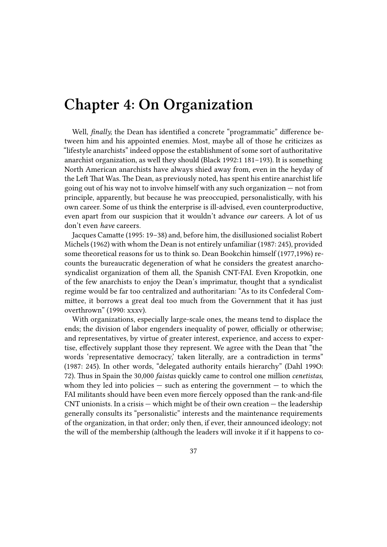## **Chapter 4: On Organization**

Well, *finally,* the Dean has identified a concrete "programmatic" difference between him and his appointed enemies. Most, maybe all of those he criticizes as "lifestyle anarchists" indeed oppose the establishment of some sort of authoritative anarchist organization, as well they should (Black 1992:1 181–193). It is something North American anarchists have always shied away from, even in the heyday of the Left That Was. The Dean, as previously noted, has spent his entire anarchist life going out of his way not to involve himself with any such organization — not from principle, apparently, but because he was preoccupied, personalistically, with his own career. Some of us think the enterprise is ill-advised, even counterproductive, even apart from our suspicion that it wouldn't advance *our* careers. A lot of us don't even *have* careers.

Jacques Camatte (1995: 19–38) and, before him, the disillusioned socialist Robert Michels (1962) with whom the Dean is not entirely unfamiliar (1987: 245), provided some theoretical reasons for us to think so. Dean Bookchin himself (1977,1996) recounts the bureaucratic degeneration of what he considers the greatest anarchosyndicalist organization of them all, the Spanish CNT-FAI. Even Kropotkin, one of the few anarchists to enjoy the Dean's imprimatur, thought that a syndicalist regime would be far too centralized and authoritarian: "As to its Confederal Committee, it borrows a great deal too much from the Government that it has just overthrown" (1990: xxxv).

With organizations, especially large-scale ones, the means tend to displace the ends; the division of labor engenders inequality of power, officially or otherwise; and representatives, by virtue of greater interest, experience, and access to expertise, effectively supplant those they represent. We agree with the Dean that "the words 'representative democracy,' taken literally, are a contradiction in terms" (1987: 245). In other words, "delegated authority entails hierarchy" (Dahl 199O: 72). Thus in Spain the 30,000 *faistas* quickly came to control one million *cenetistas*, whom they led into policies  $-$  such as entering the government  $-$  to which the FAI militants should have been even more fiercely opposed than the rank-and-file CNT unionists. In a crisis — which might be of their own creation — the leadership generally consults its "personalistic" interests and the maintenance requirements of the organization, in that order; only then, if ever, their announced ideology; not the will of the membership (although the leaders will invoke it if it happens to co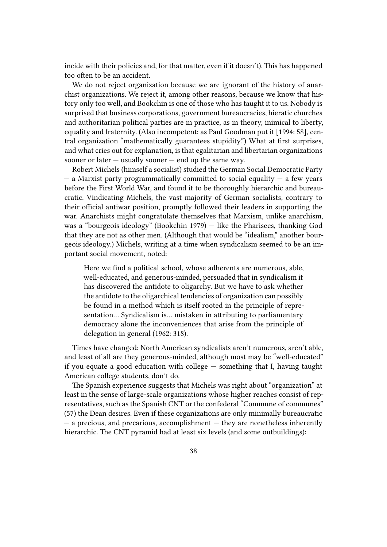incide with their policies and, for that matter, even if it doesn't). This has happened too often to be an accident.

We do not reject organization because we are ignorant of the history of anarchist organizations. We reject it, among other reasons, because we know that history only too well, and Bookchin is one of those who has taught it to us. Nobody is surprised that business corporations, government bureaucracies, hieratic churches and authoritarian political parties are in practice, as in theory, inimical to liberty, equality and fraternity. (Also incompetent: as Paul Goodman put it [1994: 58], central organization "mathematically guarantees stupidity.") What at first surprises, and what cries out for explanation, is that egalitarian and libertarian organizations sooner or later  $-$  usually sooner  $-$  end up the same way.

Robert Michels (himself a socialist) studied the German Social Democratic Party  $-$  a Marxist party programmatically committed to social equality  $-$  a few years before the First World War, and found it to be thoroughly hierarchic and bureaucratic. Vindicating Michels, the vast majority of German socialists, contrary to their official antiwar position, promptly followed their leaders in supporting the war. Anarchists might congratulate themselves that Marxism, unlike anarchism, was a "bourgeois ideology" (Bookchin 1979) — like the Pharisees, thanking God that they are not as other men. (Although that would be "idealism," another bourgeois ideology.) Michels, writing at a time when syndicalism seemed to be an important social movement, noted:

Here we find a political school, whose adherents are numerous, able, well-educated, and generous-minded, persuaded that in syndicalism it has discovered the antidote to oligarchy. But we have to ask whether the antidote to the oligarchical tendencies of organization can possibly be found in a method which is itself rooted in the principle of representation… Syndicalism is… mistaken in attributing to parliamentary democracy alone the inconveniences that arise from the principle of delegation in general (1962: 318).

Times have changed: North American syndicalists aren't numerous, aren't able, and least of all are they generous-minded, although most may be "well-educated" if you equate a good education with college — something that I, having taught American college students, don't do.

The Spanish experience suggests that Michels was right about "organization" at least in the sense of large-scale organizations whose higher reaches consist of representatives, such as the Spanish CNT or the confederal "Commune of communes" (57) the Dean desires. Even if these organizations are only minimally bureaucratic — a precious, and precarious, accomplishment — they are nonetheless inherently hierarchic. The CNT pyramid had at least six levels (and some outbuildings):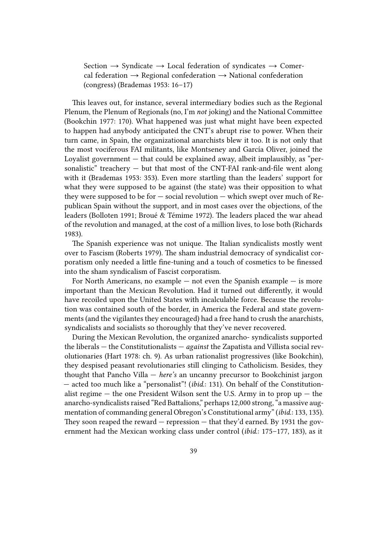Section  $\rightarrow$  Syndicate  $\rightarrow$  Local federation of syndicates  $\rightarrow$  Comercal federation  $\rightarrow$  Regional confederation  $\rightarrow$  National confederation (congress) (Brademas 1953: 16–17)

This leaves out, for instance, several intermediary bodies such as the Regional Plenum, the Plenum of Regionals (no, I'm *not* joking) and the National Committee (Bookchin 1977: 170). What happened was just what might have been expected to happen had anybody anticipated the CNT's abrupt rise to power. When their turn came, in Spain, the organizational anarchists blew it too. It is not only that the most vociferous FAI militants, like Montseney and García Oliver, joined the Loyalist government — that could be explained away, albeit implausibly, as "personalistic" treachery — but that most of the CNT-FAI rank-and-file went along with it (Brademas 1953: 353). Even more startling than the leaders' support for what they were supposed to be against (the state) was their opposition to what they were supposed to be for — social revolution — which swept over much of Republican Spain without the support, and in most cases over the objections, of the leaders (Bolloten 1991; Broué & Témime 1972). The leaders placed the war ahead of the revolution and managed, at the cost of a million lives, to lose both (Richards 1983).

The Spanish experience was not unique. The Italian syndicalists mostly went over to Fascism (Roberts 1979). The sham industrial democracy of syndicalist corporatism only needed a little fine-tuning and a touch of cosmetics to be finessed into the sham syndicalism of Fascist corporatism.

For North Americans, no example  $-$  not even the Spanish example  $-$  is more important than the Mexican Revolution. Had it turned out differently, it would have recoiled upon the United States with incalculable force. Because the revolution was contained south of the border, in America the Federal and state governments (and the vigilantes they encouraged) had a free hand to crush the anarchists, syndicalists and socialists so thoroughly that they've never recovered.

During the Mexican Revolution, the organized anarcho- syndicalists supported the liberals — the Constitutionalists — *against* the Zapatista and Villista social revolutionaries (Hart 1978: ch. 9). As urban rationalist progressives (like Bookchin), they despised peasant revolutionaries still clinging to Catholicism. Besides, they thought that Pancho Villa — *here's* an uncanny precursor to Bookchinist jargon — acted too much like a "personalist"! (*ibid*.: 131). On behalf of the Constitutionalist regime  $-$  the one President Wilson sent the U.S. Army in to prop up  $-$  the anarcho-syndicalists raised "Red Battalions," perhaps 12,000 strong, "a massive augmentation of commanding general Obregon's Constitutional army" (*ibid*.: 133, 135). They soon reaped the reward — repression — that they'd earned. By 1931 the government had the Mexican working class under control (*ibid*.: 175–177, 183), as it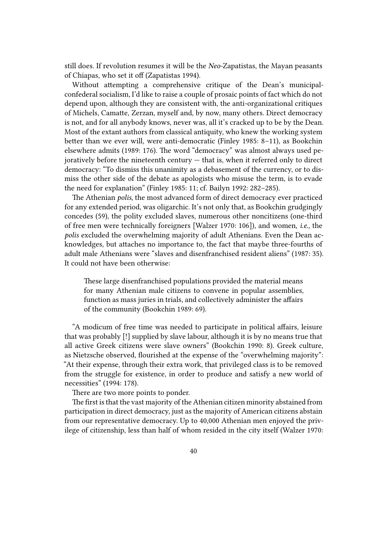still does. If revolution resumes it will be the *Neo-*Zapatistas, the Mayan peasants of Chiapas, who set it off (Zapatistas 1994).

Without attempting a comprehensive critique of the Dean's municipalconfederal socialism, I'd like to raise a couple of prosaic points of fact which do not depend upon, although they are consistent with, the anti-organizational critiques of Michels, Camatte, Zerzan, myself and, by now, many others. Direct democracy is not, and for all anybody knows, never was, all it's cracked up to be by the Dean. Most of the extant authors from classical antiquity, who knew the working system better than we ever will, were anti-democratic (Finley 1985: 8–11), as Bookchin elsewhere admits (1989: 176). The word "democracy" was almost always used pejoratively before the nineteenth century — that is, when it referred only to direct democracy: "To dismiss this unanimity as a debasement of the currency, or to dismiss the other side of the debate as apologists who misuse the term, is to evade the need for explanation" (Finley 1985: 11; cf. Bailyn 1992: 282–285).

The Athenian *polis*, the most advanced form of direct democracy ever practiced for any extended period, was oligarchic. It's not only that, as Bookchin grudgingly concedes (59), the polity excluded slaves, numerous other noncitizens (one-third of free men were technically foreigners [Walzer 1970: 106]), and women, *i.e.,* the *polis* excluded the overwhelming majority of adult Athenians. Even the Dean acknowledges, but attaches no importance to, the fact that maybe three-fourths of adult male Athenians were "slaves and disenfranchised resident aliens" (1987: 35). It could not have been otherwise:

These large disenfranchised populations provided the material means for many Athenian male citizens to convene in popular assemblies, function as mass juries in trials, and collectively administer the affairs of the community (Bookchin 1989: 69).

"A modicum of free time was needed to participate in political affairs, leisure that was probably [!] supplied by slave labour, although it is by no means true that all active Greek citizens were slave owners" (Bookchin 1990: 8). Greek culture, as Nietzsche observed, flourished at the expense of the "overwhelming majority": "At their expense, through their extra work, that privileged class is to be removed from the struggle for existence, in order to produce and satisfy a new world of necessities" (1994: 178).

There are two more points to ponder.

The first is that the vast majority of the Athenian citizen minority abstained from participation in direct democracy, just as the majority of American citizens abstain from our representative democracy. Up to 40,000 Athenian men enjoyed the privilege of citizenship, less than half of whom resided in the city itself (Walzer 1970: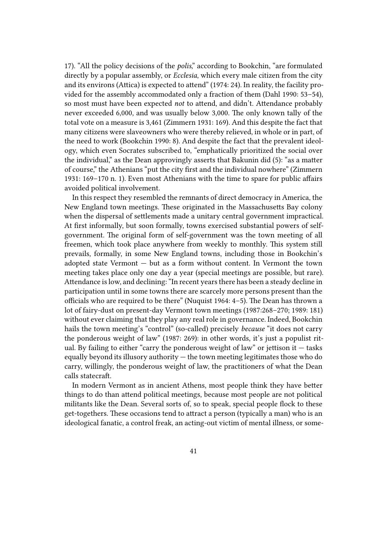17). "All the policy decisions of the *polis*," according to Bookchin, "are formulated directly by a popular assembly, or *Ecclesia*, which every male citizen from the city and its environs (Attica) is expected to attend" (1974: 24). In reality, the facility provided for the assembly accommodated only a fraction of them (Dahl 1990: 53–54), so most must have been expected *not* to attend, and didn't. Attendance probably never exceeded 6,000, and was usually below 3,000. The only known tally of the total vote on a measure is 3,461 (Zimmern 1931: 169). And this despite the fact that many citizens were slaveowners who were thereby relieved, in whole or in part, of the need to work (Bookchin 1990: 8). And despite the fact that the prevalent ideology, which even Socrates subscribed to, "emphatically prioritized the social over the individual," as the Dean approvingly asserts that Bakunin did (5): "as a matter of course," the Athenians "put the city first and the individual nowhere" (Zimmern 1931: 169–170 n. 1). Even most Athenians with the time to spare for public affairs avoided political involvement.

In this respect they resembled the remnants of direct democracy in America, the New England town meetings. These originated in the Massachusetts Bay colony when the dispersal of settlements made a unitary central government impractical. At first informally, but soon formally, towns exercised substantial powers of selfgovernment. The original form of self-government was the town meeting of all freemen, which took place anywhere from weekly to monthly. This system still prevails, formally, in some New England towns, including those in Bookchin's adopted state Vermont — but as a form without content. In Vermont the town meeting takes place only one day a year (special meetings are possible, but rare). Attendance is low, and declining: "In recent years there has been a steady decline in participation until in some towns there are scarcely more persons present than the officials who are required to be there" (Nuquist 1964: 4–5). The Dean has thrown a lot of fairy-dust on present-day Vermont town meetings (1987:268–270; 1989: 181) without ever claiming that they play any real role in governance. Indeed, Bookchin hails the town meeting's "control" (so-called) precisely *because* "it does not carry the ponderous weight of law" (1987: 269): in other words, it's just a populist ritual. By failing to either "carry the ponderous weight of law" or jettison it  $-$  tasks equally beyond its illusory authority — the town meeting legitimates those who do carry, willingly, the ponderous weight of law, the practitioners of what the Dean calls statecraft.

In modern Vermont as in ancient Athens, most people think they have better things to do than attend political meetings, because most people are not political militants like the Dean. Several sorts of, so to speak, special people flock to these get-togethers. These occasions tend to attract a person (typically a man) who is an ideological fanatic, a control freak, an acting-out victim of mental illness, or some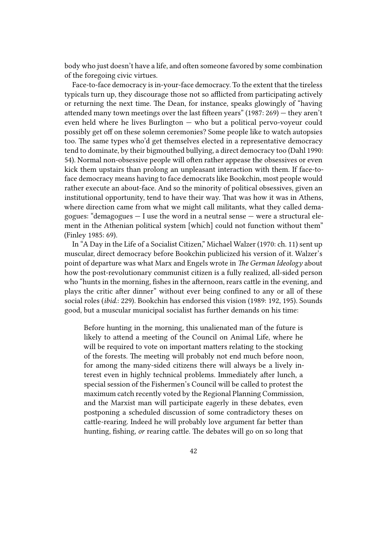body who just doesn't have a life, and often someone favored by some combination of the foregoing civic virtues.

Face-to-face democracy is in-your-face democracy. To the extent that the tireless typicals turn up, they discourage those not so afflicted from participating actively or returning the next time. The Dean, for instance, speaks glowingly of "having attended many town meetings over the last fifteen years" (1987: 269) — they aren't even held where he lives Burlington — who but a political pervo-voyeur could possibly get off on these solemn ceremonies? Some people like to watch autopsies too. The same types who'd get themselves elected in a representative democracy tend to dominate, by their bigmouthed bullying, a direct democracy too (Dahl 1990: 54). Normal non-obsessive people will often rather appease the obsessives or even kick them upstairs than prolong an unpleasant interaction with them. If face-toface democracy means having to face democrats like Bookchin, most people would rather execute an about-face. And so the minority of political obsessives, given an institutional opportunity, tend to have their way. That was how it was in Athens, where direction came from what we might call militants, what they called demagogues: "demagogues  $-1$  use the word in a neutral sense  $-$  were a structural element in the Athenian political system [which] could not function without them" (Finley 1985: 69).

In "A Day in the Life of a Socialist Citizen," Michael Walzer (1970: ch. 11) sent up muscular, direct democracy before Bookchin publicized his version of it. Walzer's point of departure was what Marx and Engels wrote in *The German Ideology* about how the post-revolutionary communist citizen is a fully realized, all-sided person who "hunts in the morning, fishes in the afternoon, rears cattle in the evening, and plays the critic after dinner" without ever being confined to any or all of these social roles (*ibid*.: 229). Bookchin has endorsed this vision (1989: 192, 195). Sounds good, but a muscular municipal socialist has further demands on his time:

Before hunting in the morning, this unalienated man of the future is likely to attend a meeting of the Council on Animal Life, where he will be required to vote on important matters relating to the stocking of the forests. The meeting will probably not end much before noon, for among the many-sided citizens there will always be a lively interest even in highly technical problems. Immediately after lunch, a special session of the Fishermen's Council will be called to protest the maximum catch recently voted by the Regional Planning Commission, and the Marxist man will participate eagerly in these debates, even postponing a scheduled discussion of some contradictory theses on cattle-rearing. Indeed he will probably love argument far better than hunting, fishing, *or* rearing cattle. The debates will go on so long that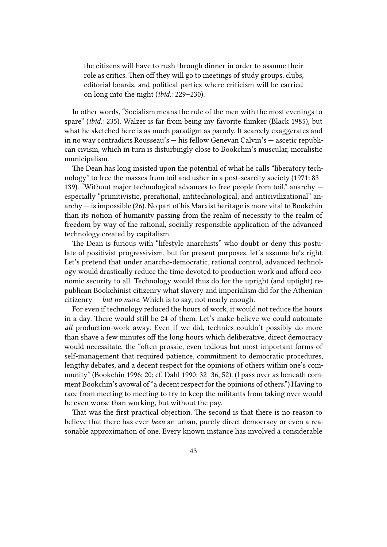the citizens will have to rush through dinner in order to assume their role as critics. Then off they will go to meetings of study groups, clubs, editorial boards, and political parties where criticism will be carried on long into the night (*ibid*.: 229–230).

In other words, "Socialism means the rule of the men with the most evenings to spare" (*ibid*.: 235). Walzer is far from being my favorite thinker (Black 1985), but what he sketched here is as much paradigm as parody. It scarcely exaggerates and in no way contradicts Rousseau's — his fellow Genevan Calvin's — ascetic republican civism, which in turn is disturbingly close to Bookchin's muscular, moralistic municipalism.

The Dean has long insisted upon the potential of what he calls "liberatory technology" to free the masses from toil and usher in a post-scarcity society (1971: 83– 139). "Without major technological advances to free people from toil," anarchy especially "primitivistic, prerational, antitechnological, and anticivilizational" an $archy - is impossible (26)$ . No part of his Marxist heritage is more vital to Bookchin than its notion of humanity passing from the realm of necessity to the realm of freedom by way of the rational, socially responsible application of the advanced technology created by capitalism.

The Dean is furious with "lifestyle anarchists" who doubt or deny this postulate of positivist progressivism, but for present purposes, let's assume he's right. Let's pretend that under anarcho-democratic, rational control, advanced technology would drastically reduce the time devoted to production work and afford economic security to all. Technology would thus do for the upright (and uptight) republican Bookchinist citizenry what slavery and imperialism did for the Athenian citizenry — *but no more*. Which is to say, not nearly enough.

For even if technology reduced the hours of work, it would not reduce the hours in a day. There would still be 24 of them. Let's make-believe we could automate *all* production-work away. Even if we did, technics couldn't possibly do more than shave a few minutes off the long hours which deliberative, direct democracy would necessitate, the "often prosaic, even tedious but most important forms of self-management that required patience, commitment to democratic procedures, lengthy debates, and a decent respect for the opinions of others within one's community" (Bookchin 1996: 20; cf. Dahl 1990: 32–36, 52). (I pass over as beneath comment Bookchin's avowal of "a decent respect for the opinions of others.") Having to race from meeting to meeting to try to keep the militants from taking over would be even worse than working, but without the pay.

That was the first practical objection. The second is that there is no reason to believe that there has ever *been* an urban, purely direct democracy or even a reasonable approximation of one. Every known instance has involved a considerable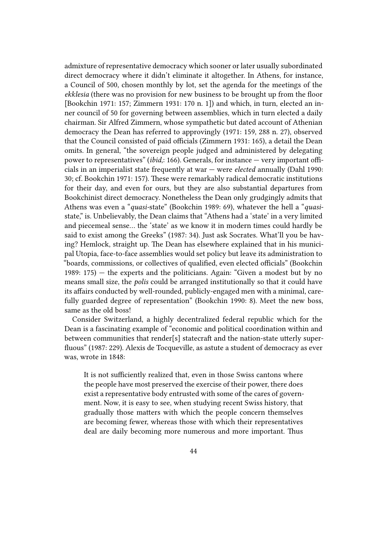admixture of representative democracy which sooner or later usually subordinated direct democracy where it didn't eliminate it altogether. In Athens, for instance, a Council of 500, chosen monthly by lot, set the agenda for the meetings of the *ekklesia* (there was no provision for new business to be brought up from the floor [Bookchin 1971: 157; Zimmern 1931: 170 n. 1]) and which, in turn, elected an inner council of 50 for governing between assemblies, which in turn elected a daily chairman. Sir Alfred Zimmern, whose sympathetic but dated account of Athenian democracy the Dean has referred to approvingly (1971: 159, 288 n. 27), observed that the Council consisted of paid officials (Zimmern 1931: 165), a detail the Dean omits. In general, "the sovereign people judged and administered by delegating power to representatives" (*ibid*,: 166). Generals, for instance — very important officials in an imperialist state frequently at war — were *elected* annually (Dahl 1990: 30; cf. Bookchin 1971: 157). These were remarkably radical democratic institutions for their day, and even for ours, but they are also substantial departures from Bookchinist direct democracy. Nonetheless the Dean only grudgingly admits that Athens was even a "*quasi-*state" (Bookchin 1989: 69), whatever the hell a "*quasi*state," is. Unbelievably, the Dean claims that "Athens had a 'state' in a very limited and piecemeal sense… the 'state' as we know it in modern times could hardly be said to exist among the Greeks" (1987: 34). Just ask Socrates. What'll you be having? Hemlock, straight up. The Dean has elsewhere explained that in his municipal Utopia, face-to-face assemblies would set policy but leave its administration to "boards, commissions, or collectives of qualified, even elected officials" (Bookchin 1989: 175) — the experts and the politicians. Again: "Given a modest but by no means small size, the *polis* could be arranged institutionally so that it could have its affairs conducted by well-rounded, publicly-engaged men with a minimal, carefully guarded degree of representation" (Bookchin 1990: 8). Meet the new boss, same as the old boss!

Consider Switzerland, a highly decentralized federal republic which for the Dean is a fascinating example of "economic and political coordination within and between communities that render[s] statecraft and the nation-state utterly superfluous" (1987: 229). Alexis de Tocqueville, as astute a student of democracy as ever was, wrote in 1848:

It is not sufficiently realized that, even in those Swiss cantons where the people have most preserved the exercise of their power, there does exist a representative body entrusted with some of the cares of government. Now, it is easy to see, when studying recent Swiss history, that gradually those matters with which the people concern themselves are becoming fewer, whereas those with which their representatives deal are daily becoming more numerous and more important. Thus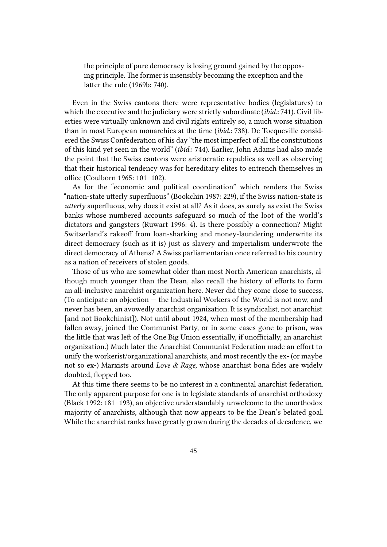the principle of pure democracy is losing ground gained by the opposing principle. The former is insensibly becoming the exception and the latter the rule (1969b: 740).

Even in the Swiss cantons there were representative bodies (legislatures) to which the executive and the judiciary were strictly subordinate (*ibid*.: 741). Civil liberties were virtually unknown and civil rights entirely so, a much worse situation than in most European monarchies at the time (*ibid*.: 738). De Tocqueville considered the Swiss Confederation of his day "the most imperfect of all the constitutions of this kind yet seen in the world" (*ibid*.: 744). Earlier, John Adams had also made the point that the Swiss cantons were aristocratic republics as well as observing that their historical tendency was for hereditary elites to entrench themselves in office (Coulborn 1965: 101–102).

As for the "economic and political coordination" which renders the Swiss "nation-state utterly superfluous" (Bookchin 1987: 229), if the Swiss nation-state is *utterly* superfluous, why does it exist at all? As it does, as surely as exist the Swiss banks whose numbered accounts safeguard so much of the loot of the world's dictators and gangsters (Ruwart 1996: 4). Is there possibly a connection? Might Switzerland's rakeoff from loan-sharking and money-laundering underwrite its direct democracy (such as it is) just as slavery and imperialism underwrote the direct democracy of Athens? A Swiss parliamentarian once referred to his country as a nation of receivers of stolen goods.

Those of us who are somewhat older than most North American anarchists, although much younger than the Dean, also recall the history of efforts to form an all-inclusive anarchist organization here. Never did they come close to success. (To anticipate an objection — the Industrial Workers of the World is not now, and never has been, an avowedly anarchist organization. It is syndicalist, not anarchist [and not Bookchinist]). Not until about 1924, when most of the membership had fallen away, joined the Communist Party, or in some cases gone to prison, was the little that was left of the One Big Union essentially, if unofficially, an anarchist organization.) Much later the Anarchist Communist Federation made an effort to unify the workerist/organizational anarchists, and most recently the ex- (or maybe not so ex-) Marxists around *Love & Rage*, whose anarchist bona fides are widely doubted, flopped too.

At this time there seems to be no interest in a continental anarchist federation. The only apparent purpose for one is to legislate standards of anarchist orthodoxy (Black 1992: 181–193), an objective understandably unwelcome to the unorthodox majority of anarchists, although that now appears to be the Dean's belated goal. While the anarchist ranks have greatly grown during the decades of decadence, we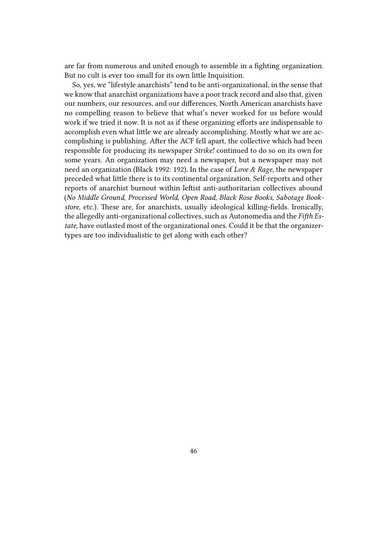are far from numerous and united enough to assemble in a fighting organization. But no cult is ever too small for its own little Inquisition.

So, yes, we "lifestyle anarchists" tend to be anti-organizational, in the sense that we know that anarchist organizations have a poor track record and also that, given our numbers, our resources, and our differences, North American anarchists have no compelling reason to believe that what's never worked for us before would work if we tried it now. It is not as if these organizing efforts are indispensable to accomplish even what little we are already accomplishing. Mostly what we are accomplishing is publishing. After the ACF fell apart, the collective which had been responsible for producing its newspaper *Strike!* continued to do so on its own for some years. An organization may need a newspaper, but a newspaper may not need an organization (Black 1992: 192). In the case of *Love & Rage*, the newspaper preceded what little there is to its continental organization. Self-reports and other reports of anarchist burnout within leftist anti-authoritarian collectives abound (*No Middle Ground*, *Processed World, Open Road*, *Black Rose Books*, *Sabotage Bookstore*, etc.). These are, for anarchists, usually ideological killing-fields. Ironically, the allegedly anti-organizational collectives, such as Autonomedia and the *Fifth Estate,* have outlasted most of the organizational ones. Could it be that the organizertypes are too individualistic to get along with each other?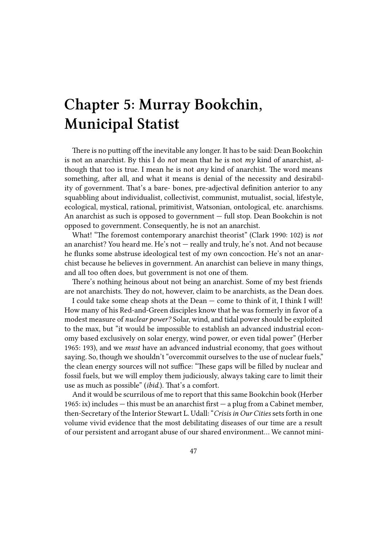## **Chapter 5: Murray Bookchin, Municipal Statist**

There is no putting off the inevitable any longer. It has to be said: Dean Bookchin is not an anarchist. By this I do *not* mean that he is not *my* kind of anarchist, although that too is true. I mean he is not *any* kind of anarchist. The word means something, after all, and what it means is denial of the necessity and desirability of government. That's a bare- bones, pre-adjectival definition anterior to any squabbling about individualist, collectivist, communist, mutualist, social, lifestyle, ecological, mystical, rational, primitivist, Watsonian, ontological, etc. anarchisms. An anarchist as such is opposed to government — full stop. Dean Bookchin is not opposed to government. Consequently, he is not an anarchist.

What! "The foremost contemporary anarchist theorist" (Clark 1990: 102) is *not* an anarchist? You heard me. He's not — really and truly, he's not. And not because he flunks some abstruse ideological test of my own concoction. He's not an anarchist because he believes in government. An anarchist can believe in many things, and all too often does, but government is not one of them.

There's nothing heinous about not being an anarchist. Some of my best friends are not anarchists. They do not, however, claim to be anarchists, as the Dean does.

I could take some cheap shots at the Dean — come to think of it, I think I will! How many of his Red-and-Green disciples know that he was formerly in favor of a modest measure of *nuclear power?* Solar, wind, and tidal power should be exploited to the max, but "it would be impossible to establish an advanced industrial economy based exclusively on solar energy, wind power, or even tidal power" (Herber 1965: 193), and we *must* have an advanced industrial economy, that goes without saying. So, though we shouldn't "overcommit ourselves to the use of nuclear fuels," the clean energy sources will not suffice: "These gaps will be filled by nuclear and fossil fuels, but we will employ them judiciously, always taking care to limit their use as much as possible" (*ibid*.). That's a comfort.

And it would be scurrilous of me to report that this same Bookchin book (Herber 1965: ix) includes  $-$  this must be an anarchist first  $-$  a plug from a Cabinet member, then-Secretary of the Interior Stewart L. Udall: "*Crisis in Our Cities* sets forth in one volume vivid evidence that the most debilitating diseases of our time are a result of our persistent and arrogant abuse of our shared environment… We cannot mini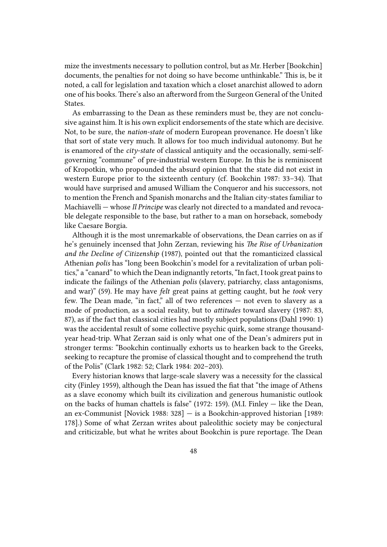mize the investments necessary to pollution control, but as Mr. Herber [Bookchin] documents, the penalties for not doing so have become unthinkable." This is, be it noted, a call for legislation and taxation which a closet anarchist allowed to adorn one of his books. There's also an afterword from the Surgeon General of the United States.

As embarrassing to the Dean as these reminders must be, they are not conclusive against him. It is his own explicit endorsements of the state which are decisive. Not, to be sure, the *nation-state* of modern European provenance. He doesn't like that sort of state very much. It allows for too much individual autonomy. But he is enamored of the *city-state* of classical antiquity and the occasionally, semi-selfgoverning "commune" of pre-industrial western Europe. In this he is reminiscent of Kropotkin, who propounded the absurd opinion that the state did not exist in western Europe prior to the sixteenth century (cf. Bookchin 1987: 33–34). That would have surprised and amused William the Conqueror and his successors, not to mention the French and Spanish monarchs and the Italian city-states familiar to Machiavelli — whose *Il Principe* was clearly not directed to a mandated and revocable delegate responsible to the base, but rather to a man on horseback, somebody like Caesare Borgia.

Although it is the most unremarkable of observations, the Dean carries on as if he's genuinely incensed that John Zerzan, reviewing his *The Rise of Urbanization and the Decline of Citizenship* (1987), pointed out that the romanticized classical Athenian *polis* has "long been Bookchin's model for a revitalization of urban politics," a "canard" to which the Dean indignantly retorts, "In fact, I took great pains to indicate the failings of the Athenian *polis* (slavery, patriarchy, class antagonisms, and war)" (59). He may have *felt* great pains at getting caught, but he *took* very few. The Dean made, "in fact," all of two references — not even to slavery as a mode of production, as a social reality, but to *attitudes* toward slavery (1987: 83, 87), as if the fact that classical cities had mostly subject populations (Dahl 1990: 1) was the accidental result of some collective psychic quirk, some strange thousandyear head-trip. What Zerzan said is only what one of the Dean's admirers put in stronger terms: "Bookchin continually exhorts us to hearken back to the Greeks, seeking to recapture the promise of classical thought and to comprehend the truth of the Polis" (Clark 1982: 52; Clark 1984: 202–203).

Every historian knows that large-scale slavery was a necessity for the classical city (Finley 1959), although the Dean has issued the fiat that "the image of Athens as a slave economy which built its civilization and generous humanistic outlook on the backs of human chattels is false" (1972: 159). (M.I. Finley — like the Dean, an ex-Communist [Novick 1988: 328] — is a Bookchin-approved historian [1989: 178].) Some of what Zerzan writes about paleolithic society may be conjectural and criticizable, but what he writes about Bookchin is pure reportage. The Dean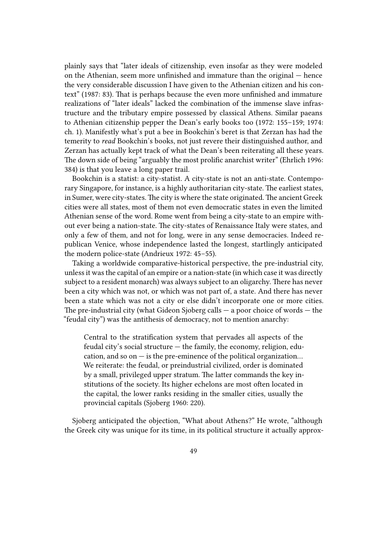plainly says that "later ideals of citizenship, even insofar as they were modeled on the Athenian, seem more unfinished and immature than the original — hence the very considerable discussion I have given to the Athenian citizen and his context" (1987: 83). That is perhaps because the even more unfinished and immature realizations of "later ideals" lacked the combination of the immense slave infrastructure and the tributary empire possessed by classical Athens. Similar paeans to Athenian citizenship pepper the Dean's early books too (1972: 155–159; 1974: ch. 1). Manifestly what's put a bee in Bookchin's beret is that Zerzan has had the temerity to *read* Bookchin's books, not just revere their distinguished author, and Zerzan has actually kept track of what the Dean's been reiterating all these years. The down side of being "arguably the most prolific anarchist writer" (Ehrlich 1996: 384) is that you leave a long paper trail.

Bookchin is a statist: a city-statist. A city-state is not an anti-state. Contemporary Singapore, for instance, is a highly authoritarian city-state. The earliest states, in Sumer, were city-states. The city is where the state originated. The ancient Greek cities were all states, most of them not even democratic states in even the limited Athenian sense of the word. Rome went from being a city-state to an empire without ever being a nation-state. The city-states of Renaissance Italy were states, and only a few of them, and not for long, were in any sense democracies. Indeed republican Venice, whose independence lasted the longest, startlingly anticipated the modern police-state (Andrieux 1972: 45–55).

Taking a worldwide comparative-historical perspective, the pre-industrial city, unless it was the capital of an empire or a nation-state (in which case it was directly subject to a resident monarch) was always subject to an oligarchy. There has never been a city which was not, or which was not part of, a state. And there has never been a state which was not a city or else didn't incorporate one or more cities. The pre-industrial city (what Gideon Sjoberg calls  $-$  a poor choice of words  $-$  the "feudal city") was the antithesis of democracy, not to mention anarchy:

Central to the stratification system that pervades all aspects of the feudal city's social structure — the family, the economy, religion, education, and so on  $-$  is the pre-eminence of the political organization... We reiterate: the feudal, or preindustrial civilized, order is dominated by a small, privileged upper stratum. The latter commands the key institutions of the society. Its higher echelons are most often located in the capital, the lower ranks residing in the smaller cities, usually the provincial capitals (Sjoberg 1960: 220).

Sjoberg anticipated the objection, "What about Athens?" He wrote, "although the Greek city was unique for its time, in its political structure it actually approx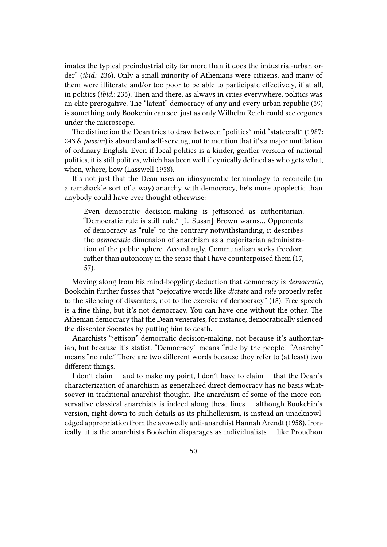imates the typical preindustrial city far more than it does the industrial-urban order" (*ibid*.: 236). Only a small minority of Athenians were citizens, and many of them were illiterate and/or too poor to be able to participate effectively, if at all, in politics (*ibid*.: 235). Then and there, as always in cities everywhere, politics was an elite prerogative. The "latent" democracy of any and every urban republic (59) is something only Bookchin can see, just as only Wilhelm Reich could see orgones under the microscope.

The distinction the Dean tries to draw between "politics" mid "statecraft" (1987: 243 & *passim*) is absurd and self-serving, not to mention that it's a major mutilation of ordinary English. Even if local politics is a kinder, gentler version of national politics, it is still politics, which has been well if cynically defined as who gets what, when, where, how (Lasswell 1958).

It's not just that the Dean uses an idiosyncratic terminology to reconcile (in a ramshackle sort of a way) anarchy with democracy, he's more apoplectic than anybody could have ever thought otherwise:

Even democratic decision-making is jettisoned as authoritarian. "Democratic rule is still rule," [L. Susan] Brown warns… Opponents of democracy as "rule" to the contrary notwithstanding, it describes the *democratic* dimension of anarchism as a majoritarian administration of the public sphere. Accordingly, Communalism seeks freedom rather than autonomy in the sense that I have counterpoised them (17, 57).

Moving along from his mind-boggling deduction that democracy is *democratic,* Bookchin further fusses that "pejorative words like *dictate* and *rule* properly refer to the silencing of dissenters, not to the exercise of democracy" (18). Free speech is a fine thing, but it's not democracy. You can have one without the other. The Athenian democracy that the Dean venerates, for instance, democratically silenced the dissenter Socrates by putting him to death.

Anarchists "jettison" democratic decision-making, not because it's authoritarian, but because it's statist. "Democracy" means "rule by the people." "Anarchy" means "no rule." There are two different words because they refer to (at least) two different things.

I don't claim — and to make my point, I don't have to claim — that the Dean's characterization of anarchism as generalized direct democracy has no basis whatsoever in traditional anarchist thought. The anarchism of some of the more conservative classical anarchists is indeed along these lines — although Bookchin's version, right down to such details as its philhellenism, is instead an unacknowledged appropriation from the avowedly anti-anarchist Hannah Arendt (1958). Ironically, it is the anarchists Bookchin disparages as individualists — like Proudhon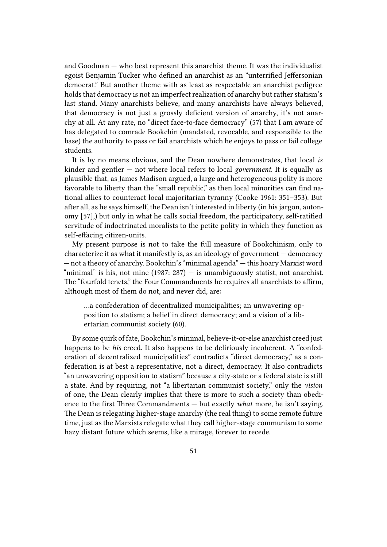and Goodman — who best represent this anarchist theme. It was the individualist egoist Benjamin Tucker who defined an anarchist as an "unterrified Jeffersonian democrat." But another theme with as least as respectable an anarchist pedigree holds that democracy is not an imperfect realization of anarchy but rather statism's last stand. Many anarchists believe, and many anarchists have always believed, that democracy is not just a grossly deficient version of anarchy, it's not anarchy at all. At any rate, no "direct face-to-face democracy" (57) that I am aware of has delegated to comrade Bookchin (mandated, revocable, and responsible to the base) the authority to pass or fail anarchists which he enjoys to pass or fail college students.

It is by no means obvious, and the Dean nowhere demonstrates, that local *is* kinder and gentler — not where local refers to local *government*. It is equally as plausible that, as James Madison argued, a large and heterogeneous polity is more favorable to liberty than the "small republic," as then local minorities can find national allies to counteract local majoritarian tyranny (Cooke 1961: 351–353). But after all, as he says himself, the Dean isn't interested in liberty (in his jargon, autonomy [57],) but only in what he calls social freedom, the participatory, self-ratified servitude of indoctrinated moralists to the petite polity in which they function as self-effacing citizen-units.

My present purpose is not to take the full measure of Bookchinism, only to characterize it as what it manifestly is, as an ideology of government — democracy — not a theory of anarchy. Bookchin's "minimal agenda" — this hoary Marxist word "minimal" is his, not mine  $(1987: 287) -$  is unambiguously statist, not anarchist. The "fourfold tenets," the Four Commandments he requires all anarchists to affirm, although most of them do not, and never did, are:

…a confederation of decentralized municipalities; an unwavering opposition to statism; a belief in direct democracy; and a vision of a libertarian communist society (60).

By some quirk of fate, Bookchin's minimal, believe-it-or-else anarchist creed just happens to be *his* creed. It also happens to be deliriously incoherent. A "confederation of decentralized municipalities" contradicts "direct democracy," as a confederation is at best a representative, not a direct, democracy. It also contradicts "an unwavering opposition to statism" because a city-state or a federal state is still a state. And by requiring, not "a libertarian communist society," only the *vision* of one, the Dean clearly implies that there is more to such a society than obedience to the first Three Commandments — but exactly *what* more, he isn't saying. The Dean is relegating higher-stage anarchy (the real thing) to some remote future time, just as the Marxists relegate what they call higher-stage communism to some hazy distant future which seems, like a mirage, forever to recede.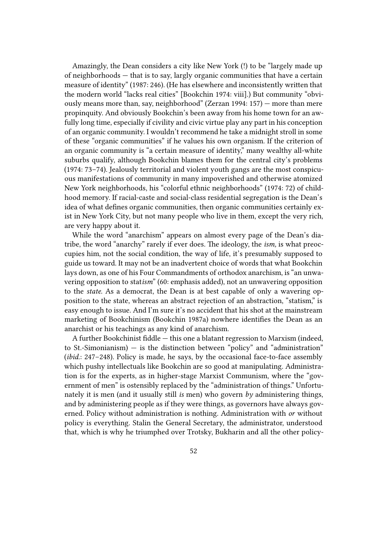Amazingly, the Dean considers a city like New York (!) to be "largely made up of neighborhoods — that is to say, largly organic communities that have a certain measure of identity" (1987: 246). (He has elsewhere and inconsistently written that the modern world "lacks real cities" [Bookchin 1974: viii].) But community "obviously means more than, say, neighborhood" (Zerzan 1994: 157) — more than mere propinquity. And obviously Bookchin's been away from his home town for an awfully long time, especially if civility and civic virtue play any part in his conception of an organic community. I wouldn't recommend he take a midnight stroll in some of these "organic communities" if he values his own organism. If the criterion of an organic community is "a certain measure of identity," many wealthy all-white suburbs qualify, although Bookchin blames them for the central city's problems (1974: 73–74). Jealously territorial and violent youth gangs are the most conspicuous manifestations of community in many impoverished and otherwise atomized New York neighborhoods, his "colorful ethnic neighborhoods" (1974: 72) of childhood memory. If racial-caste and social-class residential segregation is the Dean's idea of what defines organic communities, then organic communities certainly exist in New York City, but not many people who live in them, except the very rich, are very happy about it.

While the word "anarchism" appears on almost every page of the Dean's diatribe, the word "anarchy" rarely if ever does. The ideology, the *ism,* is what preoccupies him, not the social condition, the way of life, it's presumably supposed to guide us toward. It may not be an inadvertent choice of words that what Bookchin lays down, as one of his Four Commandments of orthodox anarchism, is "an unwavering opposition to stat*ism*" (60: emphasis added), not an unwavering opposition to the *state*. As a democrat, the Dean is at best capable of only a wavering opposition to the state, whereas an abstract rejection of an abstraction, "statism," is easy enough to issue. And I'm sure it's no accident that his shot at the mainstream marketing of Bookchinism (Bookchin 1987a) nowhere identifies the Dean as an anarchist or his teachings as any kind of anarchism.

A further Bookchinist fiddle — this one a blatant regression to Marxism (indeed, to St.-Simonianism)  $-$  is the distinction between "policy" and "administration" (*ibid*.: 247–248). Policy is made, he says, by the occasional face-to-face assembly which pushy intellectuals like Bookchin are so good at manipulating. Administration is for the experts, as in higher-stage Marxist Communism, where the "government of men" is ostensibly replaced by the "administration of things." Unfortunately it is men (and it usually still *is* men) who govern *by* administering things, and by administering people as if they were things, as governors have always governed. Policy without administration is nothing. Administration with *or* without policy is everything. Stalin the General Secretary, the administrator, understood that, which is why he triumphed over Trotsky, Bukharin and all the other policy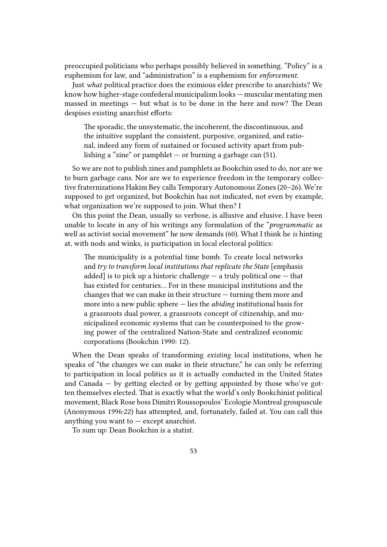preoccupied politicians who perhaps possibly believed in something. "Policy" is a euphemism for law, and "administration" is a euphemism for *enforcement.*

Just *what* political practice does the eximious elder prescribe to anarchists? We know how higher-stage confederal municipalism looks — muscular mentating men massed in meetings — but what is to be done in the here and now? The Dean despises existing anarchist efforts:

The sporadic, the unsystematic, the incoherent, the discontinuous, and the intuitive supplant the consistent, purposive, organized, and rational, indeed any form of sustained or focused activity apart from publishing a "zine" or pamphlet  $-$  or burning a garbage can  $(51)$ .

So we are not to publish zines and pamphlets as Bookchin used to do, nor are we to burn garbage cans. Nor are we to experience freedom in the temporary collective fraternizations Hakim Bey calls Temporary Autonomous Zones (20–26). We're supposed to get organized, but Bookchin has not indicated, not even by example, what organization we're supposed to join. What then? I

On this point the Dean, usually so verbose, is allusive and elusive. I have been unable to locate in any of his writings any formulation of the "*programmatic* as well as activist social movement" he now demands (60). What I think he *is* hinting at, with nods and winks, is participation in local electoral politics:

The municipality is a potential time bomb. To create local networks and *try to transform local institutions that replicate the State* [emphasis added] is to pick up a historic challenge — a truly political one — that has existed for centuries… For in these municipal institutions and the changes that we can make in their structure — turning them more and more into a new public sphere — lies the *abiding* institutional basis for a grassroots dual power, a grassroots concept of citizenship, and municipalized economic systems that can be counterpoised to the growing power of the centralized Nation-State and centralized economic corporations (Bookchin 1990: 12).

When the Dean speaks of transforming *existing* local institutions, when he speaks of "the changes we can make in their structure," he can only be referring to participation in local politics as it is actually conducted in the United States and Canada — by getting elected or by getting appointed by those who've gotten themselves elected. That is exactly what the world's only Bookchinist political movement, Black Rose boss Dimitri Roussopoulos' Ecologie Montreal groupuscule (Anonymous 1996:22) has attempted, and, fortunately, failed at. You can call this anything you want to  $-$  except anarchist.

To sum up: Dean Bookchin is a statist.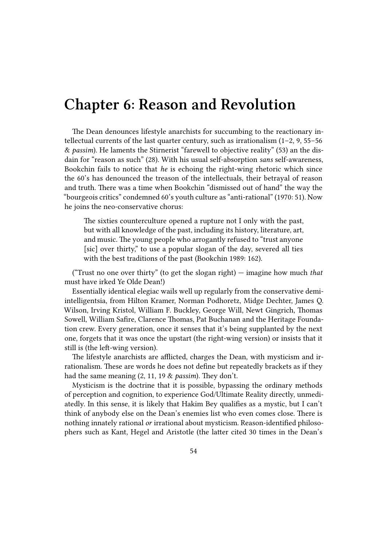## **Chapter 6: Reason and Revolution**

The Dean denounces lifestyle anarchists for succumbing to the reactionary intellectual currents of the last quarter century, such as irrationalism (1–2, 9, 55–56 & *passim*). He laments the Stirnerist "farewell to objective reality" (53) an the disdain for "reason as such" (28). With his usual self-absorption *sans* self-awareness, Bookchin fails to notice that *he* is echoing the right-wing rhetoric which since the 60's has denounced the treason of the intellectuals, their betrayal of reason and truth. There was a time when Bookchin "dismissed out of hand" the way the "bourgeois critics" condemned 60's youth culture as "anti-rational" (1970: 51). Now he joins the neo-conservative chorus:

The sixties counterculture opened a rupture not I only with the past, but with all knowledge of the past, including its history, literature, art, and music. The young people who arrogantly refused to "trust anyone [sic] over thirty," to use a popular slogan of the day, severed all ties with the best traditions of the past (Bookchin 1989: 162).

("Trust no one over thirty" (to get the slogan right) — imagine how much *that* must have irked Ye Olde Dean!)

Essentially identical elegiac wails well up regularly from the conservative demiintelligentsia, from Hilton Kramer, Norman Podhoretz, Midge Dechter, James Q. Wilson, Irving Kristol, William F. Buckley, George Will, Newt Gingrich, Thomas Sowell, William Safire, Clarence Thomas, Pat Buchanan and the Heritage Foundation crew. Every generation, once it senses that it's being supplanted by the next one, forgets that it was once the upstart (the right-wing version) or insists that it still is (the left-wing version).

The lifestyle anarchists are afflicted, charges the Dean, with mysticism and irrationalism. These are words he does not define but repeatedly brackets as if they had the same meaning (2, 11, 19 & *passim*). They don't.

Mysticism is the doctrine that it is possible, bypassing the ordinary methods of perception and cognition, to experience God/Ultimate Reality directly, unmediatedly. In this sense, it is likely that Hakim Bey qualifies as a mystic, but I can't think of anybody else on the Dean's enemies list who even comes close. There is nothing innately rational *or* irrational about mysticism. Reason-identified philosophers such as Kant, Hegel and Aristotle (the latter cited 30 times in the Dean's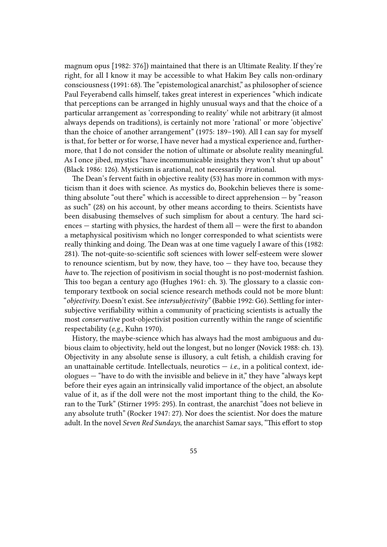magnum opus [1982: 376]) maintained that there is an Ultimate Reality. If they're right, for all I know it may be accessible to what Hakim Bey calls non-ordinary consciousness (1991: 68). The "epistemological anarchist," as philosopher of science Paul Feyerabend calls himself, takes great interest in experiences "which indicate that perceptions can be arranged in highly unusual ways and that the choice of a particular arrangement as 'corresponding to reality' while not arbitrary (it almost always depends on traditions), is certainly not more 'rational' or more 'objective' than the choice of another arrangement" (1975: 189–190). All I can say for myself is that, for better or for worse, I have never had a mystical experience and, furthermore, that I do not consider the notion of ultimate or absolute reality meaningful. As I once jibed, mystics "have incommunicable insights they won't shut up about" (Black 1986: 126). Mysticism is arational, not necessarily *ir*rational.

The Dean's fervent faith in objective reality (53) has more in common with mysticism than it does with science. As mystics do, Bookchin believes there is something absolute "out there" which is accessible to direct apprehension  $-$  by "reason" as such" (28) on his account, by other means according to theirs. Scientists have been disabusing themselves of such simplism for about a century. The hard sci- $\frac{1}{2}$  ences  $-$  starting with physics, the hardest of them all  $-$  were the first to abandon a metaphysical positivism which no longer corresponded to what scientists were really thinking and doing. The Dean was at one time vaguely I aware of this (1982: 281). The not-quite-so-scientific soft sciences with lower self-esteem were slower to renounce scientism, but by now, they have, too  $-$  they have too, because they *have* to. The rejection of positivism in social thought is no post-modernist fashion. This too began a century ago (Hughes 1961: ch. 3). The glossary to a classic contemporary textbook on social science research methods could not be more blunt: "*objectivity*. Doesn't exist. See *intersubjectivity*" (Babbie 1992: G6). Settling for intersubjective verifiability within a community of practicing scientists is actually the most *conservative* post-objectivist position currently within the range of scientific respectability (*e.g.,* Kuhn 1970).

History, the maybe-science which has always had the most ambiguous and dubious claim to objectivity, held out the longest, but no longer (Novick 1988: ch. 13). Objectivity in any absolute sense is illusory, a cult fetish, a childish craving for an unattainable certitude. Intellectuals, neurotics — *i.e.,* in a political context, ideologues — "have to do with the invisible and believe in it," they have "always kept before their eyes again an intrinsically valid importance of the object, an absolute value of it, as if the doll were not the most important thing to the child, the Koran to the Turk" (Stirner 1995: 295). In contrast, the anarchist "does not believe in any absolute truth" (Rocker 1947: 27). Nor does the scientist. Nor does the mature adult. In the novel *Seven Red Sundays,* the anarchist Samar says, "This effort to stop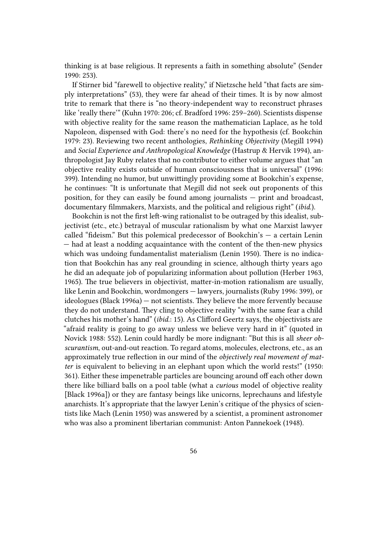thinking is at base religious. It represents a faith in something absolute" (Sender 1990: 253).

If Stirner bid "farewell to objective reality," if Nietzsche held "that facts are simply interpretations" (53), they were far ahead of their times. It is by now almost trite to remark that there is "no theory-independent way to reconstruct phrases like 'really there'" (Kuhn 1970: 206; cf. Bradford 1996: 259–260). Scientists dispense with objective reality for the same reason the mathematician Laplace, as he told Napoleon, dispensed with God: there's no need for the hypothesis (cf. Bookchin 1979: 23). Reviewing two recent anthologies, *Rethinking Objectivity* (Megill 1994) and *Social Experience and Anthropological Knowledge* (Hastrup & Hervik 1994), anthropologist Jay Ruby relates that no contributor to either volume argues that "an objective reality exists outside of human consciousness that is universal" (1996: 399). Intending no humor, but unwittingly providing some at Bookchin's expense, he continues: "It is unfortunate that Megill did not seek out proponents of this position, for they can easily be found among journalists — print and broadcast, documentary filmmakers, Marxists, and the political and religious right" (*ibid.*).

Bookchin is not the first left-wing rationalist to be outraged by this idealist, subjectivist (etc., etc.) betrayal of muscular rationalism by what one Marxist lawyer called "fideism." But this polemical predecessor of Bookchin's — a certain Lenin — had at least a nodding acquaintance with the content of the then-new physics which was undoing fundamentalist materialism (Lenin 1950). There is no indication that Bookchin has any real grounding in science, although thirty years ago he did an adequate job of popularizing information about pollution (Herber 1963, 1965). The true believers in objectivist, matter-in-motion rationalism are usually, like Lenin and Bookchin, wordmongers — lawyers, journalists (Ruby 1996: 399), or ideologues (Black 1996a) — not scientists. They believe the more fervently because they do not understand. They cling to objective reality "with the same fear a child clutches his mother's hand" (*ibid*.: 15). As Clifford Geertz says, the objectivists are "afraid reality is going to go away unless we believe very hard in it" (quoted in Novick 1988: 552). Lenin could hardly be more indignant: "But this is all *sheer obscurantism*, out-and-out reaction. To regard atoms, molecules, electrons, etc., as an approximately true reflection in our mind of the *objectively real movement of matter* is equivalent to believing in an elephant upon which the world rests!" (1950: 361). Either these impenetrable particles are bouncing around off each other down there like billiard balls on a pool table (what a *curious* model of objective reality [Black 1996a]) or they are fantasy beings like unicorns, leprechauns and lifestyle anarchists. It's appropriate that the lawyer Lenin's critique of the physics of scientists like Mach (Lenin 1950) was answered by a scientist, a prominent astronomer who was also a prominent libertarian communist: Anton Pannekoek (1948).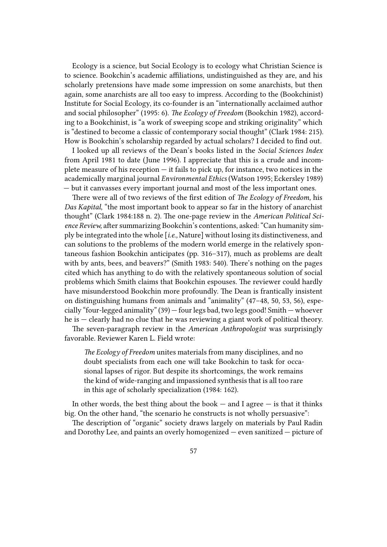Ecology is a science, but Social Ecology is to ecology what Christian Science is to science. Bookchin's academic affiliations, undistinguished as they are, and his scholarly pretensions have made some impression on some anarchists, but then again, some anarchists are all too easy to impress. According to the (Bookchinist) Institute for Social Ecology, its co-founder is an "internationally acclaimed author and social philosopher" (1995: 6). *The Ecology of Freedom* (Bookchin 1982), according to a Bookchinist, is "a work of sweeping scope and striking originality" which is "destined to become a classic of contemporary social thought" (Clark 1984: 215). How is Bookchin's scholarship regarded by actual scholars? I decided to find out.

I looked up all reviews of the Dean's books listed in the *Social Sciences Index* from April 1981 to date (June 1996). I appreciate that this is a crude and incomplete measure of his reception — it fails to pick up, for instance, two notices in the academically marginal journal *Environmental Ethics* (Watson 1995; Eckersley 1989) — but it canvasses every important journal and most of the less important ones.

There were all of two reviews of the first edition of *The Ecology of Freedom,* his *Das Kapital*, "the most important book to appear so far in the history of anarchist thought" (Clark 1984:188 n. 2). The one-page review in the *American Political Science Review,* after summarizing Bookchin's contentions, asked: "Can humanity simply be integrated into the whole [*i.e.,*Nature] without losing its distinctiveness, and can solutions to the problems of the modern world emerge in the relatively spontaneous fashion Bookchin anticipates (pp. 316–317), much as problems are dealt with by ants, bees, and beavers?" (Smith 1983: 540). There's nothing on the pages cited which has anything to do with the relatively spontaneous solution of social problems which Smith claims that Bookchin espouses. The reviewer could hardly have misunderstood Bookchin more profoundly. The Dean is frantically insistent on distinguishing humans from animals and "animality" (47–48, 50, 53, 56), especially "four-legged animality" (39) — four legs bad, two legs good! Smith — whoever he is — clearly had no clue that he was reviewing a giant work of political theory.

The seven-paragraph review in the *American Anthropologist* was surprisingly favorable. Reviewer Karen L. Field wrote:

*The Ecology of Freedom* unites materials from many disciplines, and no doubt specialists from each one will take Bookchin to task for occasional lapses of rigor. But despite its shortcomings, the work remains the kind of wide-ranging and impassioned synthesis that is all too rare in this age of scholarly specialization (1984: 162).

In other words, the best thing about the book  $-$  and I agree  $-$  is that it thinks big. On the other hand, "the scenario he constructs is not wholly persuasive":

The description of "organic" society draws largely on materials by Paul Radin and Dorothy Lee, and paints an overly homogenized — even sanitized — picture of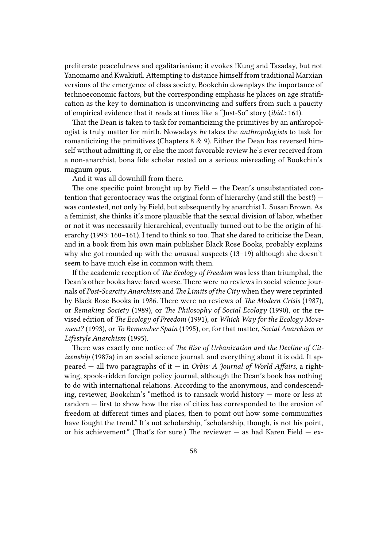preliterate peacefulness and egalitarianism; it evokes !Kung and Tasaday, but not Yanomamo and Kwakiutl. Attempting to distance himself from traditional Marxian versions of the emergence of class society, Bookchin downplays the importance of technoeconomic factors, but the corresponding emphasis he places on age stratification as the key to domination is unconvincing and suffers from such a paucity of empirical evidence that it reads at times like a "Just-So" story (*ibid*.: 161).

That the Dean is taken to task for romanticizing the primitives by an anthropologist is truly matter for mirth. Nowadays *he* takes the *anthropologists* to task for romanticizing the primitives (Chapters 8  $\&$  9). Either the Dean has reversed himself without admitting it, or else the most favorable review he's ever received from a non-anarchist, bona fide scholar rested on a serious misreading of Bookchin's magnum opus.

And it was all downhill from there.

The one specific point brought up by Field  $-$  the Dean's unsubstantiated contention that gerontocracy was the original form of hierarchy (and still the best!) was contested, not only by Field, but subsequently by anarchist L. Susan Brown. As a feminist, she thinks it's more plausible that the sexual division of labor, whether or not it was necessarily hierarchical, eventually turned out to be the origin of hierarchy (1993: 160–161). I tend to think so too. That she dared to criticize the Dean, and in a book from his own main publisher Black Rose Books, probably explains why she got rounded up with the *un*usual suspects (13–19) although she doesn't seem to have much else in common with them.

If the academic reception of *The Ecology of Freedom* was less than triumphal, the Dean's other books have fared worse. There were no reviews in social science journals of *Post-Scarcity Anarchism* and *The Limits of the City* when they were reprinted by Black Rose Books in 1986. There were no reviews of *The Modern Crisis* (1987), or *Remaking Society* (1989), or *The Philosophy of Social Ecology* (1990), or the revised edition of *The Ecology of Freedom* (1991), or *Which Way for the Ecology Movement?* (1993), or *To Remember Spain* (1995), or, for that matter, *Social Anarchism or Lifestyle Anarchism* (1995).

There was exactly one notice of *The Rise of Urbanization and the Decline of Citizenship* (1987a) in an social science journal, and everything about it is odd. It appeared — all two paragraphs of it — in *Orbis: A Journal of World Affairs,* a rightwing, spook-ridden foreign policy journal, although the Dean's book has nothing to do with international relations. According to the anonymous, and condescending, reviewer, Bookchin's "method is to ransack world history — more or less at random — first to show how the rise of cities has corresponded to the erosion of freedom at different times and places, then to point out how some communities have fought the trend." It's not scholarship, "scholarship, though, is not his point, or his achievement." (That's for sure.) The reviewer  $-$  as had Karen Field  $-$  ex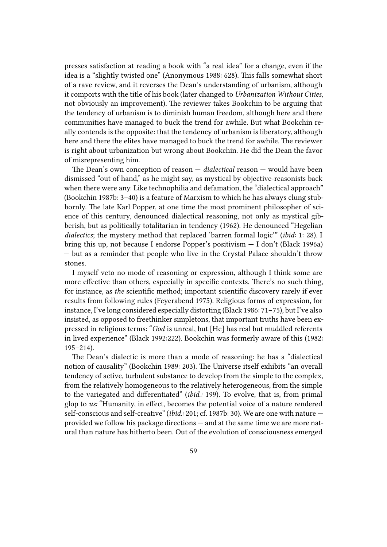presses satisfaction at reading a book with "a real idea" for a change, even if the idea is a "slightly twisted one" (Anonymous 1988: 628). This falls somewhat short of a rave review, and it reverses the Dean's understanding of urbanism, although it comports with the title of his book (later changed to *Urbanization Without Cities*, not obviously an improvement). The reviewer takes Bookchin to be arguing that the tendency of urbanism is to diminish human freedom, although here and there communities have managed to buck the trend for awhile. But what Bookchin really contends is the opposite: that the tendency of urbanism is liberatory, although here and there the elites have managed to buck the trend for awhile. The reviewer is right about urbanization but wrong about Bookchin. He did the Dean the favor of misrepresenting him.

The Dean's own conception of reason — *dialectical* reason — would have been dismissed "out of hand," as he might say, as mystical by objective-reasonists back when there were any. Like technophilia and defamation, the "dialectical approach" (Bookchin 1987b: 3–40) is a feature of Marxism to which he has always clung stubbornly. The late Karl Popper, at one time the most prominent philosopher of science of this century, denounced dialectical reasoning, not only as mystical gibberish, but as politically totalitarian in tendency (1962). He denounced "Hegelian *dialectics*; the mystery method that replaced 'barren formal logic'" (*ibid:* 1: 28). I bring this up, not because I endorse Popper's positivism — I don't (Black 1996a) — but as a reminder that people who live in the Crystal Palace shouldn't throw stones.

I myself veto no mode of reasoning or expression, although I think some are more effective than others, especially in specific contexts. There's no such thing, for instance, as *the* scientific method; important scientific discovery rarely if ever results from following rules (Feyerabend 1975). Religious forms of expression, for instance, I've long considered especially distorting (Black 1986: 71–75), but I've also insisted, as opposed to freethinker simpletons, that important truths have been expressed in religious terms: "*God* is unreal, but [He] has real but muddled referents in lived experience" (Black 1992:222). Bookchin was formerly aware of this (1982: 195–214).

The Dean's dialectic is more than a mode of reasoning: he has a "dialectical notion of causality" (Bookchin 1989: 203). The Universe itself exhibits "an overall tendency of active, turbulent substance to develop from the simple to the complex, from the relatively homogeneous to the relatively heterogeneous, from the simple to the variegated and differentiated" (*ibid.:* 199). To evolve, that is, from primal glop to *us:* "Humanity, in effect, becomes the potential voice of a nature rendered self-conscious and self-creative" (*ibid.:* 201; cf. 1987b: 30). We are one with nature provided we follow his package directions — and at the same time we are more natural than nature has hitherto been. Out of the evolution of consciousness emerged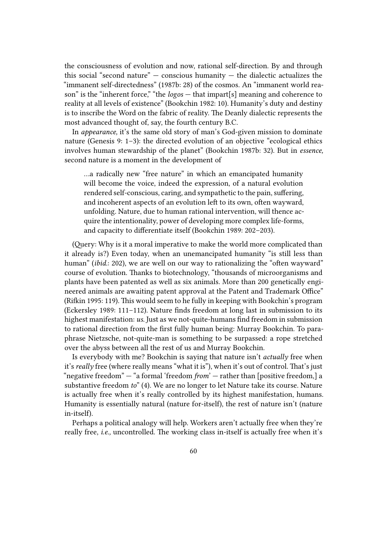the consciousness of evolution and now, rational self-direction. By and through this social "second nature"  $-$  conscious humanity  $-$  the dialectic actualizes the "immanent self-directedness" (1987b: 28) of the cosmos. An "immanent world reason" is the "inherent force," "the *logos* — that impart[s] meaning and coherence to reality at all levels of existence" (Bookchin 1982: 10). Humanity's duty and destiny is to inscribe the Word on the fabric of reality. The Deanly dialectic represents the most advanced thought of, say, the fourth century B.C.

In *appearance,* it's the same old story of man's God-given mission to dominate nature (Genesis 9: 1–3): the directed evolution of an objective "ecological ethics involves human stewardship of the planet" (Bookchin 1987b: 32). But in *essence,* second nature is a moment in the development of

…a radically new "free nature" in which an emancipated humanity will become the voice, indeed the expression, of a natural evolution rendered self-conscious, caring, and sympathetic to the pain, suffering, and incoherent aspects of an evolution left to its own, often wayward, unfolding. Nature, due to human rational intervention, will thence acquire the intentionality, power of developing more complex life-forms, and capacity to differentiate itself (Bookchin 1989: 202–203).

(Query: Why is it a moral imperative to make the world more complicated than it already is?) Even today, when an unemancipated humanity "is still less than human" (*ibid*.: 202), we are well on our way to rationalizing the "often wayward" course of evolution. Thanks to biotechnology, "thousands of microorganisms and plants have been patented as well as six animals. More than 200 genetically engineered animals are awaiting patent approval at the Patent and Trademark Office" (Rifkin 1995: 119). This would seem to he fully in keeping with Bookchin's program (Eckersley 1989: 111–112). Nature finds freedom at long last in submission to its highest manifestation: *us.* Just as we not-quite-humans find freedom in submission to rational direction from the first fully human being: Murray Bookchin. To paraphrase Nietzsche, not-quite-man is something to be surpassed: a rope stretched over the abyss between all the rest of us and Murray Bookchin.

Is everybody with me? Bookchin is saying that nature isn't *actually* free when it's*really* free (where really means "what it is"), when it's out of control. That's just "negative freedom" — "a formal 'freedom *from*' — rather than [positive freedom,] a substantive freedom *to*" (4). We are no longer to let Nature take its course. Nature is actually free when it's really controlled by its highest manifestation, humans. Humanity is essentially natural (nature for-itself), the rest of nature isn't (nature in-itself).

Perhaps a political analogy will help. Workers aren't actually free when they're really free, *i.e.,* uncontrolled. The working class in-itself is actually free when it's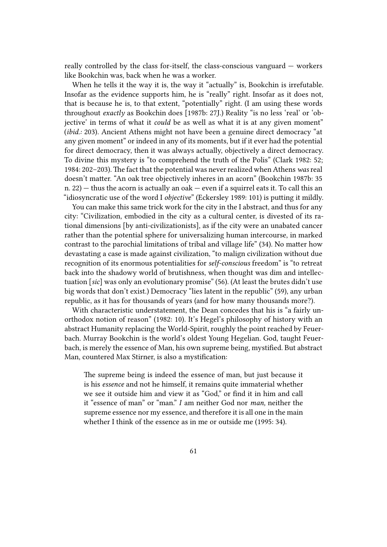really controlled by the class for-itself, the class-conscious vanguard — workers like Bookchin was, back when he was a worker.

When he tells it the way it is, the way it "actually" is, Bookchin is irrefutable. Insofar as the evidence supports him, he is "really" right. Insofar as it does not, that is because he is, to that extent, "potentially" right. (I am using these words throughout *exactly* as Bookchin does [1987b: 27J.) Reality "is no less 'real' or 'objective' in terms of what it *could* be as well as what it is at any given moment" (*ibid.:* 203). Ancient Athens might not have been a genuine direct democracy "at any given moment" or indeed in any of its moments, but if it ever had the potential for direct democracy, then it was always actually, objectively a direct democracy. To divine this mystery is "to comprehend the truth of the Polis" (Clark 1982: 52; 1984: 202–203). The fact that the potential was never realized when Athens *was* real doesn't matter. "An oak tree objectively inheres in an acorn" (Bookchin 1987b: 35  $n. 22$ ) — thus the acorn is actually an oak — even if a squirrel eats it. To call this an "idiosyncratic use of the word I *objective*" (Eckersley 1989: 101) is putting it mildly.

You can make this same trick work for the city in the I abstract, and thus for any city: "Civilization, embodied in the city as a cultural center, is divested of its rational dimensions [by anti-civilizationists], as if the city were an unabated cancer rather than the potential sphere for universalizing human intercourse, in marked contrast to the parochial limitations of tribal and village life" (34). No matter how devastating a case is made against civilization, "to malign civilization without due recognition of its enormous potentialities for *self-conscious* freedom" is "to retreat back into the shadowy world of brutishness, when thought was dim and intellectuation [*sic*] was only an evolutionary promise" (56). (At least the brutes didn't use big words that don't exist.) Democracy "lies latent in the republic" (59), any urban republic, as it has for thousands of years (and for how many thousands more?).

With characteristic understatement, the Dean concedes that his is "a fairly unorthodox notion of reason" (1982: 10). It's Hegel's philosophy of history with an abstract Humanity replacing the World-Spirit, roughly the point reached by Feuerbach. Murray Bookchin is the world's oldest Young Hegelian. God, taught Feuerbach, is merely the essence of Man, his own supreme being, mystified. But abstract Man, countered Max Stirner, is also a mystification:

The supreme being is indeed the essence of man, but just because it is his *essence* and not he himself, it remains quite immaterial whether we see it outside him and view it as "God," or find it in him and call it "essence of man" or "man." *I* am neither God nor *man,* neither the supreme essence nor my essence, and therefore it is all one in the main whether I think of the essence as in me or outside me (1995: 34).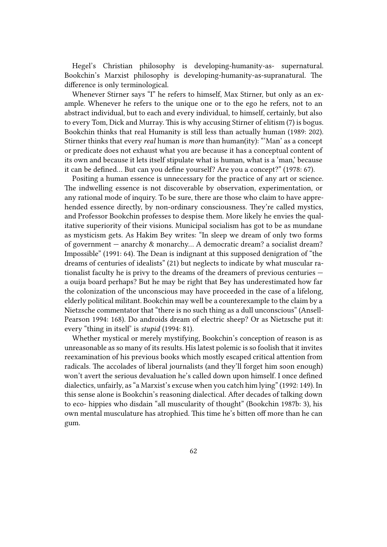Hegel's Christian philosophy is developing-humanity-as- supernatural. Bookchin's Marxist philosophy is developing-humanity-as-supranatural. The difference is only terminological.

Whenever Stirner says "I" he refers to himself, Max Stirner, but only as an example. Whenever he refers to the unique one or to the ego he refers, not to an abstract individual, but to each and every individual, to himself, certainly, but also to every Tom, Dick and Murray. This is why accusing Stirner of elitism (7) is bogus. Bookchin thinks that real Humanity is still less than actually human (1989: 202). Stirner thinks that every *real* human is *more* than human(ity): "'Man' as a concept or predicate does not exhaust what you are because it has a conceptual content of its own and because it lets itself stipulate what is human, what is a 'man,' because it can be defined… But can you define yourself? Are you a concept?" (1978: 67).

Positing a human essence is unnecessary for the practice of any art or science. The indwelling essence is not discoverable by observation, experimentation, or any rational mode of inquiry. To be sure, there are those who claim to have apprehended essence directly, by non-ordinary consciousness. They're called mystics, and Professor Bookchin professes to despise them. More likely he envies the qualitative superiority of their visions. Municipal socialism has got to be as mundane as mysticism gets. As Hakim Bey writes: "In sleep we dream of only two forms of government — anarchy & monarchy… A democratic dream? a socialist dream? Impossible" (1991: 64). The Dean is indignant at this supposed denigration of "the dreams of centuries of idealists" (21) but neglects to indicate by what muscular rationalist faculty he is privy to the dreams of the dreamers of previous centuries a ouija board perhaps? But he may be right that Bey has underestimated how far the colonization of the unconscious may have proceeded in the case of a lifelong, elderly political militant. Bookchin may well be a counterexample to the claim by a Nietzsche commentator that "there is no such thing as a dull unconscious" (Ansell-Pearson 1994: 168). Do androids dream of electric sheep? Or as Nietzsche put it: every "thing in itself' is *stupid* (1994: 81).

Whether mystical or merely mystifying, Bookchin's conception of reason is as unreasonable as so many of its results. His latest polemic is so foolish that it invites reexamination of his previous books which mostly escaped critical attention from radicals. The accolades of liberal journalists (and they'll forget him soon enough) won't avert the serious devaluation he's called down upon himself. I once defined dialectics, unfairly, as "a Marxist's excuse when you catch him lying" (1992: 149). In this sense alone is Bookchin's reasoning dialectical. After decades of talking down to eco- hippies who disdain "all muscularity of thought" (Bookchin 1987b: 3), his own mental musculature has atrophied. This time he's bitten off more than he can gum.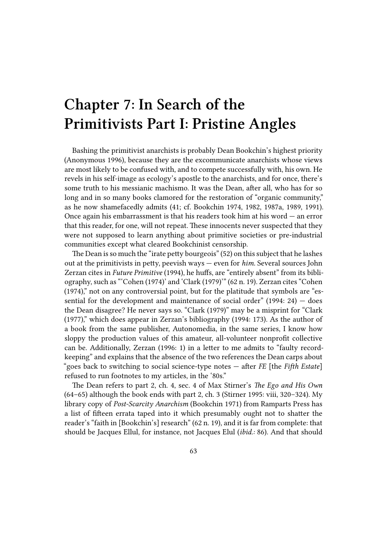## **Chapter 7: In Search of the Primitivists Part I: Pristine Angles**

Bashing the primitivist anarchists is probably Dean Bookchin's highest priority (Anonymous 1996), because they are the excommunicate anarchists whose views are most likely to be confused with, and to compete successfully with, his own. He revels in his self-image as ecology's apostle to the anarchists, and for once, there's some truth to his messianic machismo. It was the Dean, after all, who has for so long and in so many books clamored for the restoration of "organic community," as he now shamefacedly admits (41; cf. Bookchin 1974, 1982, 1987a, 1989, 1991). Once again his embarrassment is that his readers took him at his word  $-$  an error that this reader, for one, will not repeat. These innocents never suspected that they were not supposed to learn anything about primitive societies or pre-industrial communities except what cleared Bookchinist censorship.

The Dean is so much the "irate petty bourgeois" (52) on this subject that he lashes out at the primitivists in petty, peevish ways — even for *him*. Several sources John Zerzan cites in *Future Primitive* (1994), he huffs, are "entirely absent" from its bibliography, such as "'Cohen (1974)' and 'Clark (1979)'" (62 n. 19). Zerzan cites "Cohen (1974)," not on any controversial point, but for the platitude that symbols are "essential for the development and maintenance of social order"  $(1994: 24)$  - does the Dean disagree? He never says so. "Clark (1979)" may be a misprint for "Clark (1977)," which does appear in Zerzan's bibliography (1994: 173). As the author of a book from the same publisher, Autonomedia, in the same series, I know how sloppy the production values of this amateur, all-volunteer nonprofit collective can be. Additionally, Zerzan (1996: 1) in a letter to me admits to "faulty recordkeeping" and explains that the absence of the two references the Dean carps about "goes back to switching to social science-type notes — after *FE* [the *Fifth Estate*] refused to run footnotes to my articles, in the '80s."

The Dean refers to part 2, ch. 4, sec. 4 of Max Stirner's *The Ego and His Own* (64–65) although the book ends with part 2, ch. 3 (Stirner 1995: viii, 320–324). My library copy of *Post-Scarcity Anarchism* (Bookchin 1971) from Ramparts Press has a list of fifteen errata taped into it which presumably ought not to shatter the reader's "faith in [Bookchin's] research" (62 n. 19), and it is far from complete: that should be Jacques Ellul, for instance, not Jacques Elul (*ibid.:* 86). And that should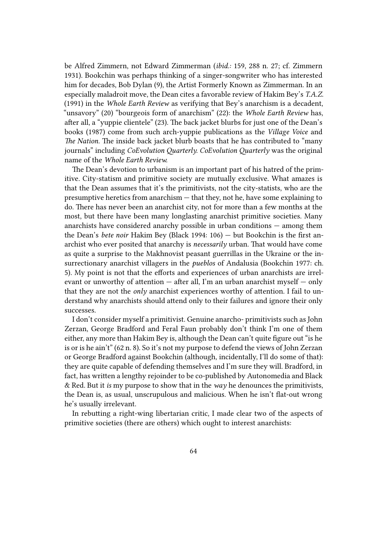be Alfred Zimmern, not Edward Zimmerman (*ibid.:* 159, 288 n. 27; cf. Zimmern 1931). Bookchin was perhaps thinking of a singer-songwriter who has interested him for decades, Bob Dylan (9), the Artist Formerly Known as Zimmerman. In an especially maladroit move, the Dean cites a favorable review of Hakim Bey's *T.A.Z.* (1991) in the *Whole Earth Review* as verifying that Bey's anarchism is a decadent, "unsavory" (20) "bourgeois form of anarchism" (22): the *Whole Earth Review* has, after all, a "yuppie clientele" (23). The back jacket blurbs for just one of the Dean's books (1987) come from such arch-yuppie publications as the *Village Voice* and *The Nation.* The inside back jacket blurb boasts that he has contributed to "many journals" including *CoEvolution Quarterly. CoEvolution Quarterly* was the original name of the *Whole Earth Review.*

The Dean's devotion to urbanism is an important part of his hatred of the primitive. City-statism and primitive society are mutually exclusive. What amazes is that the Dean assumes that it's the primitivists, not the city-statists, who are the presumptive heretics from anarchism — that they, not he, have some explaining to do. There has never been an anarchist city, not for more than a few months at the most, but there have been many longlasting anarchist primitive societies. Many anarchists have considered anarchy possible in urban conditions — among them the Dean's *bete noir* Hakim Bey (Black 1994: 106) — but Bookchin is the first anarchist who ever posited that anarchy is *necessarily* urban. That would have come as quite a surprise to the Makhnovist peasant guerrillas in the Ukraine or the insurrectionary anarchist villagers in the *pueblos* of Andalusia (Bookchin 1977: ch. 5). My point is not that the efforts and experiences of urban anarchists are irrelevant or unworthy of attention  $-$  after all, I'm an urban anarchist myself  $-$  only that they are not the *only* anarchist experiences worthy of attention. I fail to understand why anarchists should attend only to their failures and ignore their only successes.

I don't consider myself a primitivist. Genuine anarcho- primitivists such as John Zerzan, George Bradford and Feral Faun probably don't think I'm one of them either, any more than Hakim Bey is, although the Dean can't quite figure out "is he is or is he ain't" (62 n. 8). So it's not my purpose to defend the views of John Zerzan or George Bradford against Bookchin (although, incidentally, I'll do some of that): they are quite capable of defending themselves and I'm sure they will. Bradford, in fact, has written a lengthy rejoinder to be co-published by Autonomedia and Black & Red. But it *is* my purpose to show that in the *way* he denounces the primitivists, the Dean is, as usual, unscrupulous and malicious. When he isn't flat-out wrong he's usually irrelevant.

In rebutting a right-wing libertarian critic, I made clear two of the aspects of primitive societies (there are others) which ought to interest anarchists: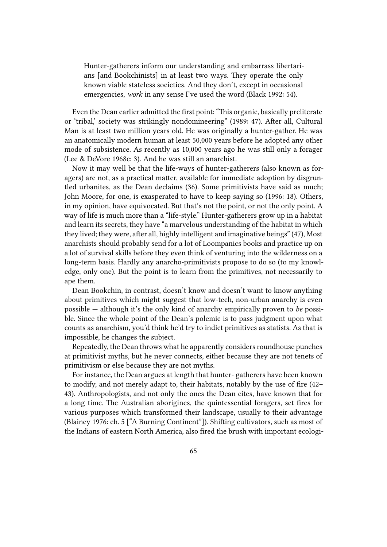Hunter-gatherers inform our understanding and embarrass libertarians [and Bookchinists] in at least two ways. They operate the only known viable stateless societies. And they don't, except in occasional emergencies, *work* in any sense I've used the word (Black 1992: 54).

Even the Dean earlier admitted the first point: "This organic, basically preliterate or 'tribal,' society was strikingly nondomineering" (1989: 47). After all, Cultural Man is at least two million years old. He was originally a hunter-gather. He was an anatomically modern human at least 50,000 years before he adopted any other mode of subsistence. As recently as 10,000 years ago he was still only a forager (Lee & DeVore 1968c: 3). And he was still an anarchist.

Now it may well be that the life-ways of hunter-gatherers (also known as foragers) are not, as a practical matter, available for immediate adoption by disgruntled urbanites, as the Dean declaims (36). Some primitivists have said as much; John Moore, for one, is exasperated to have to keep saying so (1996: 18). Others, in my opinion, have equivocated. But that's not the point, or not the only point. A way of life is much more than a "life-style." Hunter-gatherers grow up in a habitat and learn its secrets, they have "a marvelous understanding of the habitat in which they lived; they were, after all, highly intelligent and imaginative beings" (47), Most anarchists should probably send for a lot of Loompanics books and practice up on a lot of survival skills before they even think of venturing into the wilderness on a long-term basis. Hardly any anarcho-primitivists propose to do so (to my knowledge, only one). But the point is to learn from the primitives, not necessarily to ape them.

Dean Bookchin, in contrast, doesn't know and doesn't want to know anything about primitives which might suggest that low-tech, non-urban anarchy is even possible — although it's the only kind of anarchy empirically proven to *be* possible. Since the whole point of the Dean's polemic is to pass judgment upon what counts as anarchism, you'd think he'd try to indict primitives as statists. As that is impossible, he changes the subject.

Repeatedly, the Dean throws what he apparently considers roundhouse punches at primitivist myths, but he never connects, either because they are not tenets of primitivism or else because they are not myths.

For instance, the Dean argues at length that hunter- gatherers have been known to modify, and not merely adapt to, their habitats, notably by the use of fire (42– 43). Anthropologists, and not only the ones the Dean cites, have known that for a long time. The Australian aborigines, the quintessential foragers, set fires for various purposes which transformed their landscape, usually to their advantage (Blainey 1976: ch. 5 ["A Burning Continent"]). Shifting cultivators, such as most of the Indians of eastern North America, also fired the brush with important ecologi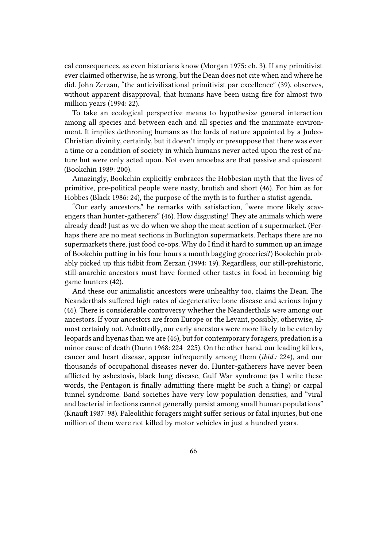cal consequences, as even historians know (Morgan 1975: ch. 3). If any primitivist ever claimed otherwise, he is wrong, but the Dean does not cite when and where he did. John Zerzan, "the anticivilizational primitivist par excellence" (39), observes, without apparent disapproval, that humans have been using fire for almost two million years (1994: 22).

To take an ecological perspective means to hypothesize general interaction among all species and between each and all species and the inanimate environment. It implies dethroning humans as the lords of nature appointed by a Judeo-Christian divinity, certainly, but it doesn't imply or presuppose that there was ever a time or a condition of society in which humans never acted upon the rest of nature but were only acted upon. Not even amoebas are that passive and quiescent (Bookchin 1989: 200).

Amazingly, Bookchin explicitly embraces the Hobbesian myth that the lives of primitive, pre-political people were nasty, brutish and short (46). For him as for Hobbes (Black 1986: 24), the purpose of the myth is to further a statist agenda.

"Our early ancestors," he remarks with satisfaction, "were more likely scavengers than hunter-gatherers" (46). How disgusting! They ate animals which were already dead! Just as we do when we shop the meat section of a supermarket. (Perhaps there are no meat sections in Burlington supermarkets. Perhaps there are no supermarkets there, just food co-ops. Why do I find it hard to summon up an image of Bookchin putting in his four hours a month bagging groceries?) Bookchin probably picked up this tidbit from Zerzan (1994: 19). Regardless, our still-prehistoric, still-anarchic ancestors must have formed other tastes in food in becoming big game hunters (42).

And these our animalistic ancestors were unhealthy too, claims the Dean. The Neanderthals suffered high rates of degenerative bone disease and serious injury (46). There is considerable controversy whether the Neanderthals *were* among our ancestors. If your ancestors are from Europe or the Levant, possibly; otherwise, almost certainly not. Admittedly, our early ancestors were more likely to be eaten by leopards and hyenas than we are (46), but for contemporary foragers, predation is a minor cause of death (Dunn 1968: 224–225). On the other hand, our leading killers, cancer and heart disease, appear infrequently among them (*ibid.:* 224), and our thousands of occupational diseases never do. Hunter-gatherers have never been afflicted by asbestosis, black lung disease, Gulf War syndrome (as I write these words, the Pentagon is finally admitting there might be such a thing) or carpal tunnel syndrome. Band societies have very low population densities, and "viral and bacterial infections cannot generally persist among small human populations" (Knauft 1987: 98). Paleolithic foragers might suffer serious or fatal injuries, but one million of them were not killed by motor vehicles in just a hundred years.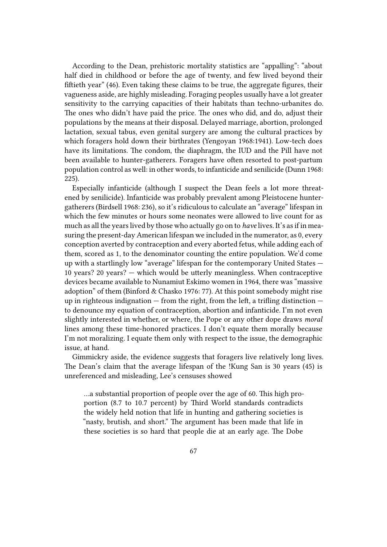According to the Dean, prehistoric mortality statistics are "appalling": "about half died in childhood or before the age of twenty, and few lived beyond their fiftieth year" (46). Even taking these claims to be true, the aggregate figures, their vagueness aside, are highly misleading. Foraging peoples usually have a lot greater sensitivity to the carrying capacities of their habitats than techno-urbanites do. The ones who didn't have paid the price. The ones who did, and do, adjust their populations by the means at their disposal. Delayed marriage, abortion, prolonged lactation, sexual tabus, even genital surgery are among the cultural practices by which foragers hold down their birthrates (Yengoyan 1968:1941). Low-tech does have its limitations. The condom, the diaphragm, the IUD and the Pill have not been available to hunter-gatherers. Foragers have often resorted to post-partum population control as well: in other words, to infanticide and senilicide (Dunn 1968: 225).

Especially infanticide (although I suspect the Dean feels a lot more threatened by senilicide). Infanticide was probably prevalent among Pleistocene huntergatherers (Birdsell 1968: 236), so it's ridiculous to calculate an "average" lifespan in which the few minutes or hours some neonates were allowed to live count for as much as all the years lived by those who actually go on to *have* lives. It's as if in measuring the present-day American lifespan we included in the numerator, as 0, every conception averted by contraception and every aborted fetus, while adding each of them, scored as 1, to the denominator counting the entire population. We'd come up with a startlingly low "average" lifespan for the contemporary United States — 10 years? 20 years? — which would be utterly meaningless. When contraceptive devices became available to Nunamiut Eskimo women in 1964, there was "massive adoption" of them (Binford & Chasko 1976: 77). At this point somebody might rise up in righteous indignation  $-$  from the right, from the left, a trifling distinction  $$ to denounce my equation of contraception, abortion and infanticide. I'm not even slightly interested in whether, or where, the Pope or any other dope draws *moral* lines among these time-honored practices. I don't equate them morally because I'm not moralizing. I equate them only with respect to the issue, the demographic issue, at hand.

Gimmickry aside, the evidence suggests that foragers live relatively long lives. The Dean's claim that the average lifespan of the !Kung San is 30 years (45) is unreferenced and misleading, Lee's censuses showed

…a substantial proportion of people over the age of 60. This high proportion (8.7 to 10.7 percent) by Third World standards contradicts the widely held notion that life in hunting and gathering societies is "nasty, brutish, and short." The argument has been made that life in these societies is so hard that people die at an early age. The Dobe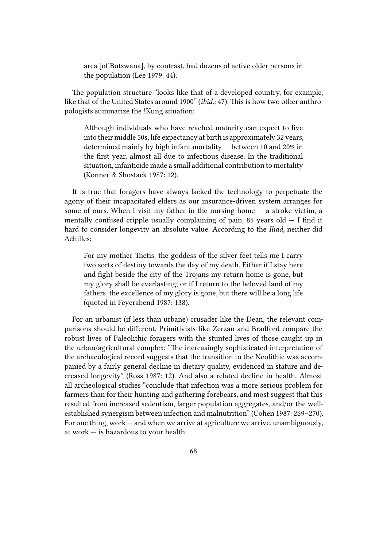area [of Botswana], by contrast, had dozens of active older persons in the population (Lee 1979: 44).

The population structure "looks like that of a developed country, for example, like that of the United States around 1900" (*ibid.;* 47). This is how two other anthropologists summarize the !Kung situation:

Although individuals who have reached maturity can expect to live into their middle 50s, life expectancy at birth is approximately 32 years, determined mainly by high infant mortality — between 10 and 20% in the first year, almost all due to infectious disease. In the traditional situation, infanticide made a small additional contribution to mortality (Konner & Shostack 1987: 12).

It is true that foragers have always lacked the technology to perpetuate the agony of their incapacitated elders as our insurance-driven system arranges for some of ours. When I visit my father in the nursing home  $-$  a stroke victim, a mentally confused cripple usually complaining of pain, 85 years old  $-1$  find it hard to consider longevity an absolute value. According to the *Iliad,* neither did Achilles:

For my mother Thetis, the goddess of the silver feet tells me I carry two sorts of destiny towards the day of my death. Either if I stay here and fight beside the city of the Trojans my return home is gone, but my glory shall be everlasting; or if I return to the beloved land of my fathers, the excellence of my glory is gone, but there will be a long life (quoted in Feyerabend 1987: 138).

For an urbanist (if less than urbane) crusader like the Dean, the relevant comparisons should be different. Primitivists like Zerzan and Bradford compare the robust lives of Paleolithic foragers with the stunted lives of those caught up in the urban/agricultural complex: "The increasingly sophisticated interpretation of the archaeological record suggests that the transition to the Neolithic was accompanied by a fairly general decline in dietary quality, evidenced in stature and decreased longevity" (Ross 1987: 12). And also a related decline in health. Almost all archeological studies "conclude that infection was a more serious problem for farmers than for their hunting and gathering forebears, and most suggest that this resulted from increased sedentism, larger population aggregates, and/or the wellestablished synergism between infection and malnutrition" (Cohen 1987: 269–270). For one thing, work — and when we arrive at agriculture we arrive, unambiguously, at work — is hazardous to your health.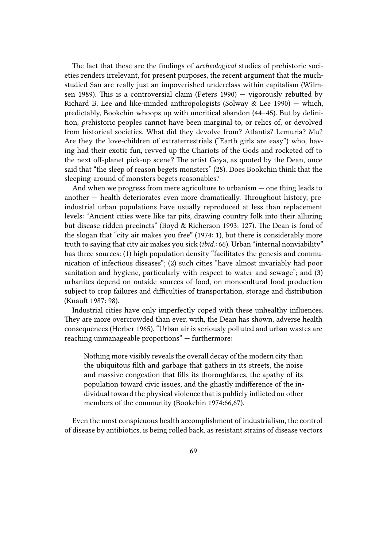The fact that these are the findings of *archeological* studies of prehistoric societies renders irrelevant, for present purposes, the recent argument that the muchstudied San are really just an impoverished underclass within capitalism (Wilmsen 1989). This is a controversial claim (Peters 1990) — vigorously rebutted by Richard B. Lee and like-minded anthropologists (Solway & Lee 1990) — which, predictably, Bookchin whoops up with uncritical abandon (44–45). But by definition, *pre*historic peoples cannot have been marginal to, or relics of, or devolved from historical societies. What did they devolve from? Atlantis? Lemuria? Mu? Are they the love-children of extraterrestrials ("Earth girls are easy") who, having had their exotic fun, revved up the Chariots of the Gods and rocketed off to the next off-planet pick-up scene? The artist Goya, as quoted by the Dean, once said that "the sleep of reason begets monsters" (28). Does Bookchin think that the sleeping-around of monsters begets reasonables?

And when we progress from mere agriculture to urbanism — one thing leads to another — health deteriorates even more dramatically. Throughout history, preindustrial urban populations have usually reproduced at less than replacement levels: "Ancient cities were like tar pits, drawing country folk into their alluring but disease-ridden precincts" (Boyd & Richerson 1993: 127). The Dean is fond of the slogan that "city air makes you free" (1974: 1), but there is considerably more truth to saying that city air makes you sick (*ibid.:* 66). Urban "internal nonviability" has three sources: (1) high population density "facilitates the genesis and communication of infectious diseases"; (2) such cities "have almost invariably had poor sanitation and hygiene, particularly with respect to water and sewage"; and (3) urbanites depend on outside sources of food, on monocultural food production subject to crop failures and difficulties of transportation, storage and distribution (Knauft 1987: 98).

Industrial cities have only imperfectly coped with these unhealthy influences. They are more overcrowded than ever, with, the Dean has shown, adverse health consequences (Herber 1965). "Urban air is seriously polluted and urban wastes are reaching unmanageable proportions" — furthermore:

Nothing more visibly reveals the overall decay of the modern city than the ubiquitous filth and garbage that gathers in its streets, the noise and massive congestion that fills its thoroughfares, the apathy of its population toward civic issues, and the ghastly indifference of the individual toward the physical violence that is publicly inflicted on other members of the community (Bookchin 1974:66,67).

Even the most conspicuous health accomplishment of industrialism, the control of disease by antibiotics, is being rolled back, as resistant strains of disease vectors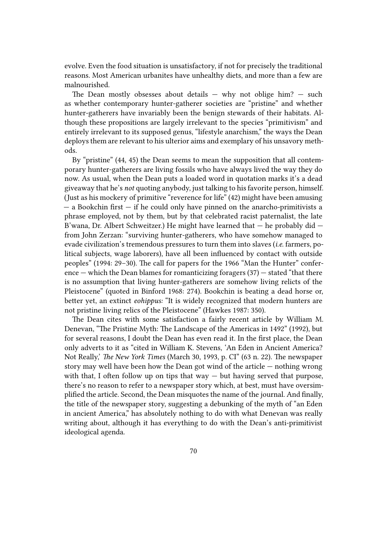evolve. Even the food situation is unsatisfactory, if not for precisely the traditional reasons. Most American urbanites have unhealthy diets, and more than a few are malnourished.

The Dean mostly obsesses about details  $-$  why not oblige him?  $-$  such as whether contemporary hunter-gatherer societies are "pristine" and whether hunter-gatherers have invariably been the benign stewards of their habitats. Although these propositions are largely irrelevant to the species "primitivism" and entirely irrelevant to its supposed genus, "lifestyle anarchism," the ways the Dean deploys them are relevant to his ulterior aims and exemplary of his unsavory methods.

By "pristine" (44, 45) the Dean seems to mean the supposition that all contemporary hunter-gatherers are living fossils who have always lived the way they do now. As usual, when the Dean puts a loaded word in quotation marks it's a dead giveaway that he's *not* quoting anybody, just talking to his favorite person, himself. (Just as his mockery of primitive "reverence for life" (42) might have been amusing  $-$  a Bookchin first  $-$  if he could only have pinned on the anarcho-primitivists a phrase employed, not by them, but by that celebrated racist paternalist, the late B'wana, Dr. Albert Schweitzer.) He might have learned that — he probably did from John Zerzan: "surviving hunter-gatherers, who have somehow managed to evade civilization's tremendous pressures to turn them into slaves (*i.e.* farmers, political subjects, wage laborers), have all been influenced by contact with outside peoples" (1994: 29–30). The call for papers for the 1966 "Man the Hunter" conference — which the Dean blames for romanticizing foragers  $(37)$  — stated "that there is no assumption that living hunter-gatherers are somehow living relicts of the Pleistocene" (quoted in Binford 1968: 274). Bookchin is beating a dead horse or, better yet, an extinct *eohippus:* "It is widely recognized that modern hunters are not pristine living relics of the Pleistocene" (Hawkes 1987: 350).

The Dean cites with some satisfaction a fairly recent article by William M. Denevan, "The Pristine Myth: The Landscape of the Americas in 1492" (1992), but for several reasons, I doubt the Dean has even read it. In the first place, the Dean only adverts to it as "cited in William K. Stevens, 'An Eden in Ancient America? Not Really,' *The New York Times* (March 30, 1993, p. CI" (63 n. 22). The newspaper story may well have been how the Dean got wind of the article — nothing wrong with that, I often follow up on tips that way  $-$  but having served that purpose, there's no reason to refer to a newspaper story which, at best, must have oversimplified the article. Second, the Dean misquotes the name of the journal. And finally, the title of the newspaper story, suggesting a debunking of the myth of "an Eden in ancient America," has absolutely nothing to do with what Denevan was really writing about, although it has everything to do with the Dean's anti-primitivist ideological agenda.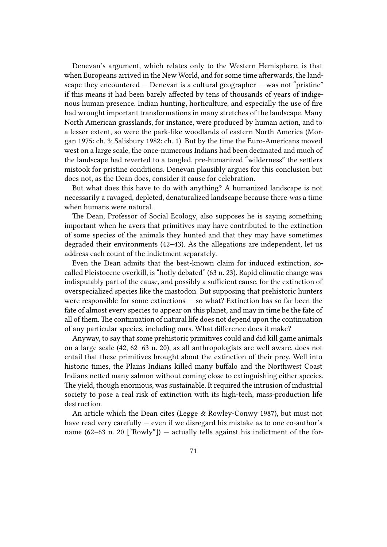Denevan's argument, which relates only to the Western Hemisphere, is that when Europeans arrived in the New World, and for some time afterwards, the landscape they encountered  $-$  Denevan is a cultural geographer  $-$  was not "pristine" if this means it had been barely affected by tens of thousands of years of indigenous human presence. Indian hunting, horticulture, and especially the use of fire had wrought important transformations in many stretches of the landscape. Many North American grasslands, for instance, were produced by human action, and to a lesser extent, so were the park-like woodlands of eastern North America (Morgan 1975: ch. 3; Salisbury 1982: ch. 1). But by the time the Euro-Americans moved west on a large scale, the once-numerous Indians had been decimated and much of the landscape had reverted to a tangled, pre-humanized "wilderness" the settlers mistook for pristine conditions. Denevan plausibly argues for this conclusion but does not, as the Dean does, consider it cause for celebration.

But what does this have to do with anything? A humanized landscape is not necessarily a ravaged, depleted, denaturalized landscape because there *was* a time when humans were natural.

The Dean, Professor of Social Ecology, also supposes he is saying something important when he avers that primitives may have contributed to the extinction of some species of the animals they hunted and that they may have sometimes degraded their environments (42–43). As the allegations are independent, let us address each count of the indictment separately.

Even the Dean admits that the best-known claim for induced extinction, socalled Pleistocene overkill, is "hotly debated" (63 n. 23). Rapid climatic change was indisputably part of the cause, and possibly a sufficient cause, for the extinction of overspecialized species like the mastodon. But supposing that prehistoric hunters were responsible for some extinctions — so what? Extinction has so far been the fate of almost every species to appear on this planet, and may in time be the fate of all of them. The continuation of natural life does not depend upon the continuation of any particular species, including ours. What difference does it make?

Anyway, to say that some prehistoric primitives could and did kill game animals on a large scale (42, 62–63 n. 20), as all anthropologists are well aware, does not entail that these primitives brought about the extinction of their prey. Well into historic times, the Plains Indians killed many buffalo and the Northwest Coast Indians netted many salmon without coming close to extinguishing either species. The yield, though enormous, was sustainable. It required the intrusion of industrial society to pose a real risk of extinction with its high-tech, mass-production life destruction.

An article which the Dean cites (Legge & Rowley-Conwy 1987), but must not have read very carefully  $-$  even if we disregard his mistake as to one co-author's name (62–63 n. 20 ["Rowly"]) — actually tells against his indictment of the for-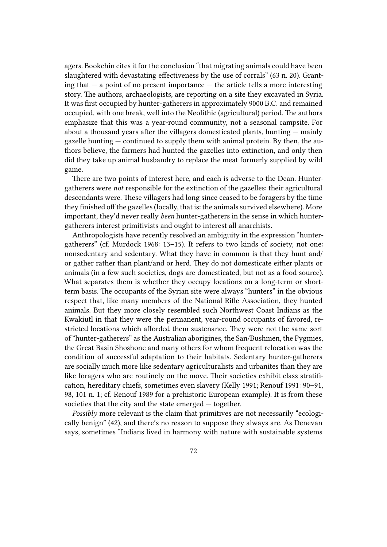agers. Bookchin cites it for the conclusion "that migrating animals could have been slaughtered with devastating effectiveness by the use of corrals" (63 n. 20). Granting that  $-$  a point of no present importance  $-$  the article tells a more interesting story. The authors, archaeologists, are reporting on a site they excavated in Syria. It was first occupied by hunter-gatherers in approximately 9000 B.C. and remained occupied, with one break, well into the Neolithic (agricultural) period. The authors emphasize that this was a year-round community, not a seasonal campsite. For about a thousand years after the villagers domesticated plants, hunting — mainly gazelle hunting — continued to supply them with animal protein. By then, the authors believe, the farmers had hunted the gazelles into extinction, and only then did they take up animal husbandry to replace the meat formerly supplied by wild game.

There are two points of interest here, and each is adverse to the Dean. Huntergatherers were *not* responsible for the extinction of the gazelles: their agricultural descendants were. These villagers had long since ceased to be foragers by the time they finished off the gazelles (locally, that is: the animals survived elsewhere). More important, they'd never really *been* hunter-gatherers in the sense in which huntergatherers interest primitivists and ought to interest all anarchists.

Anthropologists have recently resolved an ambiguity in the expression "huntergatherers" (cf. Murdock 1968: 13–15). It refers to two kinds of society, not one: nonsedentary and sedentary. What they have in common is that they hunt and/ or gather rather than plant/and or herd. They do not domesticate either plants or animals (in a few such societies, dogs are domesticated, but not as a food source). What separates them is whether they occupy locations on a long-term or shortterm basis. The occupants of the Syrian site were always "hunters" in the obvious respect that, like many members of the National Rifle Association, they hunted animals. But they more closely resembled such Northwest Coast Indians as the Kwakiutl in that they were the permanent, year-round occupants of favored, restricted locations which afforded them sustenance. They were not the same sort of "hunter-gatherers" as the Australian aborigines, the San/Bushmen, the Pygmies, the Great Basin Shoshone and many others for whom frequent relocation was the condition of successful adaptation to their habitats. Sedentary hunter-gatherers are socially much more like sedentary agriculturalists and urbanites than they are like foragers who are routinely on the move. Their societies exhibit class stratification, hereditary chiefs, sometimes even slavery (Kelly 1991; Renouf 1991: 90–91, 98, 101 n. 1; cf. Renouf 1989 for a prehistoric European example). It is from these societies that the city and the state emerged — together.

*Possibly* more relevant is the claim that primitives are not necessarily "ecologically benign" (42), and there's no reason to suppose they always are. As Denevan says, sometimes "Indians lived in harmony with nature with sustainable systems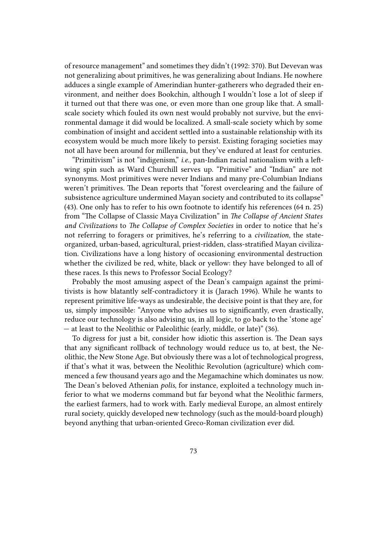of resource management" and sometimes they didn't (1992: 370). But Devevan was not generalizing about primitives, he was generalizing about Indians. He nowhere adduces a single example of Amerindian hunter-gatherers who degraded their environment, and neither does Bookchin, although I wouldn't lose a lot of sleep if it turned out that there was one, or even more than one group like that. A smallscale society which fouled its own nest would probably not survive, but the environmental damage it did would be localized. A small-scale society which by some combination of insight and accident settled into a sustainable relationship with its ecosystem would be much more likely to persist. Existing foraging societies may not all have been around for millennia, but they've endured at least for centuries.

"Primitivism" is not "indigenism," *i.e.,* pan-Indian racial nationalism with a leftwing spin such as Ward Churchill serves up. "Primitive" and "Indian" are not synonyms. Most primitives were never Indians and many pre-Columbian Indians weren't primitives. The Dean reports that "forest overclearing and the failure of subsistence agriculture undermined Mayan society and contributed to its collapse" (43). One only has to refer to his own footnote to identify his references (64 n. 25) from "The Collapse of Classic Maya Civilization" in *The Collapse of Ancient States and Civilizations* to *The Collapse of Complex Societies* in order to notice that he's not referring to foragers or primitives, he's referring to a *civilization,* the stateorganized, urban-based, agricultural, priest-ridden, class-stratified Mayan civilization. Civilizations have a long history of occasioning environmental destruction whether the civilized be red, white, black or yellow: they have belonged to all of these races. Is this news to Professor Social Ecology?

Probably the most amusing aspect of the Dean's campaign against the primitivists is how blatantly self-contradictory it is (Jarach 1996). While he wants to represent primitive life-ways as undesirable, the decisive point is that they are, for us, simply impossible: "Anyone who advises us to significantly, even drastically, reduce our technology is also advising us, in all logic, to go back to the 'stone age' — at least to the Neolithic or Paleolithic (early, middle, or late)" (36).

To digress for just a bit, consider how idiotic this assertion is. The Dean says that any significant rollback of technology would reduce us to, at best, the Neolithic, the New Stone Age. But obviously there was a lot of technological progress, if that's what it was, between the Neolithic Revolution (agriculture) which commenced a few thousand years ago and the Megamachine which dominates us now. The Dean's beloved Athenian *polis*, for instance, exploited a technology much inferior to what we moderns command but far beyond what the Neolithic farmers, the earliest farmers, had to work with. Early medieval Europe, an almost entirely rural society, quickly developed new technology (such as the mould-board plough) beyond anything that urban-oriented Greco-Roman civilization ever did.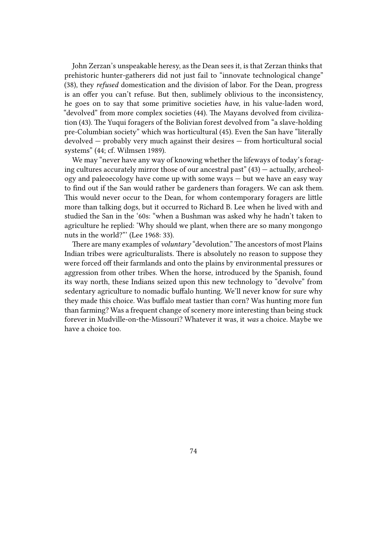John Zerzan's unspeakable heresy, as the Dean sees it, is that Zerzan thinks that prehistoric hunter-gatherers did not just fail to "innovate technological change" (38), they *refused* domestication and the division of labor. For the Dean, progress is an offer you can't refuse. But then, sublimely oblivious to the inconsistency, he goes on to say that some primitive societies *have,* in his value-laden word, "devolved" from more complex societies (44). The Mayans devolved from civilization (43). The Yuqui foragers of the Bolivian forest devolved from "a slave-holding pre-Columbian society" which was horticultural (45). Even the San have "literally devolved — probably very much against their desires — from horticultural social systems" (44; cf. Wilmsen 1989).

We may "never have any way of knowing whether the lifeways of today's foraging cultures accurately mirror those of our ancestral past" (43) — actually, archeology and paleoecology have come up with some ways — but we have an easy way to find out if the San would rather be gardeners than foragers. We can ask them. This would never occur to the Dean, for whom contemporary foragers are little more than talking dogs, but it occurred to Richard B. Lee when he lived with and studied the San in the '60s: "when a Bushman was asked why he hadn't taken to agriculture he replied: 'Why should we plant, when there are so many mongongo nuts in the world?"' (Lee 1968: 33).

There are many examples of *voluntary* "devolution." The ancestors of most Plains Indian tribes were agriculturalists. There is absolutely no reason to suppose they were forced off their farmlands and onto the plains by environmental pressures or aggression from other tribes. When the horse, introduced by the Spanish, found its way north, these Indians seized upon this new technology to "devolve" from sedentary agriculture to nomadic buffalo hunting. We'll never know for sure why they made this choice. Was buffalo meat tastier than corn? Was hunting more fun than farming? Was a frequent change of scenery more interesting than being stuck forever in Mudville-on-the-Missouri? Whatever it was, it *was* a choice. Maybe we have a choice too.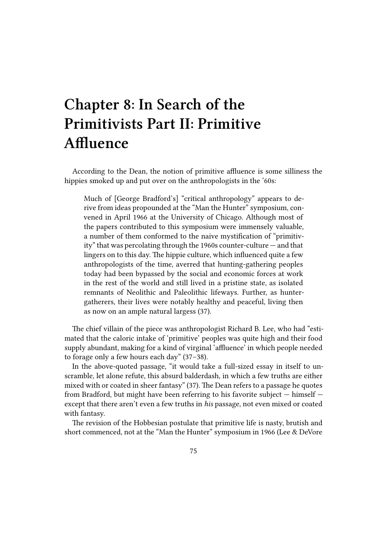# **Chapter 8: In Search of the Primitivists Part II: Primitive Affluence**

According to the Dean, the notion of primitive affluence is some silliness the hippies smoked up and put over on the anthropologists in the '60s:

Much of [George Bradford's] "critical anthropology" appears to derive from ideas propounded at the "Man the Hunter" symposium, convened in April 1966 at the University of Chicago. Although most of the papers contributed to this symposium were immensely valuable, a number of them conformed to the naive mystification of "primitivity" that was percolating through the 1960s counter-culture — and that lingers on to this day. The hippie culture, which influenced quite a few anthropologists of the time, averred that hunting-gathering peoples today had been bypassed by the social and economic forces at work in the rest of the world and still lived in a pristine state, as isolated remnants of Neolithic and Paleolithic lifeways. Further, as huntergatherers, their lives were notably healthy and peaceful, living then as now on an ample natural largess (37).

The chief villain of the piece was anthropologist Richard B. Lee, who had "estimated that the caloric intake of 'primitive' peoples was quite high and their food supply abundant, making for a kind of virginal 'affluence' in which people needed to forage only a few hours each day" (37–38).

In the above-quoted passage, "it would take a full-sized essay in itself to unscramble, let alone refute, this absurd balderdash, in which a few truths are either mixed with or coated in sheer fantasy" (37). The Dean refers to a passage he quotes from Bradford, but might have been referring to his favorite subject — himself except that there aren't even a few truths in *his* passage, not even mixed or coated with fantasy.

The revision of the Hobbesian postulate that primitive life is nasty, brutish and short commenced, not at the "Man the Hunter" symposium in 1966 (Lee & DeVore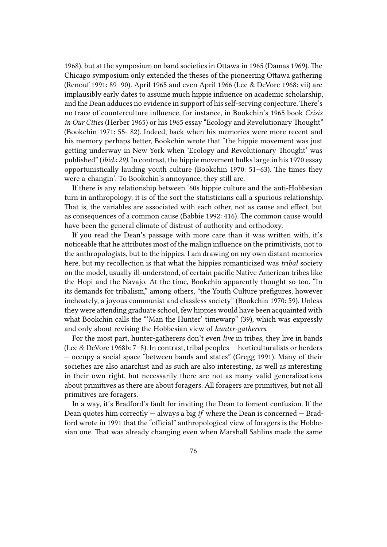1968), but at the symposium on band societies in Ottawa in 1965 (Damas 1969). The Chicago symposium only extended the theses of the pioneering Ottawa gathering (Renouf 1991: 89–90). April 1965 and even April 1966 (Lee & DeVore 1968: vii) are implausibly early dates to assume much hippie influence on academic scholarship, and the Dean adduces no evidence in support of his self-serving conjecture. There's no trace of counterculture influence, for instance, in Bookchin's 1965 book *Crisis in Our Cities* (Herber 1965) or his 1965 essay "Ecology and Revolutionary Thought" (Bookchin 1971: 55- 82). Indeed, back when his memories were more recent and his memory perhaps better, Bookchin wrote that "the hippie movement was just getting underway in New York when 'Ecology and Revolutionary Thought' was published" (*ibid.: 29).* In contrast, the hippie movement bulks large in his 1970 essay opportunistically lauding youth culture (Bookchin 1970: 51–63). The times they were a-changin'. To Bookchin's annoyance, they still are.

If there is any relationship between '60s hippie culture and the anti-Hobbesian turn in anthropology, it is of the sort the statisticians call a spurious relationship. That is, the variables are associated with each other, not as cause and effect, but as consequences of a common cause (Babbie 1992: 416). The common cause would have been the general climate of distrust of authority and orthodoxy.

If you read the Dean's passage with more care than it was written with, it's noticeable that he attributes most of the malign influence on the primitivists, not to the anthropologists, but to the hippies. I am drawing on my own distant memories here, but my recollection is that what the hippies romanticized was *tribal* society on the model, usually ill-understood, of certain pacific Native American tribes like the Hopi and the Navajo. At the time, Bookchin apparently thought so too. "In its demands for tribalism," among others, "the Youth Culture prefigures, however inchoately, a joyous communist and classless society" (Bookchin 1970: 59). Unless they were attending graduate school, few hippies would have been acquainted with what Bookchin calls the "'Man the Hunter' timewarp" (39), which was expressly and only about revising the Hobbesian view of *hunter-gatherers.*

For the most part, hunter-gatherers don't even *live* in tribes, they live in bands (Lee & DeVore 1968b: 7–8). In contrast, tribal peoples — horticulturalists or herders — occupy a social space "between bands and states" (Gregg 1991). Many of their societies are also anarchist and as such are also interesting, as well as interesting in their own right, but necessarily there are not as many valid generalizations about primitives as there are about foragers. All foragers are primitives, but not all primitives are foragers.

In a way, it's Bradford's fault for inviting the Dean to foment confusion. If the Dean quotes him correctly — always a big *if* where the Dean is concerned — Bradford wrote in 1991 that the "official" anthropological view of foragers is the Hobbesian one. That was already changing even when Marshall Sahlins made the same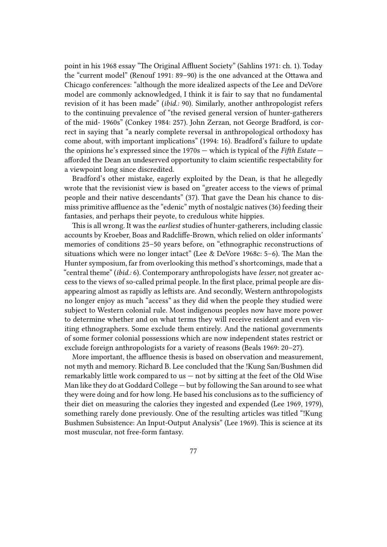point in his 1968 essay "The Original Affluent Society" (Sahlins 1971: ch. 1). Today the "current model" (Renouf 1991: 89–90) is the one advanced at the Ottawa and Chicago conferences: "although the more idealized aspects of the Lee and DeVore model are commonly acknowledged, I think it is fair to say that no fundamental revision of it has been made" (*ibid.:* 90). Similarly, another anthropologist refers to the continuing prevalence of "the revised general version of hunter-gatherers of the mid- 1960s" (Conkey 1984: 257). John Zerzan, not George Bradford, is correct in saying that "a nearly complete reversal in anthropological orthodoxy has come about, with important implications" (1994: 16). Bradford's failure to update the opinions he's expressed since the 1970s — which is typical of the *Fifth Estate* afforded the Dean an undeserved opportunity to claim scientific respectability for a viewpoint long since discredited.

Bradford's other mistake, eagerly exploited by the Dean, is that he allegedly wrote that the revisionist view is based on "greater access to the views of primal people and their native descendants" (37). That gave the Dean his chance to dismiss primitive affluence as the "edenic" myth of nostalgic natives (36) feeding their fantasies, and perhaps their peyote, to credulous white hippies.

This is all wrong. It was the *earliest* studies of hunter-gatherers, including classic accounts by Kroeber, Boas and Radcliffe-Brown, which relied on older informants' memories of conditions 25–50 years before, on "ethnographic reconstructions of situations which were no longer intact" (Lee & DeVore 1968c: 5–6). The Man the Hunter symposium, far from overlooking this method's shortcomings, made that a "central theme" (*ibid.:* 6). Contemporary anthropologists have *lesser,* not greater access to the views of so-called primal people. In the first place, primal people are disappearing almost as rapidly as leftists are. And secondly, Western anthropologists no longer enjoy as much "access" as they did when the people they studied were subject to Western colonial rule. Most indigenous peoples now have more power to determine whether and on what terms they will receive resident and even visiting ethnographers. Some exclude them entirely. And the national governments of some former colonial possessions which are now independent states restrict or exclude foreign anthropologists for a variety of reasons (Beals 1969: 20–27).

More important, the affluence thesis is based on observation and measurement, not myth and memory. Richard B. Lee concluded that the !Kung San/Bushmen did remarkably little work compared to us  $-$  not by sitting at the feet of the Old Wise Man like they do at Goddard College — but by following the San around to see what they were doing and for how long. He based his conclusions as to the sufficiency of their diet on measuring the calories they ingested and expended (Lee 1969, 1979), something rarely done previously. One of the resulting articles was titled "!Kung Bushmen Subsistence: An Input-Output Analysis" (Lee 1969). This is science at its most muscular, not free-form fantasy.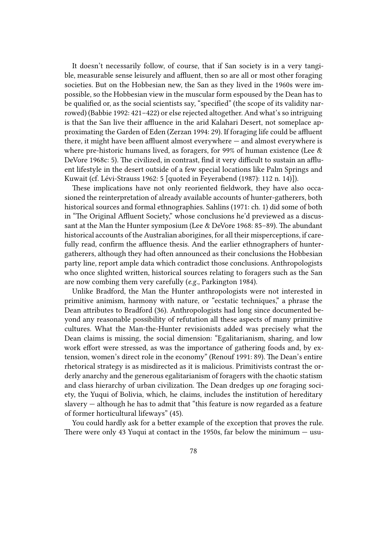It doesn't necessarily follow, of course, that if San society is in a very tangible, measurable sense leisurely and affluent, then so are all or most other foraging societies. But on the Hobbesian new, the San as they lived in the 1960s were impossible, so the Hobbesian view in the muscular form espoused by the Dean has to be qualified or, as the social scientists say, "specified" (the scope of its validity narrowed) (Babbie 1992: 421–422) or else rejected altogether. And what's so intriguing is that the San live their affluence in the arid Kalahari Desert, not someplace approximating the Garden of Eden (Zerzan 1994: 29). If foraging life could be affluent there, it might have been affluent almost everywhere — and almost everywhere is where pre-historic humans lived, as foragers, for 99% of human existence (Lee & DeVore 1968c: 5). The civilized, in contrast, find it very difficult to sustain an affluent lifestyle in the desert outside of a few special locations like Palm Springs and Kuwait (cf. Lévi-Strauss 1962: 5 [quoted in Feyerabend (1987): 112 n. 14)]).

These implications have not only reoriented fieldwork, they have also occasioned the reinterpretation of already available accounts of hunter-gatherers, both historical sources and formal ethnographies. Sahlins (1971: ch. 1) did some of both in "The Original Affluent Society," whose conclusions he'd previewed as a discussant at the Man the Hunter symposium (Lee & DeVore 1968: 85–89). The abundant historical accounts of the Australian aborigines, for all their misperceptions, if carefully read, confirm the affluence thesis. And the earlier ethnographers of huntergatherers, although they had often announced as their conclusions the Hobbesian party line, report ample data which contradict those conclusions. Anthropologists who once slighted written, historical sources relating to foragers such as the San are now combing them very carefully (*e.g.,* Parkington 1984).

Unlike Bradford, the Man the Hunter anthropologists were not interested in primitive animism, harmony with nature, or "ecstatic techniques," a phrase the Dean attributes to Bradford (36). Anthropologists had long since documented beyond any reasonable possibility of refutation all these aspects of many primitive cultures. What the Man-the-Hunter revisionists added was precisely what the Dean claims is missing, the social dimension: "Egalitarianism, sharing, and low work effort were stressed, as was the importance of gathering foods and, by extension, women's direct role in the economy" (Renouf 1991: 89). The Dean's entire rhetorical strategy is as misdirected as it is malicious. Primitivists contrast the orderly anarchy and the generous egalitarianism of foragers with the chaotic statism and class hierarchy of urban civilization. The Dean dredges up *one* foraging society, the Yuqui of Bolivia, which, he claims, includes the institution of hereditary slavery — although he has to admit that "this feature is now regarded as a feature of former horticultural lifeways" (45).

You could hardly ask for a better example of the exception that proves the rule. There were only 43 Yuqui at contact in the 1950s, far below the minimum  $-$  usu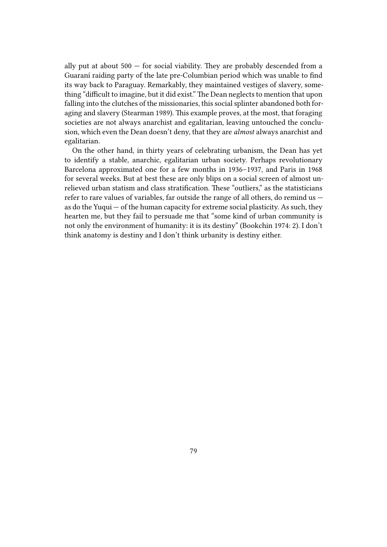ally put at about  $500 -$  for social viability. They are probably descended from a Guaraní raiding party of the late pre-Columbian period which was unable to find its way back to Paraguay. Remarkably, they maintained vestiges of slavery, something "difficult to imagine, but it did exist." The Dean neglects to mention that upon falling into the clutches of the missionaries, this social splinter abandoned both foraging and slavery (Stearman 1989). This example proves, at the most, that foraging societies are not always anarchist and egalitarian, leaving untouched the conclusion, which even the Dean doesn't deny, that they are *almost* always anarchist and egalitarian.

On the other hand, in thirty years of celebrating urbanism, the Dean has yet to identify a stable, anarchic, egalitarian urban society. Perhaps revolutionary Barcelona approximated one for a few months in 1936–1937, and Paris in 1968 for several weeks. But at best these are only blips on a social screen of almost unrelieved urban statism and class stratification. These "outliers," as the statisticians refer to rare values of variables, far outside the range of all others, do remind us as do the Yuqui — of the human capacity for extreme social plasticity. As such, they hearten me, but they fail to persuade me that "some kind of urban community is not only the environment of humanity: it is its destiny" (Bookchin 1974: 2). I don't think anatomy is destiny and I don't think urbanity is destiny either.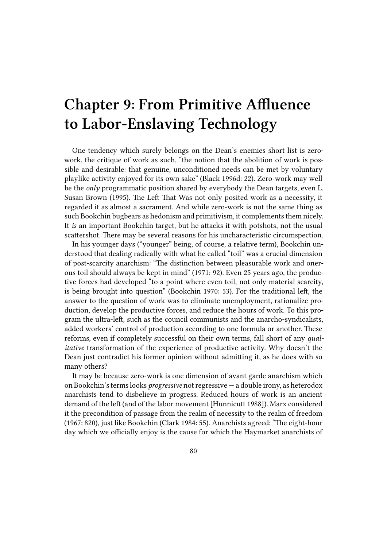# **Chapter 9: From Primitive Affluence to Labor-Enslaving Technology**

One tendency which surely belongs on the Dean's enemies short list is zerowork, the critique of work as such, "the notion that the abolition of work is possible and desirable: that genuine, unconditioned needs can be met by voluntary playlike activity enjoyed for its own sake" (Black 1996d: 22). Zero-work may well be the *only* programmatic position shared by everybody the Dean targets, even L. Susan Brown (1995). The Left That Was not only posited work as a necessity, it regarded it as almost a sacrament. And while zero-work is not the same thing as such Bookchin bugbears as hedonism and primitivism, it complements them nicely. It *is* an important Bookchin target, but he attacks it with potshots, not the usual scattershot. There may be several reasons for his uncharacteristic circumspection.

In his younger days ("younger" being, of course, a relative term), Bookchin understood that dealing radically with what he called "toil" was a crucial dimension of post-scarcity anarchism: "The distinction between pleasurable work and onerous toil should always be kept in mind" (1971: 92). Even 25 years ago, the productive forces had developed "to a point where even toil, not only material scarcity, is being brought into question" (Bookchin 1970: 53). For the traditional left, the answer to the question of work was to eliminate unemployment, rationalize production, develop the productive forces, and reduce the hours of work. To this program the ultra-left, such as the council communists and the anarcho-syndicalists, added workers' control of production according to one formula or another. These reforms, even if completely successful on their own terms, fall short of any *qualitative* transformation of the experience of productive activity. Why doesn't the Dean just contradict his former opinion without admitting it, as he does with so many others?

It may be because zero-work is one dimension of avant garde anarchism which on Bookchin's terms looks *progressive* not regressive — a double irony, as heterodox anarchists tend to disbelieve in progress. Reduced hours of work is an ancient demand of the left (and of the labor movement [Hunnicutt 1988]). Marx considered it the precondition of passage from the realm of necessity to the realm of freedom (1967: 820), just like Bookchin (Clark 1984: 55). Anarchists agreed: "The eight-hour day which we officially enjoy is the cause for which the Haymarket anarchists of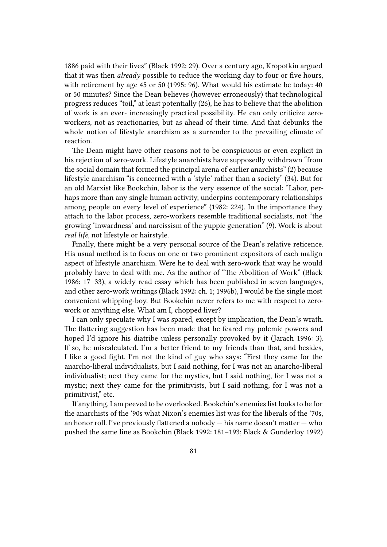1886 paid with their lives" (Black 1992: 29). Over a century ago, Kropotkin argued that it was then *already* possible to reduce the working day to four or five hours, with retirement by age 45 or 50 (1995: 96). What would his estimate be today: 40 or 50 minutes? Since the Dean believes (however erroneously) that technological progress reduces "toil," at least potentially (26), he has to believe that the abolition of work is an ever- increasingly practical possibility. He can only criticize zeroworkers, not as reactionaries, but as ahead of their time. And that debunks the whole notion of lifestyle anarchism as a surrender to the prevailing climate of reaction.

The Dean might have other reasons not to be conspicuous or even explicit in his rejection of zero-work. Lifestyle anarchists have supposedly withdrawn "from the social domain that formed the principal arena of earlier anarchists" (2) because lifestyle anarchism "is concerned with a 'style' rather than a society" (34). But for an old Marxist like Bookchin, labor is the very essence of the social: "Labor, perhaps more than any single human activity, underpins contemporary relationships among people on every level of experience" (1982: 224). In the importance they attach to the labor process, zero-workers resemble traditional socialists, not "the growing 'inwardness' and narcissism of the yuppie generation" (9). Work is about *real life,* not lifestyle or hairstyle.

Finally, there might be a very personal source of the Dean's relative reticence. His usual method is to focus on one or two prominent expositors of each malign aspect of lifestyle anarchism. Were he to deal with zero-work that way he would probably have to deal with me. As the author of "The Abolition of Work" (Black 1986: 17–33), a widely read essay which has been published in seven languages, and other zero-work writings (Black 1992: ch. 1; 1996b), I would be the single most convenient whipping-boy. But Bookchin never refers to me with respect to zerowork or anything else. What am I, chopped liver?

I can only speculate why I was spared, except by implication, the Dean's wrath. The flattering suggestion has been made that he feared my polemic powers and hoped I'd ignore his diatribe unless personally provoked by it (Jarach 1996: 3). If so, he miscalculated. I'm a better friend to my friends than that, and besides, I like a good fight. I'm not the kind of guy who says: "First they came for the anarcho-liberal individualists, but I said nothing, for I was not an anarcho-liberal individualist; next they came for the mystics, but I said nothing, for I was not a mystic; next they came for the primitivists, but I said nothing, for I was not a primitivist," etc.

If anything, I am peeved to be overlooked. Bookchin's enemies list looks to be for the anarchists of the '90s what Nixon's enemies list was for the liberals of the '70s, an honor roll. I've previously flattened a nobody — his name doesn't matter — who pushed the same line as Bookchin (Black 1992: 181–193; Black & Gunderloy 1992)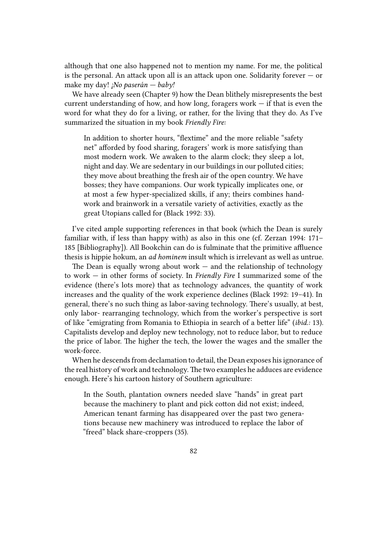although that one also happened not to mention my name. For me, the political is the personal. An attack upon all is an attack upon one. Solidarity forever — or make my day! *¡No paserán — baby!*

We have already seen (Chapter 9) how the Dean blithely misrepresents the best current understanding of how, and how long, foragers work — if that is even the word for what they do for a living, or rather, for the living that they do. As I've summarized the situation in my book *Friendly Fire:*

In addition to shorter hours, "flextime" and the more reliable "safety net" afforded by food sharing, foragers' work is more satisfying than most modern work. We awaken to the alarm clock; they sleep a lot, night and day. We are sedentary in our buildings in our polluted cities; they move about breathing the fresh air of the open country. We have bosses; they have companions. Our work typically implicates one, or at most a few hyper-specialized skills, if any; theirs combines handwork and brainwork in a versatile variety of activities, exactly as the great Utopians called for (Black 1992: 33).

I've cited ample supporting references in that book (which the Dean is surely familiar with, if less than happy with) as also in this one (cf. Zerzan 1994: 171– 185 [Bibliography]). All Bookchin can do is fulminate that the primitive affluence thesis is hippie hokum, an *ad hominem* insult which is irrelevant as well as untrue.

The Dean is equally wrong about work  $-$  and the relationship of technology to work — in other forms of society. In *Friendly Fire* I summarized some of the evidence (there's lots more) that as technology advances, the quantity of work increases and the quality of the work experience declines (Black 1992: 19–41). In general, there's no such thing as labor-saving technology. There's usually, at best, only labor- rearranging technology, which from the worker's perspective is sort of like "emigrating from Romania to Ethiopia in search of a better life" (*ibid.:* 13). Capitalists develop and deploy new technology, not to reduce labor, but to reduce the price of labor. The higher the tech, the lower the wages and the smaller the work-force.

When he descends from declamation to detail, the Dean exposes his ignorance of the real history of work and technology. The two examples he adduces are evidence enough. Here's his cartoon history of Southern agriculture:

In the South, plantation owners needed slave "hands" in great part because the machinery to plant and pick cotton did not exist; indeed, American tenant farming has disappeared over the past two generations because new machinery was introduced to replace the labor of "freed" black share-croppers (35).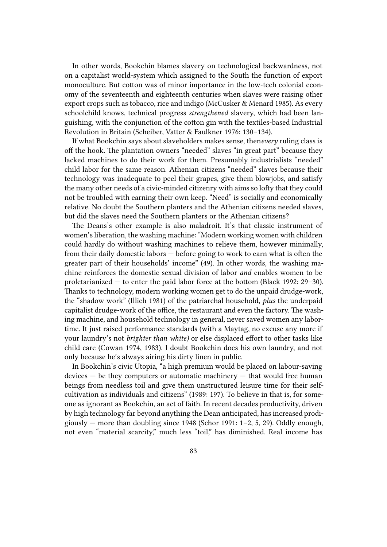In other words, Bookchin blames slavery on technological backwardness, not on a capitalist world-system which assigned to the South the function of export monoculture. But cotton was of minor importance in the low-tech colonial economy of the seventeenth and eighteenth centuries when slaves were raising other export crops such as tobacco, rice and indigo (McCusker & Menard 1985). As every schoolchild knows, technical progress *strengthened* slavery, which had been languishing, with the conjunction of the cotton gin with the textiles-based Industrial Revolution in Britain (Scheiber, Vatter & Faulkner 1976: 130–134).

If what Bookchin says about slaveholders makes sense, then*every* ruling class is off the hook. The plantation owners "needed" slaves "in great part" because they lacked machines to do their work for them. Presumably industrialists "needed" child labor for the same reason. Athenian citizens "needed" slaves because their technology was inadequate to peel their grapes, give them blowjobs, and satisfy the many other needs of a civic-minded citizenry with aims so lofty that they could not be troubled with earning their own keep. "Need" is socially and economically relative. No doubt the Southern planters and the Athenian citizens needed slaves, but did the slaves need the Southern planters or the Athenian citizens?

The Deans's other example is also maladroit. It's that classic instrument of women's liberation, the washing machine: "Modern working women with children could hardly do without washing machines to relieve them, however minimally, from their daily domestic labors — before going to work to earn what is often the greater part of their households' income" (49). In other words, the washing machine reinforces the domestic sexual division of labor *and* enables women to be proletarianized — to enter the paid labor force at the bottom (Black 1992: 29–30). Thanks to technology, modern working women get to do the unpaid drudge-work, the "shadow work" (Illich 1981) of the patriarchal household, *plus* the underpaid capitalist drudge-work of the office, the restaurant and even the factory. The washing machine, and household technology in general, never saved women any labortime. It just raised performance standards (with a Maytag, no excuse any more if your laundry's not *brighter than white)* or else displaced effort to other tasks like child care (Cowan 1974, 1983). I doubt Bookchin does his own laundry, and not only because he's always airing his dirty linen in public.

In Bookchin's civic Utopia, "a high premium would be placed on labour-saving  $devices - be they computers or automatic machinery - that would free human$ beings from needless toil and give them unstructured leisure time for their selfcultivation as individuals and citizens" (1989: 197). To believe in that is, for someone as ignorant as Bookchin, an act of faith. In recent decades productivity, driven by high technology far beyond anything the Dean anticipated, has increased prodigiously — more than doubling since 1948 (Schor 1991: 1–2, 5, 29). Oddly enough, not even "material scarcity," much less "toil," has diminished. Real income has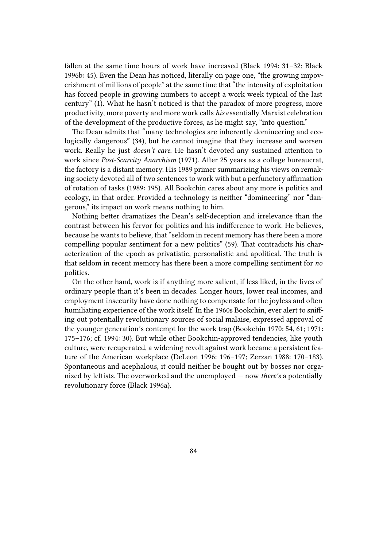fallen at the same time hours of work have increased (Black 1994: 31–32; Black 1996b: 45). Even the Dean has noticed, literally on page one, "the growing impoverishment of millions of people" at the same time that "the intensity of exploitation has forced people in growing numbers to accept a work week typical of the last century" (1). What he hasn't noticed is that the paradox of more progress, more productivity, more poverty and more work calls *his* essentially Marxist celebration of the development of the productive forces, as he might say, "into question."

The Dean admits that "many technologies are inherently domineering and ecologically dangerous" (34), but he cannot imagine that they increase and worsen work. Really he just *doesn't care.* He hasn't devoted any sustained attention to work since *Post-Scarcity Anarchism* (1971). After 25 years as a college bureaucrat, the factory is a distant memory. His 1989 primer summarizing his views on remaking society devoted all of two sentences to work with but a perfunctory affirmation of rotation of tasks (1989: 195). All Bookchin cares about any more is politics and ecology, in that order. Provided a technology is neither "domineering" nor "dangerous," its impact on work means nothing to him.

Nothing better dramatizes the Dean's self-deception and irrelevance than the contrast between his fervor for politics and his indifference to work. He believes, because he wants to believe, that "seldom in recent memory has there been a more compelling popular sentiment for a new politics" (59). That contradicts his characterization of the epoch as privatistic, personalistic and apolitical. The truth is that seldom in recent memory has there been a more compelling sentiment for *no* politics.

On the other hand, work is if anything more salient, if less liked, in the lives of ordinary people than it's been in decades. Longer hours, lower real incomes, and employment insecurity have done nothing to compensate for the joyless and often humiliating experience of the work itself. In the 1960s Bookchin, ever alert to sniffing out potentially revolutionary sources of social malaise, expressed approval of the younger generation's contempt for the work trap (Bookchin 1970: 54, 61; 1971: 175–176; cf. 1994: 30). But while other Bookchin-approved tendencies, like youth culture, were recuperated, a widening revolt against work became a persistent feature of the American workplace (DeLeon 1996: 196–197; Zerzan 1988: 170–183). Spontaneous and acephalous, it could neither be bought out by bosses nor organized by leftists. The overworked and the unemployed — now *there's* a potentially revolutionary force (Black 1996a).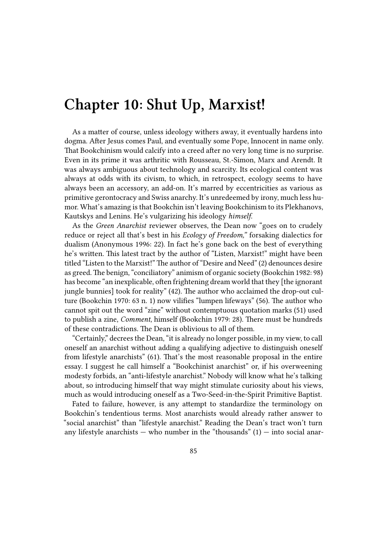#### **Chapter 10: Shut Up, Marxist!**

As a matter of course, unless ideology withers away, it eventually hardens into dogma. After Jesus comes Paul, and eventually some Pope, Innocent in name only. That Bookchinism would calcify into a creed after no very long time is no surprise. Even in its prime it was arthritic with Rousseau, St.-Simon, Marx and Arendt. It was always ambiguous about technology and scarcity. Its ecological content was always at odds with its civism, to which, in retrospect, ecology seems to have always been an accessory, an add-on. It's marred by eccentricities as various as primitive gerontocracy and Swiss anarchy. It's unredeemed by irony, much less humor. What's amazing is that Bookchin isn't leaving Bookchinism to its Plekhanovs, Kautskys and Lenins. He's vulgarizing his ideology *himself*.

As the *Green Anarchist* reviewer observes, the Dean now "goes on to crudely reduce or reject all that's best in his *Ecology of Freedom,"* forsaking dialectics for dualism (Anonymous 1996: 22). In fact he's gone back on the best of everything he's written. This latest tract by the author of "Listen, Marxist!" might have been titled "Listen to the Marxist!" The author of "Desire and Need" (2) denounces desire as greed. The benign, "conciliatory" animism of organic society (Bookchin 1982: 98) has become "an inexplicable, often frightening dream world that they [the ignorant jungle bunnies] took for reality" (42). The author who acclaimed the drop-out culture (Bookchin 1970: 63 n. 1) now vilifies "lumpen lifeways" (56). The author who cannot spit out the word "zine" without contemptuous quotation marks (51) used to publish a zine, *Comment*, himself (Bookchin 1979: 28). There must be hundreds of these contradictions. The Dean is oblivious to all of them.

"Certainly," decrees the Dean, "it is already no longer possible, in my view, to call oneself an anarchist without adding a qualifying adjective to distinguish oneself from lifestyle anarchists" (61). That's the most reasonable proposal in the entire essay. I suggest he call himself a "Bookchinist anarchist" or, if his overweening modesty forbids, an "anti-lifestyle anarchist." Nobody will know what he's talking about, so introducing himself that way might stimulate curiosity about his views, much as would introducing oneself as a Two-Seed-in-the-Spirit Primitive Baptist.

Fated to failure, however, is any attempt to standardize the terminology on Bookchin's tendentious terms. Most anarchists would already rather answer to "social anarchist" than "lifestyle anarchist." Reading the Dean's tract won't turn any lifestyle anarchists — who number in the "thousands"  $(1)$  — into social anar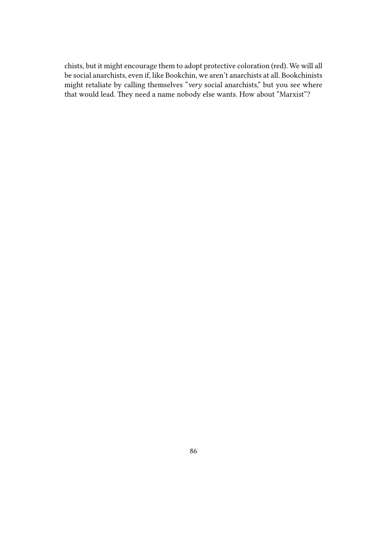chists, but it might encourage them to adopt protective coloration (red). We will all be social anarchists, even if, like Bookchin, we aren't anarchists at all. Bookchinists might retaliate by calling themselves "*very* social anarchists," but you see where that would lead. They need a name nobody else wants. How about "Marxist"?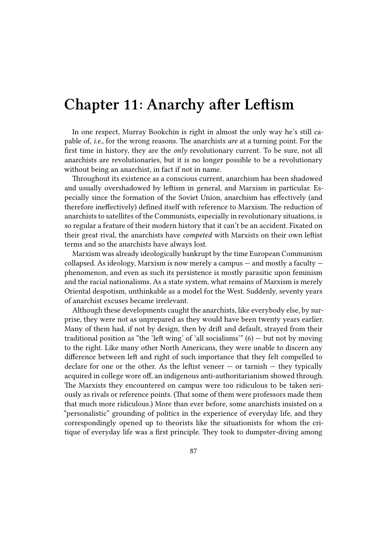### **Chapter 11: Anarchy after Leftism**

In one respect, Murray Bookchin is right in almost the only way he's still capable of, *i.e.,* for the wrong reasons. The anarchists *are* at a turning point. For the first time in history, they are the *only* revolutionary current. To be sure, not all anarchists are revolutionaries, but it is no longer possible to be a revolutionary without being an anarchist, in fact if not in name.

Throughout its existence as a conscious current, anarchism has been shadowed and usually overshadowed by leftism in general, and Marxism in particular. Especially since the formation of the Soviet Union, anarchism has effectively (and therefore ineffectively) defined itself with reference to Marxism. The reduction of anarchists to satellites of the Communists, especially in revolutionary situations, is so regular a feature of their modern history that it can't be an accident. Fixated on their great rival, the anarchists have *competed* with Marxists on their own leftist terms and so the anarchists have always lost.

Marxism was already ideologically bankrupt by the time European Communism collapsed. As ideology, Marxism is now merely a campus — and mostly a faculty phenomenon, and even as such its persistence is mostly parasitic upon feminism and the racial nationalisms. As a state system, what remains of Marxism is merely Oriental despotism, unthinkable as a model for the West. Suddenly, seventy years of anarchist excuses became irrelevant.

Although these developments caught the anarchists, like everybody else, by surprise, they were not as unprepared as they would have been twenty years earlier. Many of them had, if not by design, then by drift and default, strayed from their traditional position as "the 'left wing' of 'all socialisms'"  $(6)$  – but not by moving to the right. Like many other North Americans, they were unable to discern any difference between left and right of such importance that they felt compelled to declare for one or the other. As the leftist veneer  $-$  or tarnish  $-$  they typically acquired in college wore off, an indigenous anti-authoritarianism showed through. The Marxists they encountered on campus were too ridiculous to be taken seriously as rivals or reference points. (That some of them were professors made them that much more ridiculous.) More than ever before, some anarchists insisted on a "personalistic" grounding of politics in the experience of everyday life, and they correspondingly opened up to theorists like the situationists for whom the critique of everyday life was a first principle. They took to dumpster-diving among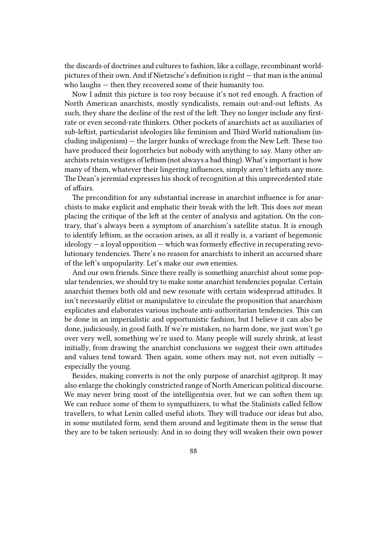the discards of doctrines and cultures to fashion, like a collage, recombinant worldpictures of their own. And if Nietzsche's definition is right — that man is the animal who laughs — then they recovered some of their humanity too.

Now I admit this picture is too rosy because it's not red enough. A fraction of North American anarchists, mostly syndicalists, remain out-and-out leftists. As such, they share the decline of the rest of the left. They no longer include any firstrate or even second-rate thinkers. Other pockets of anarchists act as auxiliaries of sub-leftist, particularist ideologies like feminism and Third World nationalism (including indigenism) — the larger hunks of wreckage from the New Left. These too have produced their logorrheics but nobody with anything to say. Many other anarchists retain vestiges of leftism (not always a bad thing). What's important is how many of them, whatever their lingering influences, simply aren't leftists any more. The Dean's jeremiad expresses his shock of recognition at this unprecedented state of affairs.

The precondition for any substantial increase in anarchist influence is for anarchists to make explicit and emphatic their break with the left. This does *not* mean placing the critique of the left at the center of analysis and agitation. On the contrary, that's always been a symptom of anarchism's satellite status. It is enough to identify leftism, as the occasion arises, as all it really is, a variant of hegemonic ideology — a loyal opposition — which was formerly effective in recuperating revolutionary tendencies. There's no reason for anarchists to inherit an accursed share of the left's unpopularity. Let's make our *own* enemies.

And our own friends. Since there really is something anarchist about some popular tendencies, we should try to make some anarchist tendencies popular. Certain anarchist themes both old and new resonate with certain widespread attitudes. It isn't necessarily elitist or manipulative to circulate the proposition that anarchism explicates and elaborates various inchoate anti-authoritarian tendencies. This can be done in an imperialistic and opportunistic fashion, but I believe it can also be done, judiciously, in good faith. If we're mistaken, no harm done, we just won't go over very well, something we're used to. Many people will surely shrink, at least initially, from drawing the anarchist conclusions we suggest their own attitudes and values tend toward. Then again, some others may not, not even initially  $$ especially the young.

Besides, making converts is not the only purpose of anarchist agitprop. It may also enlarge the chokingly constricted range of North American political discourse. We may never bring most of the intelligentsia over, but we can soften them up. We can reduce some of them to sympathizers, to what the Stalinists called fellow travellers, to what Lenin called useful idiots. They will traduce our ideas but also, in some mutilated form, send them around and legitimate them in the sense that they are to be taken seriously. And in so doing they will weaken their own power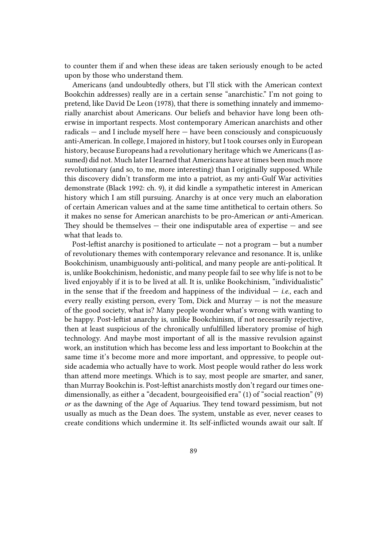to counter them if and when these ideas are taken seriously enough to be acted upon by those who understand them.

Americans (and undoubtedly others, but I'll stick with the American context Bookchin addresses) really are in a certain sense "anarchistic." I'm not going to pretend, like David De Leon (1978), that there is something innately and immemorially anarchist about Americans. Our beliefs and behavior have long been otherwise in important respects. Most contemporary American anarchists and other radicals  $-$  and I include myself here  $-$  have been consciously and conspicuously anti-American. In college, I majored in history, but I took courses only in European history, because Europeans had a revolutionary heritage which we Americans (I assumed) did not. Much later I learned that Americans have at times been much more revolutionary (and so, to me, more interesting) than I originally supposed. While this discovery didn't transform me into a patriot, as my anti-Gulf War activities demonstrate (Black 1992: ch. 9), it did kindle a sympathetic interest in American history which I am still pursuing. Anarchy is at once very much an elaboration of certain American values and at the same time antithetical to certain others. So it makes no sense for American anarchists to be pro-American *or* anti-American. They should be themselves  $-$  their one indisputable area of expertise  $-$  and see what that leads to.

Post-leftist anarchy is positioned to articulate — not a program — but a number of revolutionary themes with contemporary relevance and resonance. It is, unlike Bookchinism, unambiguously anti-political, and many people are anti-political. It is, unlike Bookchinism, hedonistic, and many people fail to see why life is not to be lived enjoyably if it is to be lived at all. It is, unlike Bookchinism, "individualistic" in the sense that if the freedom and happiness of the individual — *i.e.,* each and every really existing person, every Tom, Dick and Murray — is not the measure of the good society, what is? Many people wonder what's wrong with wanting to be happy. Post-leftist anarchy is, unlike Bookchinism, if not necessarily rejective, then at least suspicious of the chronically unfulfilled liberatory promise of high technology. And maybe most important of all is the massive revulsion against work, an institution which has become less and less important to Bookchin at the same time it's become more and more important, and oppressive, to people outside academia who actually have to work. Most people would rather do less work than attend more meetings. Which is to say, most people are smarter, and saner, than Murray Bookchin is. Post-leftist anarchists mostly don't regard our times onedimensionally, as either a "decadent, bourgeoisified era" (1) of "social reaction" (9) *or* as the dawning of the Age of Aquarius. They tend toward pessimism, but not usually as much as the Dean does. The system, unstable as ever, never ceases to create conditions which undermine it. Its self-inflicted wounds await our salt. If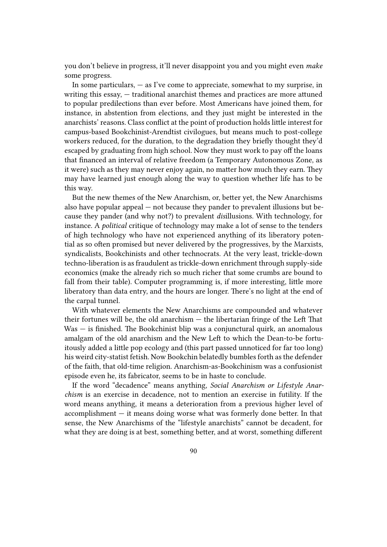you don't believe in progress, it'll never disappoint you and you might even *make* some progress.

In some particulars,  $-$  as I've come to appreciate, somewhat to my surprise, in writing this essay, — traditional anarchist themes and practices are more attuned to popular predilections than ever before. Most Americans have joined them, for instance, in abstention from elections, and they just might be interested in the anarchists' reasons. Class conflict at the point of production holds little interest for campus-based Bookchinist-Arendtist civilogues, but means much to post-college workers reduced, for the duration, to the degradation they briefly thought they'd escaped by graduating from high school. Now they must work to pay off the loans that financed an interval of relative freedom (a Temporary Autonomous Zone, as it were) such as they may never enjoy again, no matter how much they earn. They may have learned just enough along the way to question whether life has to be this way.

But the new themes of the New Anarchism, or, better yet, the New Anarchisms also have popular appeal — not because they pander to prevalent illusions but because they pander (and why not?) to prevalent *dis*illusions. With technology, for instance. A *political* critique of technology may make a lot of sense to the tenders of high technology who have not experienced anything of its liberatory potential as so often promised but never delivered by the progressives, by the Marxists, syndicalists, Bookchinists and other technocrats. At the very least, trickle-down techno-liberation is as fraudulent as trickle-down enrichment through supply-side economics (make the already rich so much richer that some crumbs are bound to fall from their table). Computer programming is, if more interesting, little more liberatory than data entry, and the hours are longer. There's no light at the end of the carpal tunnel.

With whatever elements the New Anarchisms are compounded and whatever their fortunes will be, the old anarchism — the libertarian fringe of the Left That Was — is finished. The Bookchinist blip was a conjunctural quirk, an anomalous amalgam of the old anarchism and the New Left to which the Dean-to-be fortuitously added a little pop ecology and (this part passed unnoticed for far too long) his weird city-statist fetish. Now Bookchin belatedly bumbles forth as the defender of the faith, that old-time religion. Anarchism-as-Bookchinism was a confusionist episode even he, its fabricator, seems to be in haste to conclude.

If the word "decadence" means anything, *Social Anarchism or Lifestyle Anarchism* is an exercise in decadence, not to mention an exercise in futility. If the word means anything, it means a deterioration from a previous higher level of accomplishment — it means doing worse what was formerly done better. In that sense, the New Anarchisms of the "lifestyle anarchists" cannot be decadent, for what they are doing is at best, something better, and at worst, something different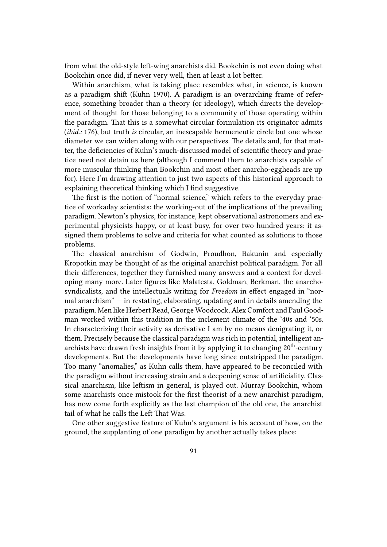from what the old-style left-wing anarchists did. Bookchin is not even doing what Bookchin once did, if never very well, then at least a lot better.

Within anarchism, what is taking place resembles what, in science, is known as a paradigm shift (Kuhn 1970). A paradigm is an overarching frame of reference, something broader than a theory (or ideology), which directs the development of thought for those belonging to a community of those operating within the paradigm. That this is a somewhat circular formulation its originator admits (*ibid.:* 176), but truth *is* circular, an inescapable hermeneutic circle but one whose diameter we can widen along with our perspectives. The details and, for that matter, the deficiencies of Kuhn's much-discussed model of scientific theory and practice need not detain us here (although I commend them to anarchists capable of more muscular thinking than Bookchin and most other anarcho-eggheads are up for). Here I'm drawing attention to just two aspects of this historical approach to explaining theoretical thinking which I find suggestive.

The first is the notion of "normal science," which refers to the everyday practice of workaday scientists: the working-out of the implications of the prevailing paradigm. Newton's physics, for instance, kept observational astronomers and experimental physicists happy, or at least busy, for over two hundred years: it assigned them problems to solve and criteria for what counted as solutions to those problems.

The classical anarchism of Godwin, Proudhon, Bakunin and especially Kropotkin may be thought of as the original anarchist political paradigm. For all their differences, together they furnished many answers and a context for developing many more. Later figures like Malatesta, Goldman, Berkman, the anarchosyndicalists, and the intellectuals writing for *Freedom* in effect engaged in "normal anarchism" — in restating, elaborating, updating and in details amending the paradigm. Men like Herbert Read, George Woodcock, Alex Comfort and Paul Goodman worked within this tradition in the inclement climate of the '40s and '50s. In characterizing their activity as derivative I am by no means denigrating it, or them. Precisely because the classical paradigm was rich in potential, intelligent anarchists have drawn fresh insights from it by applying it to changing  $20<sup>th</sup>$ -century developments. But the developments have long since outstripped the paradigm. Too many "anomalies," as Kuhn calls them, have appeared to be reconciled with the paradigm without increasing strain and a deepening sense of artificiality. Classical anarchism, like leftism in general, is played out. Murray Bookchin, whom some anarchists once mistook for the first theorist of a new anarchist paradigm, has now come forth explicitly as the last champion of the old one, the anarchist tail of what he calls the Left That Was.

One other suggestive feature of Kuhn's argument is his account of how, on the ground, the supplanting of one paradigm by another actually takes place: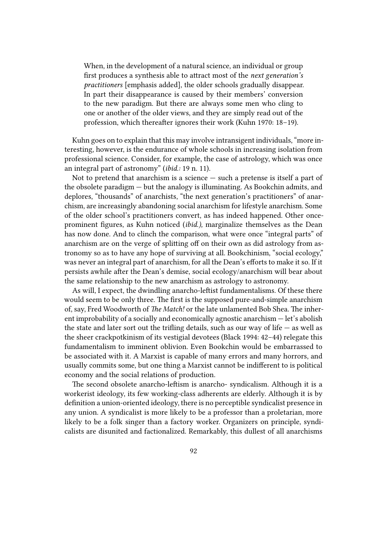When, in the development of a natural science, an individual or group first produces a synthesis able to attract most of the *next generation's practitioners* [emphasis added], the older schools gradually disappear. In part their disappearance is caused by their members' conversion to the new paradigm. But there are always some men who cling to one or another of the older views, and they are simply read out of the profession, which thereafter ignores their work (Kuhn 1970: 18–19).

Kuhn goes on to explain that this may involve intransigent individuals, "more interesting, however, is the endurance of whole schools in increasing isolation from professional science. Consider, for example, the case of astrology, which was once an integral part of astronomy" (*ibid.:* 19 n. 11).

Not to pretend that anarchism is a science — such a pretense is itself a part of the obsolete paradigm — but the analogy is illuminating. As Bookchin admits, and deplores, "thousands" of anarchists, "the next generation's practitioners" of anarchism, are increasingly abandoning social anarchism for lifestyle anarchism. Some of the older school's practitioners convert, as has indeed happened. Other onceprominent figures, as Kuhn noticed (*ibid.),* marginalize themselves as the Dean has now done. And to clinch the comparison, what were once "integral parts" of anarchism are on the verge of splitting off on their own as did astrology from astronomy so as to have any hope of surviving at all. Bookchinism, "social ecology," was never an integral part of anarchism, for all the Dean's efforts to make it so. If it persists awhile after the Dean's demise, social ecology/anarchism will bear about the same relationship to the new anarchism as astrology to astronomy.

As will, I expect, the dwindling anarcho-leftist fundamentalisms. Of these there would seem to be only three. The first is the supposed pure-and-simple anarchism of, say, Fred Woodworth of *The Match!* or the late unlamented Bob Shea. The inherent improbability of a socially and economically agnostic anarchism — let's abolish the state and later sort out the trifling details, such as our way of life  $-$  as well as the sheer crackpotkinism of its vestigial devotees (Black 1994: 42–44) relegate this fundamentalism to imminent oblivion. Even Bookchin would be embarrassed to be associated with it. A Marxist is capable of many errors and many horrors, and usually commits some, but one thing a Marxist cannot be indifferent to is political economy and the social relations of production.

The second obsolete anarcho-leftism is anarcho- syndicalism. Although it is a workerist ideology, its few working-class adherents are elderly. Although it is by definition a union-oriented ideology, there is no perceptible syndicalist presence in any union. A syndicalist is more likely to be a professor than a proletarian, more likely to be a folk singer than a factory worker. Organizers on principle, syndicalists are disunited and factionalized. Remarkably, this dullest of all anarchisms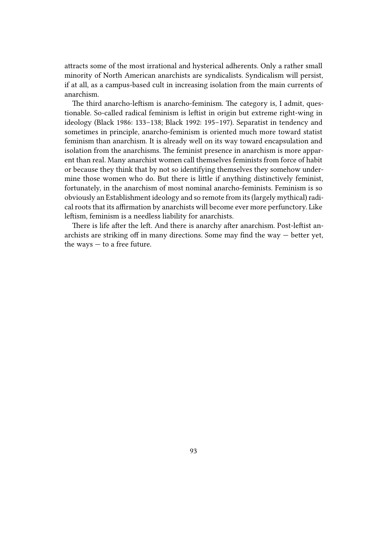attracts some of the most irrational and hysterical adherents. Only a rather small minority of North American anarchists are syndicalists. Syndicalism will persist, if at all, as a campus-based cult in increasing isolation from the main currents of anarchism.

The third anarcho-leftism is anarcho-feminism. The category is, I admit, questionable. So-called radical feminism is leftist in origin but extreme right-wing in ideology (Black 1986: 133–138; Black 1992: 195–197). Separatist in tendency and sometimes in principle, anarcho-feminism is oriented much more toward statist feminism than anarchism. It is already well on its way toward encapsulation and isolation from the anarchisms. The feminist presence in anarchism is more apparent than real. Many anarchist women call themselves feminists from force of habit or because they think that by not so identifying themselves they somehow undermine those women who do. But there is little if anything distinctively feminist, fortunately, in the anarchism of most nominal anarcho-feminists. Feminism is so obviously an Establishment ideology and so remote from its (largely mythical) radical roots that its affirmation by anarchists will become ever more perfunctory. Like leftism, feminism is a needless liability for anarchists.

There is life after the left. And there is anarchy after anarchism. Post-leftist anarchists are striking off in many directions. Some may find the way — better yet, the ways — to a free future.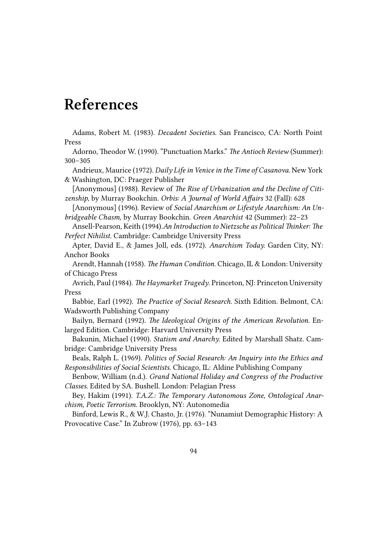### **References**

Adams, Robert M. (1983). *Decadent Societies.* San Francisco, CA: North Point Press

Adorno, Theodor W. (1990). "Punctuation Marks." *The Antioch Review* (Summer): 300–305

Andrieux, Maurice (1972). *Daily Life in Venice in the Time of Casanova.* New York & Washington, DC: Praeger Publisher

[Anonymous] (1988). Review of *The Rise of Urbanization and the Decline of Citizenship,* by Murray Bookchin. *Orbis: A Journal of World Affairs* 32 (Fall): 628

[Anonymous] (1996). Review of *Social Anarchism or Lifestyle Anarchism: An Unbridgeable Chasm,* by Murray Bookchin. *Green Anarchist* 42 (Summer): 22–23

Ansell-Pearson, Keith (1994).*An Introduction to Nietzsche as Political Thinker: The Perfect Nihilist.* Cambridge: Cambridge University Press

Apter, David E., & James Joll, eds. (1972). *Anarchism Today.* Garden City, NY: Anchor Books

Arendt, Hannah (1958). *The Human Condition.* Chicago, IL & London: University of Chicago Press

Avrich, Paul (1984). *The Haymarket Tragedy*. Princeton, NJ: Princeton University Press

Babbie, Earl (1992). *The Practice of Social Research*. Sixth Edition. Belmont, CA: Wadsworth Publishing Company

Bailyn, Bernard (1992). *The Ideological Origins of the American Revolution.* Enlarged Edition. Cambridge: Harvard University Press

Bakunin, Michael (1990). *Statism and Anarchy.* Edited by Marshall Shatz. Cambridge: Cambridge University Press

Beals, Ralph L. (1969). *Politics of Social Research: An Inquiry into the Ethics and Responsibilities of Social Scientists.* Chicago, IL: Aldine Publishing Company

Benbow, William (n.d.). *Grand National Holiday and Congress of the Productive Classes.* Edited by SA. Bushell. London: Pelagian Press

Bey, Hakim (1991). *T.A.Z.: The Temporary Autonomous Zone, Ontological Anarchism, Poetic Terrorism.* Brooklyn, NY: Autonomedia

Binford, Lewis R., & W.J. Chasto, Jr. (1976). "Nunamiut Demographic History: A Provocative Case." In Zubrow (1976), pp. 63–143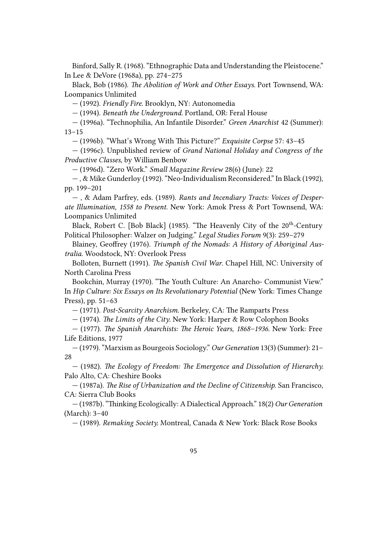Binford, Sally R. (1968). "Ethnographic Data and Understanding the Pleistocene." In Lee & DeVore (1968a), pp. 274–275

Black, Bob (1986). *The Abolition of Work and Other Essays.* Port Townsend, WA: Loompanics Unlimited

— (1992). *Friendly Fire.* Brooklyn, NY: Autonomedia

— (1994). *Beneath the Underground.* Portland, OR: Feral House

— (1996a). "Technophilia, An Infantile Disorder." *Green Anarchist* 42 (Summer): 13–15

— (1996b). "What's Wrong With This Picture?" *Exquisite Corpse* 57: 43–45

— (1996c). Unpublished review of *Grand National Holiday and Congress of the Productive Classes*, by William Benbow

— (1996d). "Zero Work." *Small Magazine Review* 28(6) (June): 22

— , & Mike Gunderloy (1992). "Neo-Individualism Reconsidered." In Black (1992), pp. 199–201

— , & Adam Parfrey, eds. (1989). *Rants and Incendiary Tracts: Voices of Desperate Illumination, 1558 to Present.* New York: Amok Press & Port Townsend, WA: Loompanics Unlimited

Black, Robert C. [Bob Black] (1985). "The Heavenly City of the 20<sup>th</sup>-Century Political Philosopher: Walzer on Judging." *Legal Studies Forum* 9(3): 259–279

Blainey, Geoffrey (1976). *Triumph of the Nomads: A History of Aboriginal Australia*. Woodstock, NY: Overlook Press

Bolloten, Burnett (1991). *The Spanish Civil War*. Chapel Hill, NC: University of North Carolina Press

Bookchin, Murray (1970). "The Youth Culture: An Anarcho- Communist View." In *Hip Culture: Six Essays on Its Revolutionary Potential* (New York: Times Change Press), pp. 51–63

— (1971). *Post-Scarcity Anarchism.* Berkeley, CA: The Ramparts Press

— (1974). *The Limits of the City*. New York: Harper & Row Colophon Books

— (1977). *The Spanish Anarchists: The Heroic Years, 1868–1936*. New York: Free Life Editions, 1977

— (1979). "Marxism as Bourgeois Sociology." *Our Generation* 13(3) (Summer): 21– 28

— (1982). *The Ecology of Freedom: The Emergence and Dissolution of Hierarchy.* Palo Alto, CA: Cheshire Books

— (1987a). *The Rise of Urbanization and the Decline of Citizenship.* San Francisco, CA: Sierra Club Books

— (1987b). "Thinking Ecologically: A Dialectical Approach." 18(2) *Our Generation* (March): 3–40

— (1989). *Remaking Society.* Montreal, Canada & New York: Black Rose Books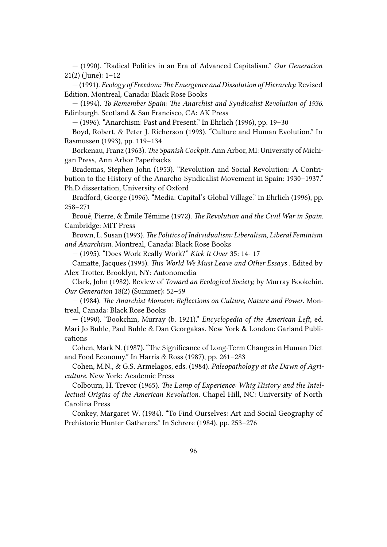— (1990). "Radical Politics in an Era of Advanced Capitalism." *Our Generation* 21(2) (June): 1–12

— (1991). *Ecology of Freedom: The Emergence and Dissolution of Hierarchy.* Revised Edition. Montreal, Canada: Black Rose Books

— (1994). *To Remember Spain: The Anarchist and Syndicalist Revolution of 1936.* Edinburgh, Scotland & San Francisco, CA: AK Press

— (1996). "Anarchism: Past and Present." In Ehrlich (1996), pp. 19–30

Boyd, Robert, & Peter J. Richerson (1993). "Culture and Human Evolution." In Rasmussen (1993), pp. 119–134

Borkenau, Franz (1963). *The Spanish Cockpit.* Ann Arbor, MI: University of Michigan Press, Ann Arbor Paperbacks

Brademas, Stephen John (1953). "Revolution and Social Revolution: A Contribution to the History of the Anarcho-Syndicalist Movement in Spain: 1930–1937." Ph.D dissertation, University of Oxford

Bradford, George (1996). "Media: Capital's Global Village." In Ehrlich (1996), pp. 258–271

Broué, Pierre, & Émile Témime (1972). *The Revolution and the Civil War in Spain.* Cambridge: MIT Press

Brown, L. Susan (1993). *The Politics of Individualism: Liberalism, Liberal Feminism and Anarchism*. Montreal, Canada: Black Rose Books

— (1995). "Does Work Really Work?" *Kick It Over* 35: 14- 17

Camatte, Jacques (1995). *This World We Must Leave and Other Essays* . Edited by Alex Trotter. Brooklyn, NY: Autonomedia

Clark, John (1982). Review of *Toward an Ecological Society,* by Murray Bookchin. *Our Generation* 18(2) (Summer): 52–59

— (1984). *The Anarchist Moment: Reflections on Culture, Nature and Power*. Montreal, Canada: Black Rose Books

— (1990). "Bookchin, Murray (b. 1921)." *Encyclopedia of the American Left,* ed. Mari Jo Buhle, Paul Buhle & Dan Georgakas. New York & London: Garland Publications

Cohen, Mark N. (1987). "The Significance of Long-Term Changes in Human Diet and Food Economy." In Harris & Ross (1987), pp. 261–283

Cohen, M.N., & G.S. Armelagos, eds. (1984). *Paleopathology at the Dawn of Agriculture*. New York: Academic Press

Colbourn, H. Trevor (1965). *The Lamp of Experience: Whig History and the Intellectual Origins of the American Revolution.* Chapel Hill, NC: University of North Carolina Press

Conkey, Margaret W. (1984). "To Find Ourselves: Art and Social Geography of Prehistoric Hunter Gatherers." In Schrere (1984), pp. 253–276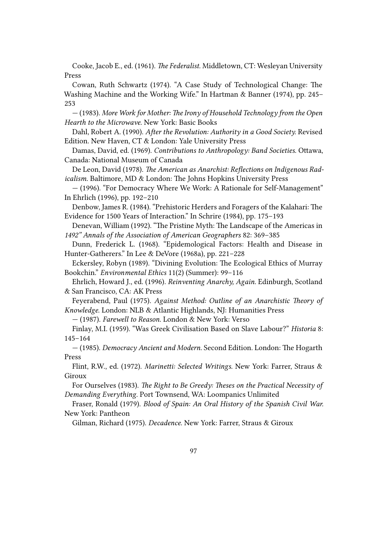Cooke, Jacob E., ed. (1961). *The Federalist.* Middletown, CT: Wesleyan University Press

Cowan, Ruth Schwartz (1974). "A Case Study of Technological Change: The Washing Machine and the Working Wife." In Hartman & Banner (1974), pp. 245– 253

— (1983). *More Work for Mother: The Irony of Household Technology from the Open Hearth to the Microwave*. New York: Basic Books

Dahl, Robert A. (1990). *After the Revolution: Authority in a Good Society.* Revised Edition. New Haven, CT & London: Yale University Press

Damas, David, ed. (1969). *Contributions to Anthropology: Band Societies.* Ottawa, Canada: National Museum of Canada

De Leon, David (1978). *The American as Anarchist: Reflections on Indigenous Radicalism.* Baltimore, MD & London: The Johns Hopkins University Press

— (1996). "For Democracy Where We Work: A Rationale for Self-Management" In Ehrlich (1996), pp. 192–210

Denbow, James R. (1984). "Prehistoric Herders and Foragers of the Kalahari: The Evidence for 1500 Years of Interaction." In Schrire (1984), pp. 175–193

Denevan, William (1992). "The Pristine Myth: The Landscape of the Americas in *1492" Annals of the Association of American Geographers* 82: 369–385

Dunn, Frederick L. (1968). "Epidemological Factors: Health and Disease in Hunter-Gatherers." In Lee & DeVore (1968a), pp. 221–228

Eckersley, Robyn (1989). "Divining Evolution: The Ecological Ethics of Murray Bookchin." *Environmental Ethics* 11(2) (Summer): 99–116

Ehrlich, Howard J., ed. (1996). *Reinventing Anarchy, Again.* Edinburgh, Scotland & San Francisco, CA: AK Press

Feyerabend, Paul (1975). *Against Method: Outline of an Anarchistic Theory of Knowledge*. London: NLB & Atlantic Highlands, NJ: Humanities Press

— (1987). *Farewell to Reason.* London & New York: Verso

Finlay, M.I. (1959). "Was Greek Civilisation Based on Slave Labour?" *Historia* 8: 145–164

— (1985). *Democracy Ancient and Modern.* Second Edition. London: The Hogarth Press

Flint, R.W., ed. (1972). *Marinetti: Selected Writings.* New York: Farrer, Straus & Giroux

For Ourselves (1983). *The Right to Be Greedy: Theses on the Practical Necessity of Demanding Everything.* Port Townsend, WA: Loompanics Unlimited

Fraser, Ronald (1979). *Blood of Spain: An Oral History of the Spanish Civil War.* New York: Pantheon

Gilman, Richard (1975). *Decadence.* New York: Farrer, Straus & Giroux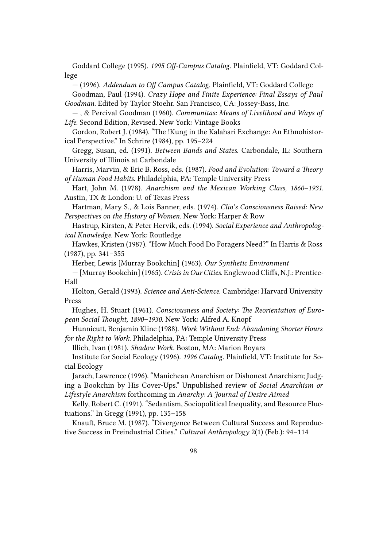Goddard College (1995). *1995 Off-Campus Catalog.* Plainfield, VT: Goddard College

— (1996). *Addendum to Off Campus Catalog.* Plainfield, VT: Goddard College

Goodman, Paul (1994). *Crazy Hope and Finite Experience: Final Essays of Paul Goodman.* Edited by Taylor Stoehr. San Francisco, CA: Jossey-Bass, Inc.

— , & Percival Goodman (1960). *Communitas: Means of Livelihood and Ways of Life.* Second Edition, Revised. New York: Vintage Books

Gordon, Robert J. (1984). "The !Kung in the Kalahari Exchange: An Ethnohistorical Perspective." In Schrire (1984), pp. 195–224

Gregg, Susan, ed. (1991). *Between Bands and States.* Carbondale, IL: Southern University of Illinois at Carbondale

Harris, Marvin, & Eric B. Ross, eds. (1987). *Food and Evolution: Toward a Theory of Human Food Habits.* Philadelphia, PA: Temple University Press

Hart, John M. (1978). *Anarchism and the Mexican Working Class, 1860–1931.* Austin, TX & London: U. of Texas Press

Hartman, Mary S., & Lois Banner, eds. (1974). *Clio's Consciousness Raised: New Perspectives on the History of Women.* New York: Harper & Row

Hastrup, Kirsten, & Peter Hervik, eds. (1994). *Social Experience and Anthropological Knowledge.* New York: Routledge

Hawkes, Kristen (1987). "How Much Food Do Foragers Need?" In Harris & Ross (1987), pp. 341–355

Herber, Lewis [Murray Bookchin] (1963). *Our Synthetic Environment*

— [Murray Bookchin] (1965). *Crisis in Our Cities.* Englewood Cliffs, N.J.: Prentice-Hall

Holton, Gerald (1993). *Science and Anti-Science.* Cambridge: Harvard University Press

Hughes, H. Stuart (1961). *Consciousness and Society: The Reorientation of European Social Thought, 1890–1930.* New York: Alfred A. Knopf

Hunnicutt, Benjamin Kline (1988). *Work Without End: Abandoning Shorter Hours for the Right to Work.* Philadelphia, PA: Temple University Press

Illich, Ivan (1981). *Shadow Work.* Boston, MA: Marion Boyars

Institute for Social Ecology (1996). *1996 Catalog.* Plainfield, VT: Institute for Social Ecology

Jarach, Lawrence (1996). "Manichean Anarchism or Dishonest Anarchism; Judging a Bookchin by His Cover-Ups." Unpublished review of *Social Anarchism or Lifestyle Anarchism* forthcoming in *Anarchy: A Journal of Desire Aimed*

Kelly, Robert C. (1991). "Sedantism, Sociopolitical Inequality, and Resource Fluctuations." In Gregg (1991), pp. 135–158

Knauft, Bruce M. (1987). "Divergence Between Cultural Success and Reproductive Success in Preindustrial Cities." *Cultural Anthropology* 2(1) (Feb.): 94–114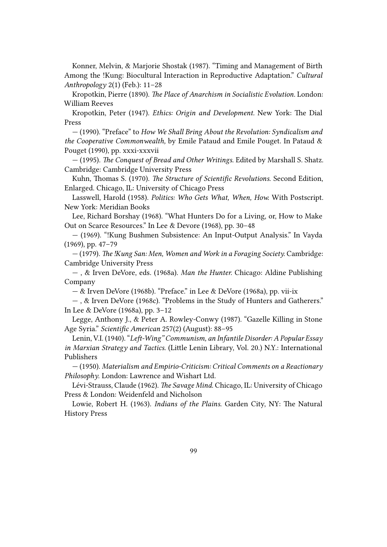Konner, Melvin, & Marjorie Shostak (1987). "Timing and Management of Birth Among the !Kung: Biocultural Interaction in Reproductive Adaptation." *Cultural Anthropology* 2(1) (Feb.): 11–28

Kropotkin, Pierre (1890). *The Place of Anarchism in Socialistic Evolution.* London: William Reeves

Kropotkin, Peter (1947). *Ethics: Origin and Development.* New York: The Dial Press

— (1990). "Preface" to *How We Shall Bring About the Revolution: Syndicalism and the Cooperative Commonwealth,* by Emile Pataud and Emile Pouget. In Pataud & Pouget (1990), pp. xxxi-xxxvii

— (1995). *The Conquest of Bread and Other Writings.* Edited by Marshall S. Shatz. Cambridge: Cambridge University Press

Kuhn, Thomas S. (1970). *The Structure of Scientific Revolutions*. Second Edition, Enlarged. Chicago, IL: University of Chicago Press

Lasswell, Harold (1958). *Politics: Who Gets What, When, How.* With Postscript. New York: Meridian Books

Lee, Richard Borshay (1968). "What Hunters Do for a Living, or, How to Make Out on Scarce Resources." In Lee & Devore (1968), pp. 30–48

— (1969). "!Kung Bushmen Subsistence: An Input-Output Analysis." In Vayda (1969), pp. 47–79

— (1979). *The !Kung San: Men, Women and Work in a Foraging Society.* Cambridge: Cambridge University Press

— , & Irven DeVore, eds. (1968a). *Man the Hunter.* Chicago: Aldine Publishing Company

— & Irven DeVore (1968b). "Preface." in Lee & DeVore (1968a), pp. vii-ix

— , & Irven DeVore (1968c). "Problems in the Study of Hunters and Gatherers." In Lee & DeVore (1968a), pp. 3–12

Legge, Anthony J., & Peter A. Rowley-Conwy (1987). "Gazelle Killing in Stone Age Syria." *Scientific American* 257(2) (August): 88–95

Lenin, V.I. (1940). "*Left-Wing" Communism, an Infantile Disorder: A Popular Essay in Marxian Strategy and Tactics.* (Little Lenin Library, Vol. 20.) N.Y.: International Publishers

— (1950). *Materialism and Empirio-Criticism: Critical Comments on a Reactionary Philosophy*. London: Lawrence and Wishart Ltd.

Lévi-Strauss, Claude (1962). *The Savage Mind*. Chicago, IL: University of Chicago Press & London: Weidenfeld and Nicholson

Lowie, Robert H. (1963). *Indians of the Plains*. Garden City, NY: The Natural History Press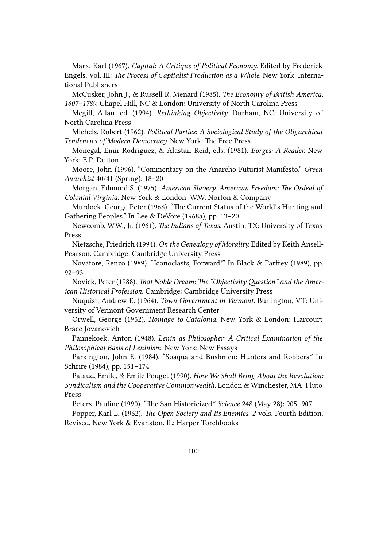Marx, Karl (1967). *Capital: A Critique of Political Economy.* Edited by Frederick Engels. Vol. III: *The Process of Capitalist Production as a Whole.* New York: International Publishers

McCusker, John J., & Russell R. Menard (1985). *The Economy of British America, 1607–1789*. Chapel Hill, NC & London: University of North Carolina Press

Megill, Allan, ed. (1994). *Rethinking Objectivity.* Durham, NC: University of North Carolina Press

Michels, Robert (1962). *Political Parties: A Sociological Study of the Oligarchical Tendencies of Modern Democracy.* New York: The Free Press

Monegal, Emir Rodriguez, & Alastair Reid, eds. (1981). *Borges: A Reader.* New York: E.P. Dutton

Moore, John (1996). "Commentary on the Anarcho-Futurist Manifesto." *Green Anarchist* 40/41 (Spring): 18–20

Morgan, Edmund S. (1975). *American Slavery, American Freedom: The Ordeal of Colonial Virginia.* New York & London: W.W. Norton & Company

Murdoek, George Peter (1968). "The Current Status of the World's Hunting and Gathering Peoples." In Lee & DeVore (1968a), pp. 13–20

Newcomb, W.W., Jr. (1961). *The Indians of Texas.* Austin, TX: University of Texas Press

Nietzsche, Friedrich (1994). *On the Genealogy of Morality.* Edited by Keith Ansell-Pearson. Cambridge: Cambridge University Press

Novatore, Renzo (1989). "Iconoclasts, Forward!" In Black & Parfrey (1989), pp. 92–93

Novick, Peter (1988). *That Noble Dream: The "Objectivity Question" and the American Historical Profession.* Cambridge: Cambridge University Press

Nuquist, Andrew E. (1964). *Town Government in Vermont.* Burlington, VT: University of Vermont Government Research Center

Orwell, George (1952). *Homage to Catalonia.* New York & London: Harcourt Brace Jovanovich

Pannekoek, Anton (1948). *Lenin as Philosopher: A Critical Examination of the Philosophical Basis of Leninism.* New York: New Essays

Parkington, John E. (1984). "Soaqua and Bushmen: Hunters and Robbers." In Schrire (1984), pp. 151–174

Pataud, Emile, & Emile Pouget (1990). *How We Shall Bring About the Revolution: Syndicalism and the Cooperative Commonwealth.* London & Winchester, MA: Pluto Press

Peters, Pauline (1990). "The San Historicized." *Science* 248 (May 28): 905–907

Popper, Karl L. (1962). *The Open Society and Its Enemies. 2* vols. Fourth Edition, Revised. New York & Evanston, IL: Harper Torchbooks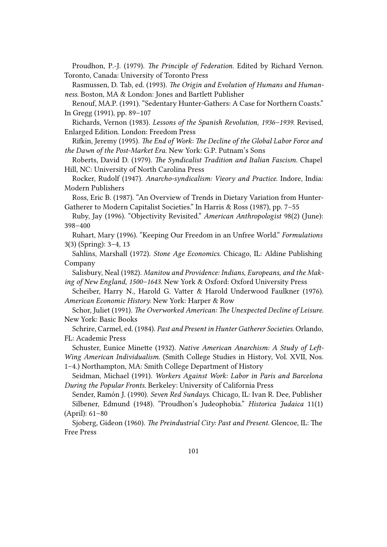Proudhon, P.-J. (1979). *The Principle of Federation.* Edited by Richard Vernon. Toronto, Canada: University of Toronto Press

Rasmussen, D. Tab, ed. (1993). *The Origin and Evolution of Humans and Humanness.* Boston, MA & London: Jones and Bartlett Publisher

Renouf, MA.P. (1991). "Sedentary Hunter-Gathers: A Case for Northern Coasts." In Gregg (1991), pp. 89–107

Richards, Vernon (1983). *Lessons of the Spanish Revolution, 1936–1939.* Revised, Enlarged Edition. London: Freedom Press

Rifkin, Jeremy (1995). *The End of Work: The Decline of the Global Labor Force and the Dawn of the Post-Market Era.* New York: G.P. Putnam's Sons

Roberts, David D. (1979). *The Syndicalist Tradition and Italian Fascism.* Chapel Hill, NC: University of North Carolina Press

Rocker, Rudolf (1947). *Anarcho-syndicalism: Vieory and Practice.* Indore, India: Modern Publishers

Ross, Eric B. (1987). "An Overview of Trends in Dietary Variation from Hunter-Gatherer to Modern Capitalist Societies." In Harris & Ross (1987), pp. 7–55

Ruby, Jay (1996). "Objectivity Revisited." *American Anthropologist* 98(2) (June): 398–400

Ruhart, Mary (1996). "Keeping Our Freedom in an Unfree World." *Formulations* 3(3) (Spring): 3–4, 13

Sahlins, Marshall (1972). *Stone Age Economics.* Chicago, IL: Aldine Publishing Company

Salisbury, Neal (1982). *Manitou and Providence: Indians, Europeans, and the Making of New England, 1500–1643.* New York & Oxford: Oxford University Press

Scheiber, Harry N., Harold G. Vatter & Harold Underwood Faulkner (1976). *American Economic History.* New York: Harper & Row

Schor, Juliet (1991). *The Overworked American: The Unexpected Decline of Leisure.* New York: Basic Books

Schrire, Carmel, ed. (1984). *Past and Present in Hunter Gatherer Societies.* Orlando, FL: Academic Press

Schuster, Eunice Minette (1932). *Native American Anarchism: A Study of Left-Wing American Individualism.* (Smith College Studies in History, Vol. XVII, Nos. 1–4.) Northampton, MA: Smith College Department of History

Seidman, Michael (1991). *Workers Against Work: Labor in Paris and Barcelona During the Popular Fronts.* Berkeley: University of California Press

Sender, Ramón J. (1990). *Seven Red Sundays.* Chicago, IL: Ivan R. Dee, Publisher Silbener, Edmund (1948). "Proudhon's Judeophobia." *Historica Judaica* 11(1) (April): 61–80

Sjoberg, Gideon (1960). *The Preindustrial City: Past and Present.* Glencoe, IL: The Free Press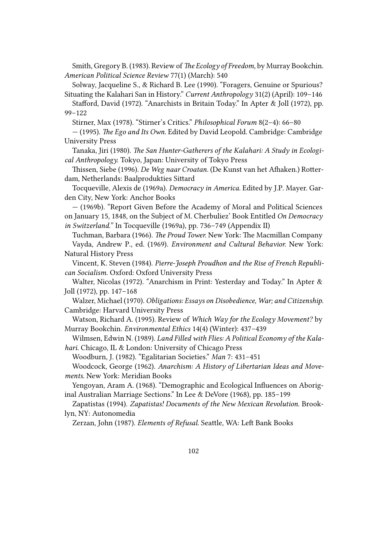Smith, Gregory B. (1983). Review of *The Ecology of Freedom,* by Murray Bookchin. *American Political Science Review* 77(1) (March): 540

Solway, Jacqueline S., & Richard B. Lee (1990). "Foragers, Genuine or Spurious? Situating the Kalahari San in History." *Current Anthropology* 31(2) (April): 109–146

Stafford, David (1972). "Anarchists in Britain Today." In Apter & Joll (1972), pp. 99–122

Stirner, Max (1978). "Stirner's Critics." *Philosophical Forum* 8(2–4): 66–80

— (1995). *The Ego and Its Own.* Edited by David Leopold. Cambridge: Cambridge University Press

Tanaka, Jiri (1980). *The San Hunter-Gatherers of the Kalahari: A Study in Ecological Anthropology.* Tokyo, Japan: University of Tokyo Press

Thissen, Siebe (1996). *De Weg naar Croatan.* (De Kunst van het Afhaken.) Rotterdam, Netherlands: Baalprodukties Sittard

Tocqueville, Alexis de (1969a). *Democracy in America.* Edited by J.P. Mayer. Garden City, New York: Anchor Books

— (1969b). "Report Given Before the Academy of Moral and Political Sciences on January 15, 1848, on the Subject of M. Cherbuliez' Book Entitled *On Democracy in Switzerland."* In Tocqueville (1969a), pp. 736–749 (Appendix II)

Tuchman, Barbara (1966). *The Proud Tower.* New York: The Macmillan Company Vayda, Andrew P., ed. (1969). *Environment and Cultural Behavior.* New York: Natural History Press

Vincent, K. Steven (1984). *Pierre-Joseph Proudhon and the Rise of French Republican Socialism.* Oxford: Oxford University Press

Walter, Nicolas (1972). "Anarchism in Print: Yesterday and Today." In Apter & Joll (1972), pp. 147–168

Walzer, Michael (1970). *Obligations: Essays on Disobedience, War; and Citizenship.* Cambridge: Harvard University Press

Watson, Richard A. (1995). Review of *Which Way for the Ecology Movement?* by Murray Bookchin. *Environmental Ethics* 14(4) (Winter): 437–439

Wilmsen, Edwin N. (1989). *Land Filled with Flies: A Political Economy of the Kalahari.* Chicago, IL & London: University of Chicago Press

Woodburn, J. (1982). "Egalitarian Societies." *Man* 7: 431–451

Woodcock, George (1962). *Anarchism: A History of Libertarian Ideas and Movements.* New York: Meridian Books

Yengoyan, Aram A. (1968). "Demographic and Ecological Influences on Aboriginal Australian Marriage Sections." In Lee & DeVore (1968), pp. 185–199

Zapatistas (1994). *Zapatistas! Documents of the New Mexican Revolution.* Brooklyn, NY: Autonomedia

Zerzan, John (1987). *Elements of Refusal.* Seattle, WA: Left Bank Books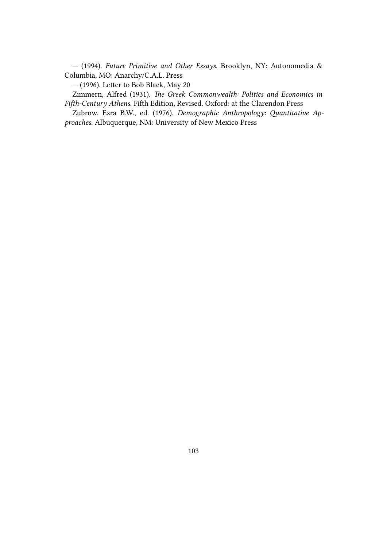— (1994). *Future Primitive and Other Essays.* Brooklyn, NY: Autonomedia & Columbia, MO: Anarchy/C.A.L. Press

— (1996). Letter to Bob Black, May 20

Zimmern, Alfred (1931). *The Greek Commonwealth: Politics and Economics in Fifth-Century Athens.* Fifth Edition, Revised. Oxford: at the Clarendon Press

Zubrow, Ezra B.W., ed. (1976). *Demographic Anthropology: Quantitative Approaches.* Albuquerque, NM: University of New Mexico Press